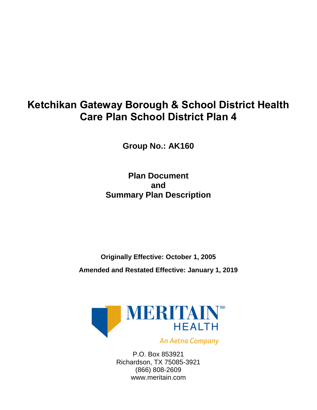# **Ketchikan Gateway Borough & School District Health Care Plan School District Plan 4**

**Group No.: AK160**

**Plan Document and Summary Plan Description**

**Originally Effective: October 1, 2005**

**Amended and Restated Effective: January 1, 2019**



An Aetna Company

P.O. Box 853921 Richardson, TX 75085-3921 (866) 808-2609 www.meritain.com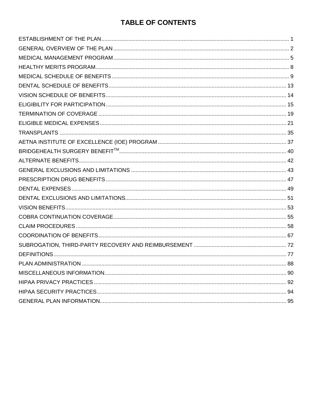# **TABLE OF CONTENTS**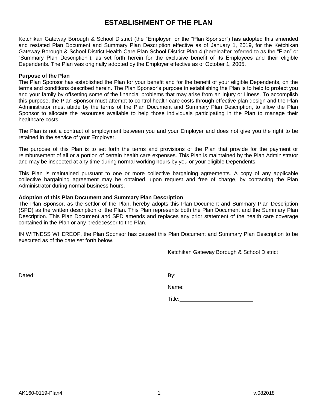# **ESTABLISHMENT OF THE PLAN**

<span id="page-2-0"></span>Ketchikan Gateway Borough & School District (the "Employer" or the "Plan Sponsor") has adopted this amended and restated Plan Document and Summary Plan Description effective as of January 1, 2019, for the Ketchikan Gateway Borough & School District Health Care Plan School District Plan 4 (hereinafter referred to as the "Plan" or "Summary Plan Description"), as set forth herein for the exclusive benefit of its Employees and their eligible Dependents. The Plan was originally adopted by the Employer effective as of October 1, 2005.

### **Purpose of the Plan**

The Plan Sponsor has established the Plan for your benefit and for the benefit of your eligible Dependents, on the terms and conditions described herein. The Plan Sponsor's purpose in establishing the Plan is to help to protect you and your family by offsetting some of the financial problems that may arise from an Injury or Illness. To accomplish this purpose, the Plan Sponsor must attempt to control health care costs through effective plan design and the Plan Administrator must abide by the terms of the Plan Document and Summary Plan Description, to allow the Plan Sponsor to allocate the resources available to help those individuals participating in the Plan to manage their healthcare costs.

The Plan is not a contract of employment between you and your Employer and does not give you the right to be retained in the service of your Employer.

The purpose of this Plan is to set forth the terms and provisions of the Plan that provide for the payment or reimbursement of all or a portion of certain health care expenses. This Plan is maintained by the Plan Administrator and may be inspected at any time during normal working hours by you or your eligible Dependents.

This Plan is maintained pursuant to one or more collective bargaining agreements. A copy of any applicable collective bargaining agreement may be obtained, upon request and free of charge, by contacting the Plan Administrator during normal business hours.

### **Adoption of this Plan Document and Summary Plan Description**

The Plan Sponsor, as the settlor of the Plan, hereby adopts this Plan Document and Summary Plan Description (SPD) as the written description of the Plan. This Plan represents both the Plan Document and the Summary Plan Description. This Plan Document and SPD amends and replaces any prior statement of the health care coverage contained in the Plan or any predecessor to the Plan.

IN WITNESS WHEREOF, the Plan Sponsor has caused this Plan Document and Summary Plan Description to be executed as of the date set forth below.

Ketchikan Gateway Borough & School District

Dated:\_\_\_\_\_\_\_\_\_\_\_\_\_\_\_\_\_\_\_\_\_\_\_\_\_\_\_\_\_\_\_\_\_\_\_\_\_ By:

Name:

Title: **The Community of the Community of the Community** of the Community of the Community of the Community of the Community of the Community of the Community of the Community of the Community of the Community of the Commu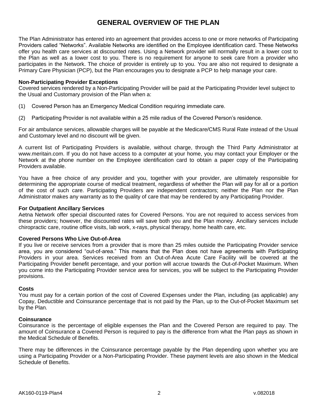# **GENERAL OVERVIEW OF THE PLAN**

<span id="page-3-0"></span>The Plan Administrator has entered into an agreement that provides access to one or more networks of Participating Providers called "Networks". Available Networks are identified on the Employee identification card. These Networks offer you health care services at discounted rates. Using a Network provider will normally result in a lower cost to the Plan as well as a lower cost to you. There is no requirement for anyone to seek care from a provider who participates in the Network. The choice of provider is entirely up to you. You are also not required to designate a Primary Care Physician (PCP), but the Plan encourages you to designate a PCP to help manage your care.

#### **Non-Participating Provider Exceptions**

Covered services rendered by a Non-Participating Provider will be paid at the Participating Provider level subject to the Usual and Customary provision of the Plan when a:

- (1) Covered Person has an Emergency Medical Condition requiring immediate care.
- (2) Participating Provider is not available within a 25 mile radius of the Covered Person's residence.

For air ambulance services, allowable charges will be payable at the Medicare/CMS Rural Rate instead of the Usual and Customary level and no discount will be given.

A current list of Participating Providers is available, without charge, through the Third Party Administrator at www.meritain.com. If you do not have access to a computer at your home, you may contact your Employer or the Network at the phone number on the Employee identification card to obtain a paper copy of the Participating Providers available.

You have a free choice of any provider and you, together with your provider, are ultimately responsible for determining the appropriate course of medical treatment, regardless of whether the Plan will pay for all or a portion of the cost of such care. Participating Providers are independent contractors; neither the Plan nor the Plan Administrator makes any warranty as to the quality of care that may be rendered by any Participating Provider.

#### **For Outpatient Ancillary Services**

Aetna Network offer special discounted rates for Covered Persons. You are not required to access services from these providers; however, the discounted rates will save both you and the Plan money. Ancillary services include chiropractic care, routine office visits, lab work, x-rays, physical therapy, home health care, etc.

### **Covered Persons Who Live Out-of-Area**

If you live or receive services from a provider that is more than 25 miles outside the Participating Provider service area, you are considered "out-of-area." This means that the Plan does not have agreements with Participating Providers in your area. Services received from an Out-of-Area Acute Care Facility will be covered at the Participating Provider benefit percentage, and your portion will accrue towards the Out-of-Pocket Maximum. When you come into the Participating Provider service area for services, you will be subject to the Participating Provider provisions.

#### **Costs**

You must pay for a certain portion of the cost of Covered Expenses under the Plan*,* including (as applicable) any Copay, Deductible and Coinsurance percentage that is not paid by the Plan, up to the Out-of-Pocket Maximum set by the Plan*.* 

### **Coinsurance**

Coinsurance is the percentage of eligible expenses the Plan and the Covered Person are required to pay. The amount of Coinsurance a Covered Person is required to pay is the difference from what the Plan pays as shown in the Medical Schedule of Benefits.

There may be differences in the Coinsurance percentage payable by the Plan depending upon whether you are using a Participating Provider or a Non-Participating Provider. These payment levels are also shown in the Medical Schedule of Benefits.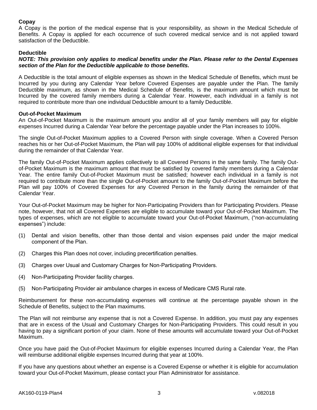## **Copay**

A Copay is the portion of the medical expense that is your responsibility, as shown in the Medical Schedule of Benefits. A Copay is applied for each occurrence of such covered medical service and is not applied toward satisfaction of the Deductible.

### **Deductible**

### *NOTE: This provision only applies to medical benefits under the Plan. Please refer to the Dental Expenses section of the Plan for the Deductible applicable to those benefits.*

A Deductible is the total amount of eligible expenses as shown in the Medical Schedule of Benefits, which must be Incurred by you during any Calendar Year before Covered Expenses are payable under the Plan. The family Deductible maximum, as shown in the Medical Schedule of Benefits, is the maximum amount which must be Incurred by the covered family members during a Calendar Year. However, each individual in a family is not required to contribute more than one individual Deductible amount to a family Deductible.

### **Out-of-Pocket Maximum**

An Out-of-Pocket Maximum is the maximum amount you and/or all of your family members will pay for eligible expenses Incurred during a Calendar Year before the percentage payable under the Plan increases to 100%.

The single Out-of-Pocket Maximum applies to a Covered Person with single coverage. When a Covered Person reaches his or her Out-of-Pocket Maximum, the Plan will pay 100% of additional eligible expenses for that individual during the remainder of that Calendar Year.

The family Out-of-Pocket Maximum applies collectively to all Covered Persons in the same family. The family Outof-Pocket Maximum is the maximum amount that must be satisfied by covered family members during a Calendar Year. The entire family Out-of-Pocket Maximum must be satisfied; however each individual in a family is not required to contribute more than the single Out-of-Pocket amount to the family Out-of-Pocket Maximum before the Plan will pay 100% of Covered Expenses for any Covered Person in the family during the remainder of that Calendar Year.

Your Out-of-Pocket Maximum may be higher for Non-Participating Providers than for Participating Providers. Please note, however, that not all Covered Expenses are eligible to accumulate toward your Out-of-Pocket Maximum. The types of expenses, which are not eligible to accumulate toward your Out-of-Pocket Maximum, ("non-accumulating expenses") include:

- (1) Dental and vision benefits, other than those dental and vision expenses paid under the major medical component of the Plan.
- (2) Charges this Plan does not cover, including precertification penalties.
- (3) Charges over Usual and Customary Charges for Non-Participating Providers.
- (4) Non-Participating Provider facility charges.
- (5) Non-Participating Provider air ambulance charges in excess of Medicare CMS Rural rate.

Reimbursement for these non-accumulating expenses will continue at the percentage payable shown in the Schedule of Benefits, subject to the Plan maximums.

The Plan will not reimburse any expense that is not a Covered Expense. In addition, you must pay any expenses that are in excess of the Usual and Customary Charges for Non-Participating Providers. This could result in you having to pay a significant portion of your claim. None of these amounts will accumulate toward your Out-of-Pocket Maximum.

Once you have paid the Out-of-Pocket Maximum for eligible expenses Incurred during a Calendar Year, the Plan will reimburse additional eligible expenses Incurred during that year at 100%.

If you have any questions about whether an expense is a Covered Expense or whether it is eligible for accumulation toward your Out-of-Pocket Maximum, please contact your Plan Administrator for assistance.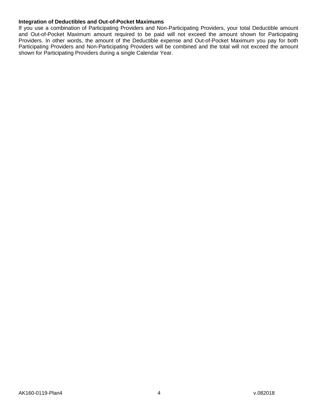### **Integration of Deductibles and Out-of-Pocket Maximums**

If you use a combination of Participating Providers and Non-Participating Providers, your total Deductible amount and Out-of-Pocket Maximum amount required to be paid will not exceed the amount shown for Participating Providers. In other words, the amount of the Deductible expense and Out-of-Pocket Maximum you pay for both Participating Providers and Non-Participating Providers will be combined and the total will not exceed the amount shown for Participating Providers during a single Calendar Year.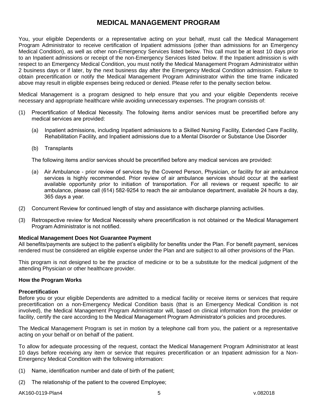# **MEDICAL MANAGEMENT PROGRAM**

<span id="page-6-0"></span>You, your eligible Dependents or a representative acting on your behalf, must call the Medical Management Program Administrator to receive certification of Inpatient admissions (other than admissions for an Emergency Medical Condition), as well as other non-Emergency Services listed below. This call must be at least 10 days prior to an Inpatient admissions or receipt of the non-Emergency Services listed below. If the Inpatient admission is with respect to an Emergency Medical Condition, you must notify the Medical Management Program Administrator within 2 business days or if later, by the next business day after the Emergency Medical Condition admission. Failure to obtain precertification or notify the Medical Management Program Administrator within the time frame indicated above may result in eligible expenses being reduced or denied. Please refer to the penalty section below.

Medical Management is a program designed to help ensure that you and your eligible Dependents receive necessary and appropriate healthcare while avoiding unnecessary expenses. The program consists of:

- (1) Precertification of Medical Necessity. The following items and/or services must be precertified before any medical services are provided:
	- (a) Inpatient admissions, including Inpatient admissions to a Skilled Nursing Facility, Extended Care Facility, Rehabilitation Facility, and Inpatient admissions due to a Mental Disorder or Substance Use Disorder
	- (b) Transplants

The following items and/or services should be precertified before any medical services are provided:

- (a) Air Ambulance prior review of services by the Covered Person, Physician, or facility for air ambulance services is highly recommended. Prior review of air ambulance services should occur at the earliest available opportunity prior to initiation of transportation. For all reviews or request specific to air ambulance, please call (614) 582-9254 to reach the air ambulance department, available 24 hours a day, 365 days a year.
- (2) Concurrent Review for continued length of stay and assistance with discharge planning activities.
- (3) Retrospective review for Medical Necessity where precertification is not obtained or the Medical Management Program Administrator is not notified.

### **Medical Management Does Not Guarantee Payment**

All benefits/payments are subject to the patient's eligibility for benefits under the Plan. For benefit payment, services rendered must be considered an eligible expense under the Plan and are subject to all other provisions of the Plan.

This program is not designed to be the practice of medicine or to be a substitute for the medical judgment of the attending Physician or other healthcare provider.

#### **How the Program Works**

#### **Precertification**

Before you or your eligible Dependents are admitted to a medical facility or receive items or services that require precertification on a non-Emergency Medical Condition basis (that is an Emergency Medical Condition is not involved), the Medical Management Program Administrator will, based on clinical information from the provider or facility, certify the care according to the Medical Management Program Administrator's policies and procedures.

The Medical Management Program is set in motion by a telephone call from you, the patient or a representative acting on your behalf or on behalf of the patient.

To allow for adequate processing of the request, contact the Medical Management Program Administrator at least 10 days before receiving any item or service that requires precertification or an Inpatient admission for a Non-Emergency Medical Condition with the following information:

- (1) Name, identification number and date of birth of the patient;
- (2) The relationship of the patient to the covered Employee;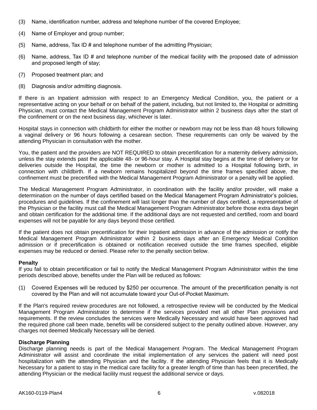- (3) Name, identification number, address and telephone number of the covered Employee;
- (4) Name of Employer and group number;
- (5) Name, address, Tax ID  $#$  and telephone number of the admitting Physician;
- (6) Name, address, Tax ID # and telephone number of the medical facility with the proposed date of admission and proposed length of stay;
- (7) Proposed treatment plan; and
- (8) Diagnosis and/or admitting diagnosis.

If there is an Inpatient admission with respect to an Emergency Medical Condition, you, the patient or a representative acting on your behalf or on behalf of the patient, including, but not limited to, the Hospital or admitting Physician, must contact the Medical Management Program Administrator within 2 business days after the start of the confinement or on the next business day, whichever is later.

Hospital stays in connection with childbirth for either the mother or newborn may not be less than 48 hours following a vaginal delivery or 96 hours following a cesarean section. These requirements can only be waived by the attending Physician in consultation with the mother.

You, the patient and the providers are NOT REQUIRED to obtain precertification for a maternity delivery admission, unless the stay extends past the applicable 48- or 96-hour stay. A Hospital stay begins at the time of delivery or for deliveries outside the Hospital, the time the newborn or mother is admitted to a Hospital following birth, in connection with childbirth. If a newborn remains hospitalized beyond the time frames specified above, the confinement must be precertified with the Medical Management Program Administrator or a penalty will be applied.

The Medical Management Program Administrator, in coordination with the facility and/or provider, will make a determination on the number of days certified based on the Medical Management Program Administrator's policies, procedures and guidelines. If the confinement will last longer than the number of days certified, a representative of the Physician or the facility must call the Medical Management Program Administrator before those extra days begin and obtain certification for the additional time. If the additional days are not requested and certified, room and board expenses will not be payable for any days beyond those certified.

If the patient does not obtain precertification for their Inpatient admission in advance of the admission or notify the Medical Management Program Administrator within 2 business days after an Emergency Medical Condition admission or if precertification is obtained or notification received outside the time frames specified, eligible expenses may be reduced or denied. Please refer to the penalty section below.

### **Penalty**

If you fail to obtain precertification or fail to notify the Medical Management Program Administrator within the time periods described above, benefits under the Plan will be reduced as follows:

(1) Covered Expenses will be reduced by \$250 per occurrence. The amount of the precertification penalty is not covered by the Plan and will not accumulate toward your Out-of-Pocket Maximum.

If the Plan's required review procedures are not followed, a retrospective review will be conducted by the Medical Management Program Administrator to determine if the services provided met all other Plan provisions and requirements. If the review concludes the services were Medically Necessary and would have been approved had the required phone call been made, benefits will be considered subject to the penalty outlined above. However, any charges not deemed Medically Necessary will be denied.

### **Discharge Planning**

Discharge planning needs is part of the Medical Management Program. The Medical Management Program Administrator will assist and coordinate the initial implementation of any services the patient will need post hospitalization with the attending Physician and the facility. If the attending Physician feels that it is Medically Necessary for a patient to stay in the medical care facility for a greater length of time than has been precertified, the attending Physician or the medical facility must request the additional service or days.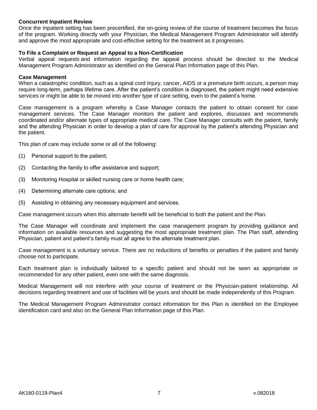### **Concurrent Inpatient Review**

Once the Inpatient setting has been precertified, the on-going review of the course of treatment becomes the focus of the program. Working directly with your Physician, the Medical Management Program Administrator will identify and approve the most appropriate and cost-effective setting for the treatment as it progresses.

### **To File a Complaint or Request an Appeal to a Non-Certification**

Verbal appeal requests and information regarding the appeal process should be directed to the Medical Management Program Administrator as identified on the General Plan Information page of this Plan.

#### **Case Management**

When a catastrophic condition, such as a spinal cord Injury, cancer, AIDS or a premature birth occurs, a person may require long-term, perhaps lifetime care. After the patient's condition is diagnosed, the patient might need extensive services or might be able to be moved into another type of care setting, even to the patient's home.

Case management is a program whereby a Case Manager contacts the patient to obtain consent for case management services. The Case Manager monitors the patient and explores, discusses and recommends coordinated and/or alternate types of appropriate medical care. The Case Manager consults with the patient, family and the attending Physician in order to develop a plan of care for approval by the patient's attending Physician and the patient.

This plan of care may include some or all of the following:

- (1) Personal support to the patient;
- (2) Contacting the family to offer assistance and support;
- (3) Monitoring Hospital or skilled nursing care or home health care;
- (4) Determining alternate care options; and
- (5) Assisting in obtaining any necessary equipment and services.

Case management occurs when this alternate benefit will be beneficial to both the patient and the Plan.

The Case Manager will coordinate and implement the case management program by providing guidance and information on available resources and suggesting the most appropriate treatment plan. The Plan staff, attending Physician, patient and patient's family must all agree to the alternate treatment plan.

Case management is a voluntary service. There are no reductions of benefits or penalties if the patient and family choose not to participate.

Each treatment plan is individually tailored to a specific patient and should not be seen as appropriate or recommended for any other patient, even one with the same diagnosis.

Medical Management will not interfere with your course of treatment or the Physician-patient relationship. All decisions regarding treatment and use of facilities will be yours and should be made independently of this Program.

The Medical Management Program Administrator contact information for this Plan is identified on the Employee identification card and also on the General Plan Information page of this Plan.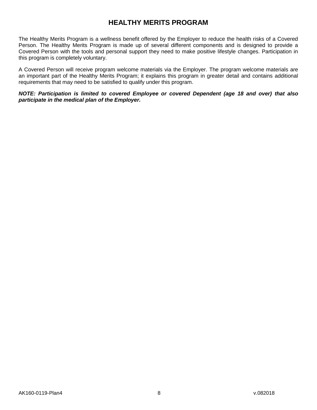# **HEALTHY MERITS PROGRAM**

<span id="page-9-0"></span>The Healthy Merits Program is a wellness benefit offered by the Employer to reduce the health risks of a Covered Person. The Healthy Merits Program is made up of several different components and is designed to provide a Covered Person with the tools and personal support they need to make positive lifestyle changes. Participation in this program is completely voluntary.

A Covered Person will receive program welcome materials via the Employer. The program welcome materials are an important part of the Healthy Merits Program; it explains this program in greater detail and contains additional requirements that may need to be satisfied to qualify under this program.

*NOTE: Participation is limited to covered Employee or covered Dependent (age 18 and over) that also participate in the medical plan of the Employer.*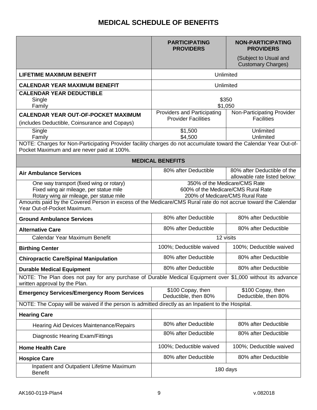# **MEDICAL SCHEDULE OF BENEFITS**

<span id="page-10-0"></span>

|                                                                                                                                                                | <b>PARTICIPATING</b><br><b>PROVIDERS</b>                                                                | <b>NON-PARTICIPATING</b><br><b>PROVIDERS</b>                |
|----------------------------------------------------------------------------------------------------------------------------------------------------------------|---------------------------------------------------------------------------------------------------------|-------------------------------------------------------------|
|                                                                                                                                                                |                                                                                                         | (Subject to Usual and<br><b>Customary Charges)</b>          |
| <b>LIFETIME MAXIMUM BENEFIT</b>                                                                                                                                |                                                                                                         | Unlimited                                                   |
| <b>CALENDAR YEAR MAXIMUM BENEFIT</b>                                                                                                                           |                                                                                                         | Unlimited                                                   |
| <b>CALENDAR YEAR DEDUCTIBLE</b><br>Single<br>Family                                                                                                            | \$350<br>\$1,050                                                                                        |                                                             |
| <b>CALENDAR YEAR OUT-OF-POCKET MAXIMUM</b><br>(includes Deductible, Coinsurance and Copays)                                                                    | Providers and Participating<br><b>Provider Facilities</b>                                               | Non-Participating Provider<br><b>Facilities</b>             |
| Single<br>Family                                                                                                                                               | \$1,500<br>\$4,500                                                                                      | Unlimited<br>Unlimited                                      |
| NOTE: Charges for Non-Participating Provider facility charges do not accumulate toward the Calendar Year Out-of-<br>Pocket Maximum and are never paid at 100%. |                                                                                                         |                                                             |
| <b>MEDICAL BENEFITS</b>                                                                                                                                        |                                                                                                         |                                                             |
| <b>Air Ambulance Services</b>                                                                                                                                  | 80% after Deductible                                                                                    | 80% after Deductible of the<br>allowable rate listed below: |
| One way transport (fixed wing or rotary)<br>Fixed wing air mileage, per statue mile<br>Rotary wing air mileage, per statue mile                                | 350% of the Medicare/CMS Rate<br>600% of the Medicare/CMS Rural Rate<br>200% of Medicare/CMS Rural Rate |                                                             |
| Amounts paid by the Covered Person in excess of the Medicare/CMS Rural rate do not accrue toward the Calendar<br>Year Out-of-Pocket Maximum.                   |                                                                                                         |                                                             |
| <b>Ground Ambulance Services</b>                                                                                                                               | 80% after Deductible                                                                                    | 80% after Deductible                                        |
| <b>Alternative Care</b>                                                                                                                                        | 80% after Deductible                                                                                    | 80% after Deductible                                        |
| Calendar Year Maximum Benefit                                                                                                                                  | 12 visits                                                                                               |                                                             |
| <b>Birthing Center</b>                                                                                                                                         | 100%; Deductible waived                                                                                 | 100%; Deductible waived                                     |
| <b>Chiropractic Care/Spinal Manipulation</b>                                                                                                                   | 80% after Deductible                                                                                    | 80% after Deductible                                        |
| <b>Durable Medical Equipment</b>                                                                                                                               | 80% after Deductible                                                                                    | 80% after Deductible                                        |
| NOTE: The Plan does not pay for any purchase of Durable Medical Equipment over \$1,000 without its advance<br>written approval by the Plan.                    |                                                                                                         |                                                             |
| <b>Emergency Services/Emergency Room Services</b>                                                                                                              | \$100 Copay, then<br>Deductible, then 80%                                                               | \$100 Copay, then<br>Deductible, then 80%                   |
| NOTE: The Copay will be waived if the person is admitted directly as an Inpatient to the Hospital.                                                             |                                                                                                         |                                                             |
| <b>Hearing Care</b>                                                                                                                                            |                                                                                                         |                                                             |
| Hearing Aid Devices Maintenance/Repairs                                                                                                                        | 80% after Deductible                                                                                    | 80% after Deductible                                        |
| Diagnostic Hearing Exam/Fittings                                                                                                                               | 80% after Deductible                                                                                    | 80% after Deductible                                        |
| <b>Home Health Care</b>                                                                                                                                        | 100%; Deductible waived                                                                                 | 100%; Deductible waived                                     |
| <b>Hospice Care</b>                                                                                                                                            | 80% after Deductible                                                                                    | 80% after Deductible                                        |
| Inpatient and Outpatient Lifetime Maximum<br><b>Benefit</b>                                                                                                    | 180 days                                                                                                |                                                             |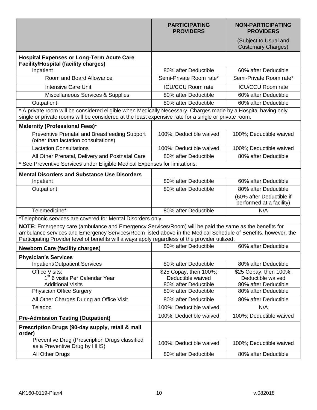|                                                                                                                                                                                                                                                                                                                            | <b>PARTICIPATING</b><br><b>PROVIDERS</b> | <b>NON-PARTICIPATING</b><br><b>PROVIDERS</b>         |
|----------------------------------------------------------------------------------------------------------------------------------------------------------------------------------------------------------------------------------------------------------------------------------------------------------------------------|------------------------------------------|------------------------------------------------------|
|                                                                                                                                                                                                                                                                                                                            |                                          | (Subject to Usual and<br><b>Customary Charges)</b>   |
| <b>Hospital Expenses or Long-Term Acute Care</b><br><b>Facility/Hospital (facility charges)</b>                                                                                                                                                                                                                            |                                          |                                                      |
| Inpatient                                                                                                                                                                                                                                                                                                                  | 80% after Deductible                     | 60% after Deductible                                 |
| Room and Board Allowance                                                                                                                                                                                                                                                                                                   | Semi-Private Room rate*                  | Semi-Private Room rate*                              |
| <b>Intensive Care Unit</b>                                                                                                                                                                                                                                                                                                 | <b>ICU/CCU Room rate</b>                 | <b>ICU/CCU Room rate</b>                             |
| Miscellaneous Services & Supplies                                                                                                                                                                                                                                                                                          | 80% after Deductible                     | 60% after Deductible                                 |
| Outpatient                                                                                                                                                                                                                                                                                                                 | 80% after Deductible                     | 60% after Deductible                                 |
| * A private room will be considered eligible when Medically Necessary. Charges made by a Hospital having only<br>single or private rooms will be considered at the least expensive rate for a single or private room.                                                                                                      |                                          |                                                      |
| Maternity (Professional Fees)*                                                                                                                                                                                                                                                                                             |                                          |                                                      |
| Preventive Prenatal and Breastfeeding Support<br>(other than lactation consultations)                                                                                                                                                                                                                                      | 100%; Deductible waived                  | 100%; Deductible waived                              |
| <b>Lactation Consultations</b>                                                                                                                                                                                                                                                                                             | 100%; Deductible waived                  | 100%; Deductible waived                              |
| All Other Prenatal, Delivery and Postnatal Care                                                                                                                                                                                                                                                                            | 80% after Deductible                     | 80% after Deductible                                 |
| * See Preventive Services under Eligible Medical Expenses for limitations.                                                                                                                                                                                                                                                 |                                          |                                                      |
| <b>Mental Disorders and Substance Use Disorders</b>                                                                                                                                                                                                                                                                        |                                          |                                                      |
| Inpatient                                                                                                                                                                                                                                                                                                                  | 80% after Deductible                     | 60% after Deductible                                 |
| Outpatient                                                                                                                                                                                                                                                                                                                 | 80% after Deductible                     | 80% after Deductible                                 |
|                                                                                                                                                                                                                                                                                                                            |                                          | (60% after Deductible if<br>performed at a facility) |
| Telemedicine*                                                                                                                                                                                                                                                                                                              | 80% after Deductible                     | N/A                                                  |
| *Telephonic services are covered for Mental Disorders only.                                                                                                                                                                                                                                                                |                                          |                                                      |
| NOTE: Emergency care (ambulance and Emergency Services/Room) will be paid the same as the benefits for<br>ambulance services and Emergency Services/Room listed above in the Medical Schedule of Benefits, however, the<br>Participating Provider level of benefits will always apply regardless of the provider utilized. |                                          |                                                      |
| <b>Newborn Care (facility charges)</b>                                                                                                                                                                                                                                                                                     | 80% after Deductible                     | 60% after Deductible                                 |
| <b>Physician's Services</b>                                                                                                                                                                                                                                                                                                |                                          |                                                      |
| <b>Inpatient/Outpatient Services</b>                                                                                                                                                                                                                                                                                       | 80% after Deductible                     | 80% after Deductible                                 |
| <b>Office Visits:</b>                                                                                                                                                                                                                                                                                                      | \$25 Copay, then 100%;                   | \$25 Copay, then 100%;                               |
| 1 <sup>st</sup> 6 visits Per Calendar Year                                                                                                                                                                                                                                                                                 | Deductible waived                        | Deductible waived                                    |
| <b>Additional Visits</b>                                                                                                                                                                                                                                                                                                   | 80% after Deductible                     | 80% after Deductible                                 |
| <b>Physician Office Surgery</b>                                                                                                                                                                                                                                                                                            | 80% after Deductible                     | 80% after Deductible                                 |
| All Other Charges During an Office Visit                                                                                                                                                                                                                                                                                   | 80% after Deductible                     | 80% after Deductible                                 |
| Teladoc                                                                                                                                                                                                                                                                                                                    | 100%; Deductible waived                  | N/A                                                  |
| <b>Pre-Admission Testing (Outpatient)</b>                                                                                                                                                                                                                                                                                  | 100%; Deductible waived                  | 100%; Deductible waived                              |
| Prescription Drugs (90-day supply, retail & mail<br>order)                                                                                                                                                                                                                                                                 |                                          |                                                      |
| Preventive Drug (Prescription Drugs classified<br>as a Preventive Drug by HHS)                                                                                                                                                                                                                                             | 100%; Deductible waived                  | 100%; Deductible waived                              |
| All Other Drugs                                                                                                                                                                                                                                                                                                            | 80% after Deductible                     | 80% after Deductible                                 |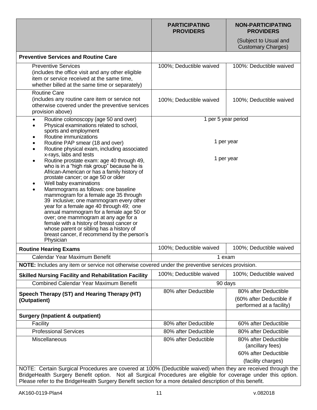|                                                                                                                                                                                                                                                                                                                                                                                                                                                                                                                                                                                                                                      | <b>PARTICIPATING</b><br><b>PROVIDERS</b> | <b>NON-PARTICIPATING</b><br><b>PROVIDERS</b>                                           |
|--------------------------------------------------------------------------------------------------------------------------------------------------------------------------------------------------------------------------------------------------------------------------------------------------------------------------------------------------------------------------------------------------------------------------------------------------------------------------------------------------------------------------------------------------------------------------------------------------------------------------------------|------------------------------------------|----------------------------------------------------------------------------------------|
|                                                                                                                                                                                                                                                                                                                                                                                                                                                                                                                                                                                                                                      |                                          | (Subject to Usual and<br><b>Customary Charges)</b>                                     |
| <b>Preventive Services and Routine Care</b>                                                                                                                                                                                                                                                                                                                                                                                                                                                                                                                                                                                          |                                          |                                                                                        |
| <b>Preventive Services</b><br>(includes the office visit and any other eligible<br>item or service received at the same time,<br>whether billed at the same time or separately)                                                                                                                                                                                                                                                                                                                                                                                                                                                      | 100%; Deductible waived                  | 100%: Deductible waived                                                                |
| <b>Routine Care</b><br>(includes any routine care item or service not<br>otherwise covered under the preventive services<br>provision above)                                                                                                                                                                                                                                                                                                                                                                                                                                                                                         | 100%; Deductible waived                  | 100%; Deductible waived                                                                |
| Routine colonoscopy (age 50 and over)<br>$\bullet$<br>Physical examinations related to school,                                                                                                                                                                                                                                                                                                                                                                                                                                                                                                                                       |                                          | 1 per 5 year period                                                                    |
| sports and employment                                                                                                                                                                                                                                                                                                                                                                                                                                                                                                                                                                                                                |                                          |                                                                                        |
| Routine immunizations<br>Routine PAP smear (18 and over)<br>Routine physical exam, including associated<br>x-rays, labs and tests                                                                                                                                                                                                                                                                                                                                                                                                                                                                                                    |                                          | 1 per year                                                                             |
| Routine prostate exam: age 40 through 49,<br>$\bullet$<br>who is in a "high risk group" because he is<br>African-American or has a family history of<br>prostate cancer; or age 50 or older<br>Well baby examinations<br>Mammograms as follows: one baseline<br>mammogram for a female age 35 through<br>39 inclusive; one mammogram every other<br>year for a female age 40 through 49; one<br>annual mammogram for a female age 50 or<br>over; one mammogram at any age for a<br>female with a history of breast cancer or<br>whose parent or sibling has a history of<br>breast cancer, if recommend by the person's<br>Physician |                                          | 1 per year                                                                             |
| <b>Routine Hearing Exams</b>                                                                                                                                                                                                                                                                                                                                                                                                                                                                                                                                                                                                         | 100%; Deductible waived                  | 100%; Deductible waived                                                                |
| Calendar Year Maximum Benefit                                                                                                                                                                                                                                                                                                                                                                                                                                                                                                                                                                                                        |                                          | 1 exam                                                                                 |
| NOTE: Includes any item or service not otherwise covered under the preventive services provision.                                                                                                                                                                                                                                                                                                                                                                                                                                                                                                                                    |                                          |                                                                                        |
| <b>Skilled Nursing Facility and Rehabilitation Facility</b>                                                                                                                                                                                                                                                                                                                                                                                                                                                                                                                                                                          | 100%; Deductible waived                  | 100%; Deductible waived                                                                |
| <b>Combined Calendar Year Maximum Benefit</b>                                                                                                                                                                                                                                                                                                                                                                                                                                                                                                                                                                                        |                                          | 90 days                                                                                |
| Speech Therapy (ST) and Hearing Therapy (HT)<br>(Outpatient)                                                                                                                                                                                                                                                                                                                                                                                                                                                                                                                                                                         | 80% after Deductible                     | 80% after Deductible<br>(60% after Deductible if<br>performed at a facility)           |
| <b>Surgery (Inpatient &amp; outpatient)</b>                                                                                                                                                                                                                                                                                                                                                                                                                                                                                                                                                                                          |                                          |                                                                                        |
| Facility                                                                                                                                                                                                                                                                                                                                                                                                                                                                                                                                                                                                                             | 80% after Deductible                     | 60% after Deductible                                                                   |
| <b>Professional Services</b>                                                                                                                                                                                                                                                                                                                                                                                                                                                                                                                                                                                                         | 80% after Deductible                     | 80% after Deductible                                                                   |
| Miscellaneous                                                                                                                                                                                                                                                                                                                                                                                                                                                                                                                                                                                                                        | 80% after Deductible                     | 80% after Deductible<br>(ancillary fees)<br>60% after Deductible<br>(facility charges) |
| NOTE: Certain Surgical Procedures are covered at 100% (Deductible waived) when they are received through the<br>BridgeHealth Surgery Benefit option. Not all Surgical Procedures are eligible for coverage under this option.                                                                                                                                                                                                                                                                                                                                                                                                        |                                          |                                                                                        |

Please refer to the BridgeHealth Surgery Benefit section for a more detailed description of this benefit.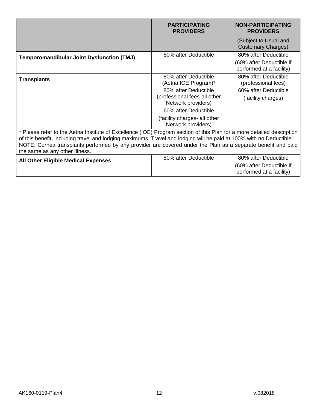|                                                                                                                                                | <b>PARTICIPATING</b><br><b>PROVIDERS</b>           | <b>NON-PARTICIPATING</b><br><b>PROVIDERS</b>         |
|------------------------------------------------------------------------------------------------------------------------------------------------|----------------------------------------------------|------------------------------------------------------|
|                                                                                                                                                |                                                    | (Subject to Usual and<br><b>Customary Charges)</b>   |
| <b>Temporomandibular Joint Dysfunction (TMJ)</b>                                                                                               | 80% after Deductible                               | 80% after Deductible                                 |
|                                                                                                                                                |                                                    | (60% after Deductible if<br>performed at a facility) |
| <b>Transplants</b>                                                                                                                             | 80% after Deductible<br>(Aetna IOE Program)*       | 80% after Deductible<br>(professional fees)          |
|                                                                                                                                                | 80% after Deductible                               | 60% after Deductible                                 |
|                                                                                                                                                | (professional fees-all other<br>Network providers) | (facility charges)                                   |
|                                                                                                                                                | 60% after Deductible                               |                                                      |
|                                                                                                                                                | (facility charges- all other<br>Network providers) |                                                      |
| * Please refer to the Aetna Institute of Excellence (IOE) Program section of this Plan for a more detailed description                         |                                                    |                                                      |
| of this benefit, including travel and lodging maximums. Travel and lodging will be paid at 100% with no Deductible.                            |                                                    |                                                      |
| NOTE: Cornea transplants performed by any provider are covered under the Plan as a separate benefit and paid<br>the same as any other Illness. |                                                    |                                                      |
| <b>All Other Eligible Medical Expenses</b>                                                                                                     | 80% after Deductible                               | 80% after Deductible                                 |
|                                                                                                                                                |                                                    | (60% after Deductible if                             |
|                                                                                                                                                |                                                    | performed at a facility)                             |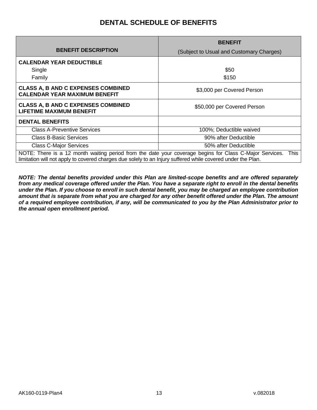# **DENTAL SCHEDULE OF BENEFITS**

<span id="page-14-0"></span>

|                                                                                                                                                                                                                                | <b>BENEFIT</b>                           |  |
|--------------------------------------------------------------------------------------------------------------------------------------------------------------------------------------------------------------------------------|------------------------------------------|--|
| <b>BENEFIT DESCRIPTION</b>                                                                                                                                                                                                     | (Subject to Usual and Customary Charges) |  |
| <b>CALENDAR YEAR DEDUCTIBLE</b>                                                                                                                                                                                                |                                          |  |
| Single                                                                                                                                                                                                                         | \$50                                     |  |
| Family                                                                                                                                                                                                                         | \$150                                    |  |
| <b>CLASS A, B AND C EXPENSES COMBINED</b><br><b>CALENDAR YEAR MAXIMUM BENEFIT</b>                                                                                                                                              | \$3,000 per Covered Person               |  |
| <b>CLASS A, B AND C EXPENSES COMBINED</b><br><b>LIFETIME MAXIMUM BENEFIT</b>                                                                                                                                                   | \$50,000 per Covered Person              |  |
| <b>DENTAL BENEFITS</b>                                                                                                                                                                                                         |                                          |  |
| <b>Class A-Preventive Services</b>                                                                                                                                                                                             | 100%; Deductible waived                  |  |
| Class B-Basic Services                                                                                                                                                                                                         | 90% after Deductible                     |  |
| <b>Class C-Major Services</b>                                                                                                                                                                                                  | 50% after Deductible                     |  |
| NOTE: There is a 12 month waiting period from the date your coverage begins for Class C-Major Services.<br>This<br>limitation will not apply to covered charges due solely to an Injury suffered while covered under the Plan. |                                          |  |

*NOTE: The dental benefits provided under this Plan are limited-scope benefits and are offered separately from any medical coverage offered under the Plan. You have a separate right to enroll in the dental benefits under the Plan. If you choose to enroll in such dental benefit, you may be charged an employee contribution amount that is separate from what you are charged for any other benefit offered under the Plan. The amount of a required employee contribution, if any, will be communicated to you by the Plan Administrator prior to the annual open enrollment period.*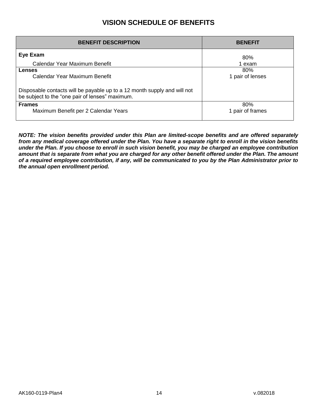# **VISION SCHEDULE OF BENEFITS**

<span id="page-15-0"></span>

| <b>BENEFIT DESCRIPTION</b>                                                                                                                                             | <b>BENEFIT</b>          |
|------------------------------------------------------------------------------------------------------------------------------------------------------------------------|-------------------------|
| Eye Exam                                                                                                                                                               | 80%                     |
| Calendar Year Maximum Benefit                                                                                                                                          | 1 exam                  |
| Lenses<br>Calendar Year Maximum Benefit<br>Disposable contacts will be payable up to a 12 month supply and will not<br>be subject to the "one pair of lenses" maximum. | 80%<br>1 pair of lenses |
| <b>Frames</b>                                                                                                                                                          | 80%                     |
| Maximum Benefit per 2 Calendar Years                                                                                                                                   | 1 pair of frames        |

*NOTE: The vision benefits provided under this Plan are limited-scope benefits and are offered separately from any medical coverage offered under the Plan. You have a separate right to enroll in the vision benefits under the Plan. If you choose to enroll in such vision benefit, you may be charged an employee contribution amount that is separate from what you are charged for any other benefit offered under the Plan. The amount of a required employee contribution, if any, will be communicated to you by the Plan Administrator prior to the annual open enrollment period.*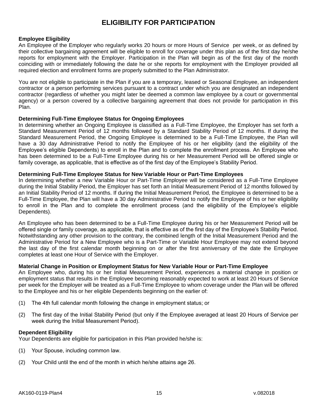# **ELIGIBILITY FOR PARTICIPATION**

### <span id="page-16-0"></span>**Employee Eligibility**

An Employee of the Employer who regularly works 20 hours or more Hours of Service per week, or as defined by their collective bargaining agreement will be eligible to enroll for coverage under this plan as of the first day he/she reports for employment with the Employer. Participation in the Plan will begin as of the first day of the month coinciding with or immediately following the date he or she reports for employment with the Employer provided all required election and enrollment forms are properly submitted to the Plan Administrator.

You are not eligible to participate in the Plan if you are a temporary, leased or Seasonal Employee, an independent contractor or a person performing services pursuant to a contract under which you are designated an independent contractor (regardless of whether you might later be deemed a common law employee by a court or governmental agency) or a person covered by a collective bargaining agreement that does not provide for participation in this Plan.

### **Determining Full-Time Employee Status for Ongoing Employees**

In determining whether an Ongoing Employee is classified as a Full-Time Employee, the Employer has set forth a Standard Measurement Period of 12 months followed by a Standard Stability Period of 12 months. If during the Standard Measurement Period, the Ongoing Employee is determined to be a Full-Time Employee, the Plan will have a 30 day Administrative Period to notify the Employee of his or her eligibility (and the eligibility of the Employee's eligible Dependents) to enroll in the Plan and to complete the enrollment process. An Employee who has been determined to be a Full-Time Employee during his or her Measurement Period will be offered single or family coverage, as applicable, that is effective as of the first day of the Employee's Stability Period.

### **Determining Full-Time Employee Status for New Variable Hour or Part-Time Employees**

In determining whether a new Variable Hour or Part-Time Employee will be considered as a Full-Time Employee during the Initial Stability Period, the Employer has set forth an Initial Measurement Period of 12 months followed by an Initial Stability Period of 12 months. If during the Initial Measurement Period, the Employee is determined to be a Full-Time Employee, the Plan will have a 30 day Administrative Period to notify the Employee of his or her eligibility to enroll in the Plan and to complete the enrollment process (and the eligibility of the Employee's eligible Dependents).

An Employee who has been determined to be a Full-Time Employee during his or her Measurement Period will be offered single or family coverage, as applicable, that is effective as of the first day of the Employee's Stability Period. Notwithstanding any other provision to the contrary, the combined length of the Initial Measurement Period and the Administrative Period for a New Employee who is a Part-Time or Variable Hour Employee may not extend beyond the last day of the first calendar month beginning on or after the first anniversary of the date the Employee completes at least one Hour of Service with the Employer.

### **Material Change in Position or Employment Status for New Variable Hour or Part-Time Employee**

An Employee who, during his or her Initial Measurement Period, experiences a material change in position or employment status that results in the Employee becoming reasonably expected to work at least 20 Hours of Service per week for the Employer will be treated as a Full-Time Employee to whom coverage under the Plan will be offered to the Employee and his or her eligible Dependents beginning on the earlier of:

- (1) The 4th full calendar month following the change in employment status; or
- (2) The first day of the Initial Stability Period (but only if the Employee averaged at least 20 Hours of Service per week during the Initial Measurement Period).

### **Dependent Eligibility**

Your Dependents are eligible for participation in this Plan provided he/she is:

- (1) Your Spouse, including common law.
- (2) Your Child until the end of the month in which he/she attains age 26.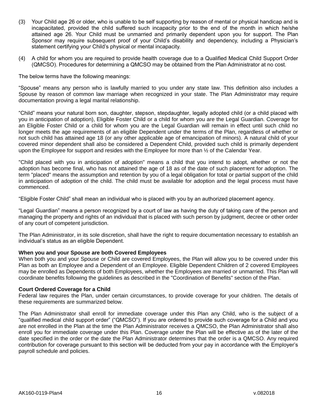- (3) Your Child age 26 or older, who is unable to be self supporting by reason of mental or physical handicap and is incapacitated, provided the child suffered such incapacity prior to the end of the month in which he/she attained age 26. Your Child must be unmarried and primarily dependent upon you for support. The Plan Sponsor may require subsequent proof of your Child's disability and dependency, including a Physician's statement certifying your Child's physical or mental incapacity.
- (4) A child for whom you are required to provide health coverage due to a Qualified Medical Child Support Order (QMCSO). Procedures for determining a QMCSO may be obtained from the Plan Administrator at no cost.

The below terms have the following meanings:

"Spouse" means any person who is lawfully married to you under any state law. This definition also includes a Spouse by reason of common law marriage when recognized in your state. The Plan Administrator may require documentation proving a legal marital relationship.

"Child" means your natural born son, daughter, stepson, stepdaughter, legally adopted child (or a child placed with you in anticipation of adoption), Eligible Foster Child or a child for whom you are the Legal Guardian. Coverage for an Eligible Foster Child or a child for whom you are the Legal Guardian will remain in effect until such child no longer meets the age requirements of an eligible Dependent under the terms of the Plan, regardless of whether or not such child has attained age 18 (or any other applicable age of emancipation of minors). A natural child of your covered minor dependent shall also be considered a Dependent Child, provided such child is primarily dependent upon the Employee for support and resides with the Employee for more than ½ of the Calendar Year.

"Child placed with you in anticipation of adoption" means a child that you intend to adopt, whether or not the adoption has become final, who has not attained the age of 18 as of the date of such placement for adoption. The term "placed" means the assumption and retention by you of a legal obligation for total or partial support of the child in anticipation of adoption of the child. The child must be available for adoption and the legal process must have commenced.

"Eligible Foster Child" shall mean an individual who is placed with you by an authorized placement agency.

"Legal Guardian" means a person recognized by a court of law as having the duty of taking care of the person and managing the property and rights of an individual that is placed with such person by judgment, decree or other order of any court of competent jurisdiction.

The Plan Administrator, in its sole discretion, shall have the right to require documentation necessary to establish an individual's status as an eligible Dependent.

### **When you and your Spouse are both Covered Employees**

When both you and your Spouse or Child are covered Employees, the Plan will allow you to be covered under this Plan as both an Employee and a Dependent of an Employee. Eligible Dependent Children of 2 covered Employees may be enrolled as Dependents of both Employees, whether the Employees are married or unmarried. This Plan will coordinate benefits following the guidelines as described in the "Coordination of Benefits" section of the Plan.

### **Court Ordered Coverage for a Child**

Federal law requires the Plan, under certain circumstances, to provide coverage for your children. The details of these requirements are summarized below.

The Plan Administrator shall enroll for immediate coverage under this Plan any Child, who is the subject of a "qualified medical child support order" ("QMCSO"). If you are ordered to provide such coverage for a Child and you are not enrolled in the Plan at the time the Plan Administrator receives a QMCSO, the Plan Administrator shall also enroll you for immediate coverage under this Plan. Coverage under the Plan will be effective as of the later of the date specified in the order or the date the Plan Administrator determines that the order is a QMCSO. Any required contribution for coverage pursuant to this section will be deducted from your pay in accordance with the Employer's payroll schedule and policies.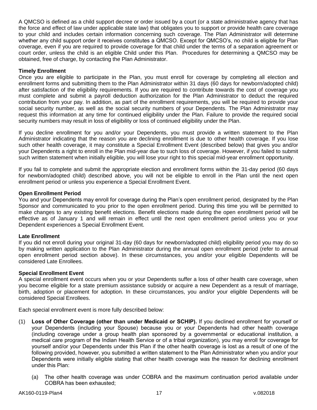A QMCSO is defined as a child support decree or order issued by a court (or a state administrative agency that has the force and effect of law under applicable state law) that obligates you to support or provide health care coverage to your child and includes certain information concerning such coverage. The Plan Administrator will determine whether any child support order it receives constitutes a QMCSO. Except for QMCSO's, no child is eligible for Plan coverage, even if you are required to provide coverage for that child under the terms of a separation agreement or court order, unless the child is an eligible Child under this Plan. Procedures for determining a QMCSO may be obtained, free of charge, by contacting the Plan Administrator.

### **Timely Enrollment**

Once you are eligible to participate in the Plan, you must enroll for coverage by completing all election and enrollment forms and submitting them to the Plan Administrator within 31 days (60 days for newborn/adopted child) after satisfaction of the eligibility requirements. If you are required to contribute towards the cost of coverage you must complete and submit a payroll deduction authorization for the Plan Administrator to deduct the required contribution from your pay. In addition, as part of the enrollment requirements, you will be required to provide your social security number, as well as the social security numbers of your Dependents. The Plan Administrator may request this information at any time for continued eligibility under the Plan. Failure to provide the required social security numbers may result in loss of eligibility or loss of continued eligibility under the Plan.

If you decline enrollment for you and/or your Dependents, you must provide a written statement to the Plan Administrator indicating that the reason you are declining enrollment is due to other health coverage. If you lose such other health coverage, it may constitute a Special Enrollment Event (described below) that gives you and/or your Dependents a right to enroll in the Plan mid-year due to such loss of coverage. However, if you failed to submit such written statement when initially eligible, you will lose your right to this special mid-year enrollment opportunity.

If you fail to complete and submit the appropriate election and enrollment forms within the 31-day period (60 days for newborn/adopted child) described above, you will not be eligible to enroll in the Plan until the next open enrollment period or unless you experience a Special Enrollment Event.

### **Open Enrollment Period**

You and your Dependents may enroll for coverage during the Plan's open enrollment period, designated by the Plan Sponsor and communicated to you prior to the open enrollment period. During this time you will be permitted to make changes to any existing benefit elections. Benefit elections made during the open enrollment period will be effective as of January 1 and will remain in effect until the next open enrollment period unless you or your Dependent experiences a Special Enrollment Event.

### **Late Enrollment**

If you did not enroll during your original 31-day (60 days for newborn/adopted child) eligibility period you may do so by making written application to the Plan Administrator during the annual open enrollment period (refer to annual open enrollment period section above). In these circumstances, you and/or your eligible Dependents will be considered Late Enrollees.

### **Special Enrollment Event**

A special enrollment event occurs when you or your Dependents suffer a loss of other health care coverage, when you become eligible for a state premium assistance subsidy or acquire a new Dependent as a result of marriage, birth, adoption or placement for adoption. In these circumstances, you and/or your eligible Dependents will be considered Special Enrollees.

Each special enrollment event is more fully described below:

- (1) **Loss of Other Coverage (other than under Medicaid or SCHIP).** If you declined enrollment for yourself or your Dependents (including your Spouse) because you or your Dependents had other health coverage (including coverage under a group health plan sponsored by a governmental or educational institution, a medical care program of the Indian Health Service or of a tribal organization), you may enroll for coverage for yourself and/or your Dependents under this Plan if the other health coverage is lost as a result of one of the following provided, however, you submitted a written statement to the Plan Administrator when you and/or your Dependents were initially eligible stating that other health coverage was the reason for declining enrollment under this Plan:
	- (a) The other health coverage was under COBRA and the maximum continuation period available under COBRA has been exhausted;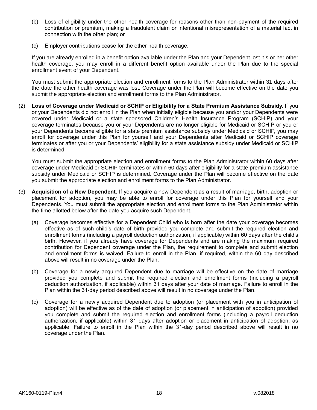- (b) Loss of eligibility under the other health coverage for reasons other than non-payment of the required contribution or premium, making a fraudulent claim or intentional misrepresentation of a material fact in connection with the other plan; or
- (c) Employer contributions cease for the other health coverage.

If you are already enrolled in a benefit option available under the Plan and your Dependent lost his or her other health coverage, you may enroll in a different benefit option available under the Plan due to the special enrollment event of your Dependent.

You must submit the appropriate election and enrollment forms to the Plan Administrator within 31 days after the date the other health coverage was lost. Coverage under the Plan will become effective on the date you submit the appropriate election and enrollment forms to the Plan Administrator.

(2) **Loss of Coverage under Medicaid or SCHIP or Eligibility for a State Premium Assistance Subsidy.** If you or your Dependents did not enroll in the Plan when initially eligible because you and/or your Dependents were covered under Medicaid or a state sponsored Children's Health Insurance Program (SCHIP) and your coverage terminates because you or your Dependents are no longer eligible for Medicaid or SCHIP or you or your Dependents become eligible for a state premium assistance subsidy under Medicaid or SCHIP, you may enroll for coverage under this Plan for yourself and your Dependents after Medicaid or SCHIP coverage terminates or after you or your Dependents' eligibility for a state assistance subsidy under Medicaid or SCHIP is determined.

You must submit the appropriate election and enrollment forms to the Plan Administrator within 60 days after coverage under Medicaid or SCHIP terminates or within 60 days after eligibility for a state premium assistance subsidy under Medicaid or SCHIP is determined. Coverage under the Plan will become effective on the date you submit the appropriate election and enrollment forms to the Plan Administrator.

- (3) **Acquisition of a New Dependent.** If you acquire a new Dependent as a result of marriage, birth, adoption or placement for adoption, you may be able to enroll for coverage under this Plan for yourself and your Dependents. You must submit the appropriate election and enrollment forms to the Plan Administrator within the time allotted below after the date you acquire such Dependent.
	- (a) Coverage becomes effective for a Dependent Child who is born after the date your coverage becomes effective as of such child's date of birth provided you complete and submit the required election and enrollment forms (including a payroll deduction authorization, if applicable) within 60 days after the child's birth. However, if you already have coverage for Dependents and are making the maximum required contribution for Dependent coverage under the Plan, the requirement to complete and submit election and enrollment forms is waived. Failure to enroll in the Plan, if required, within the 60 day described above will result in no coverage under the Plan.
	- (b) Coverage for a newly acquired Dependent due to marriage will be effective on the date of marriage provided you complete and submit the required election and enrollment forms (including a payroll deduction authorization, if applicable) within 31 days after your date of marriage. Failure to enroll in the Plan within the 31-day period described above will result in no coverage under the Plan.
	- (c) Coverage for a newly acquired Dependent due to adoption (or placement with you in anticipation of adoption) will be effective as of the date of adoption (or placement in anticipation of adoption) provided you complete and submit the required election and enrollment forms (including a payroll deduction authorization, if applicable) within 31 days after adoption or placement in anticipation of adoption, as applicable. Failure to enroll in the Plan within the 31-day period described above will result in no coverage under the Plan.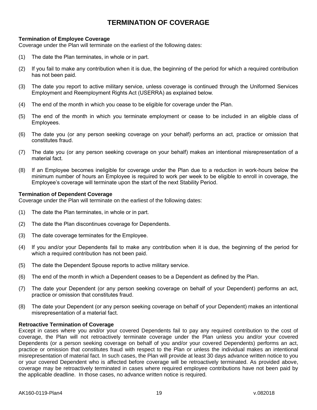# **TERMINATION OF COVERAGE**

## <span id="page-20-0"></span>**Termination of Employee Coverage**

Coverage under the Plan will terminate on the earliest of the following dates:

- (1) The date the Plan terminates, in whole or in part.
- (2) If you fail to make any contribution when it is due, the beginning of the period for which a required contribution has not been paid.
- (3) The date you report to active military service, unless coverage is continued through the Uniformed Services Employment and Reemployment Rights Act (USERRA) as explained below.
- (4) The end of the month in which you cease to be eligible for coverage under the Plan.
- (5) The end of the month in which you terminate employment or cease to be included in an eligible class of Employees.
- (6) The date you (or any person seeking coverage on your behalf) performs an act, practice or omission that constitutes fraud.
- (7) The date you (or any person seeking coverage on your behalf) makes an intentional misrepresentation of a material fact.
- (8) If an Employee becomes ineligible for coverage under the Plan due to a reduction in work-hours below the minimum number of hours an Employee is required to work per week to be eligible to enroll in coverage, the Employee's coverage will terminate upon the start of the next Stability Period.

## **Termination of Dependent Coverage**

Coverage under the Plan will terminate on the earliest of the following dates:

- (1) The date the Plan terminates, in whole or in part.
- (2) The date the Plan discontinues coverage for Dependents.
- (3) The date coverage terminates for the Employee.
- (4) If you and/or your Dependents fail to make any contribution when it is due, the beginning of the period for which a required contribution has not been paid.
- (5) The date the Dependent Spouse reports to active military service.
- (6) The end of the month in which a Dependent ceases to be a Dependent as defined by the Plan.
- (7) The date your Dependent (or any person seeking coverage on behalf of your Dependent) performs an act, practice or omission that constitutes fraud.
- (8) The date your Dependent (or any person seeking coverage on behalf of your Dependent) makes an intentional misrepresentation of a material fact.

### **Retroactive Termination of Coverage**

Except in cases where you and/or your covered Dependents fail to pay any required contribution to the cost of coverage, the Plan will not retroactively terminate coverage under the Plan unless you and/or your covered Dependents (or a person seeking coverage on behalf of you and/or your covered Dependents) performs an act, practice or omission that constitutes fraud with respect to the Plan or unless the individual makes an intentional misrepresentation of material fact. In such cases, the Plan will provide at least 30 days advance written notice to you or your covered Dependent who is affected before coverage will be retroactively terminated. As provided above, coverage may be retroactively terminated in cases where required employee contributions have not been paid by the applicable deadline. In those cases, no advance written notice is required.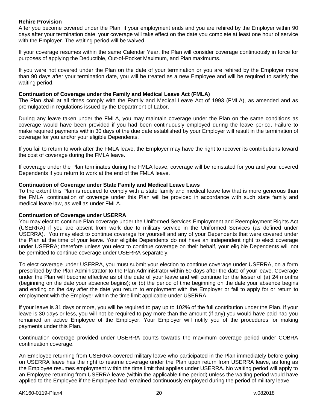### **Rehire Provision**

After you become covered under the Plan, if your employment ends and you are rehired by the Employer within 90 days after your termination date, your coverage will take effect on the date you complete at least one hour of service with the Employer. The waiting period will be waived.

If your coverage resumes within the same Calendar Year, the Plan will consider coverage continuously in force for purposes of applying the Deductible, Out-of-Pocket Maximum, and Plan maximums.

If you were not covered under the Plan on the date of your termination or you are rehired by the Employer more than 90 days after your termination date, you will be treated as a new Employee and will be required to satisfy the waiting period.

### **Continuation of Coverage under the Family and Medical Leave Act (FMLA)**

The Plan shall at all times comply with the Family and Medical Leave Act of 1993 (FMLA), as amended and as promulgated in regulations issued by the Department of Labor.

During any leave taken under the FMLA, you may maintain coverage under the Plan on the same conditions as coverage would have been provided if you had been continuously employed during the leave period. Failure to make required payments within 30 days of the due date established by your Employer will result in the termination of coverage for you and/or your eligible Dependents.

If you fail to return to work after the FMLA leave, the Employer may have the right to recover its contributions toward the cost of coverage during the FMLA leave.

If coverage under the Plan terminates during the FMLA leave, coverage will be reinstated for you and your covered Dependents if you return to work at the end of the FMLA leave.

### **Continuation of Coverage under State Family and Medical Leave Laws**

To the extent this Plan is required to comply with a state family and medical leave law that is more generous than the FMLA, continuation of coverage under this Plan will be provided in accordance with such state family and medical leave law, as well as under FMLA.

### **Continuation of Coverage under USERRA**

You may elect to continue Plan coverage under the Uniformed Services Employment and Reemployment Rights Act (USERRA) if you are absent from work due to military service in the Uniformed Services (as defined under USERRA). You may elect to continue coverage for yourself and any of your Dependents that were covered under the Plan at the time of your leave. Your eligible Dependents do not have an independent right to elect coverage under USERRA; therefore unless you elect to continue coverage on their behalf, your eligible Dependents will not be permitted to continue coverage under USERRA separately.

To elect coverage under USERRA, you must submit your election to continue coverage under USERRA, on a form prescribed by the Plan Administrator to the Plan Administrator within 60 days after the date of your leave. Coverage under the Plan will become effective as of the date of your leave and will continue for the lesser of (a) 24 months (beginning on the date your absence begins); or (b) the period of time beginning on the date your absence begins and ending on the day after the date you return to employment with the Employer or fail to apply for or return to employment with the Employer within the time limit applicable under USERRA.

If your leave is 31 days or more, you will be required to pay up to 102% of the full contribution under the Plan. If your leave is 30 days or less, you will not be required to pay more than the amount (if any) you would have paid had you remained an active Employee of the Employer. Your Employer will notify you of the procedures for making payments under this Plan.

Continuation coverage provided under USERRA counts towards the maximum coverage period under COBRA continuation coverage.

An Employee returning from USERRA-covered military leave who participated in the Plan immediately before going on USERRA leave has the right to resume coverage under the Plan upon return from USERRA leave, as long as the Employee resumes employment within the time limit that applies under USERRA. No waiting period will apply to an Employee returning from USERRA leave (within the applicable time period) unless the waiting period would have applied to the Employee if the Employee had remained continuously employed during the period of military leave.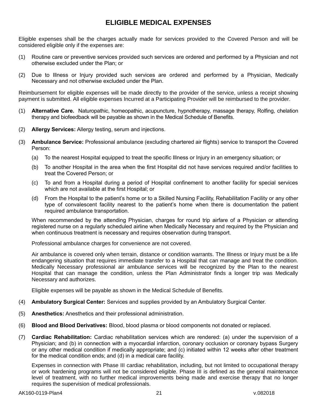# **ELIGIBLE MEDICAL EXPENSES**

<span id="page-22-0"></span>Eligible expenses shall be the charges actually made for services provided to the Covered Person and will be considered eligible only if the expenses are:

- (1) Routine care or preventive services provided such services are ordered and performed by a Physician and not otherwise excluded under the Plan; or
- (2) Due to Illness or Injury provided such services are ordered and performed by a Physician, Medically Necessary and not otherwise excluded under the Plan.

Reimbursement for eligible expenses will be made directly to the provider of the service, unless a receipt showing payment is submitted. All eligible expenses Incurred at a Participating Provider will be reimbursed to the provider.

- (1) **Alternative Care.** Naturopathic, homeopathic, acupuncture, hypnotherapy, massage therapy, Rolfing, chelation therapy and biofeedback will be payable as shown in the Medical Schedule of Benefits.
- (2) **Allergy Services:** Allergy testing, serum and injections.
- (3) **Ambulance Service:** Professional ambulance (excluding chartered air flights) service to transport the Covered Person:
	- (a) To the nearest Hospital equipped to treat the specific Illness or Injury in an emergency situation; or
	- (b) To another Hospital in the area when the first Hospital did not have services required and/or facilities to treat the Covered Person; or
	- (c) To and from a Hospital during a period of Hospital confinement to another facility for special services which are not available at the first Hospital; or
	- (d) From the Hospital to the patient's home or to a Skilled Nursing Facility, Rehabilitation Facility or any other type of convalescent facility nearest to the patient's home when there is documentation the patient required ambulance transportation.

When recommended by the attending Physician, charges for round trip airfare of a Physician or attending registered nurse on a regularly scheduled airline when Medically Necessary and required by the Physician and when continuous treatment is necessary and requires observation during transport.

Professional ambulance charges for convenience are not covered.

Air ambulance is covered only when terrain, distance or condition warrants. The Illness or Injury must be a life endangering situation that requires immediate transfer to a Hospital that can manage and treat the condition. Medically Necessary professional air ambulance services will be recognized by the Plan to the nearest Hospital that can manage the condition, unless the Plan Administrator finds a longer trip was Medically Necessary and authorizes.

Eligible expenses will be payable as shown in the Medical Schedule of Benefits.

- (4) **Ambulatory Surgical Center:** Services and supplies provided by an Ambulatory Surgical Center.
- (5) **Anesthetics:** Anesthetics and their professional administration.
- (6) **Blood and Blood Derivatives:** Blood, blood plasma or blood components not donated or replaced.
- (7) **Cardiac Rehabilitation:** Cardiac rehabilitation services which are rendered: (a) under the supervision of a Physician; and (b) in connection with a myocardial infarction, coronary occlusion or coronary bypass Surgery or any other medical condition if medically appropriate; and (c) initiated within 12 weeks after other treatment for the medical condition ends; and (d) in a medical care facility.

Expenses in connection with Phase III cardiac rehabilitation, including, but not limited to occupational therapy or work hardening programs will not be considered eligible. Phase III is defined as the general maintenance level of treatment, with no further medical improvements being made and exercise therapy that no longer requires the supervision of medical professionals.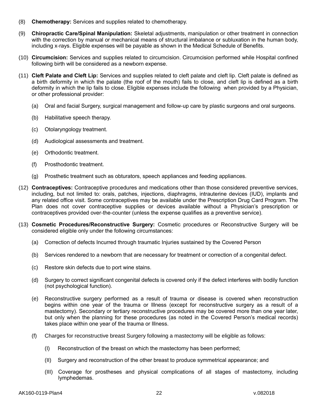- (8) **Chemotherapy:** Services and supplies related to chemotherapy.
- (9) **Chiropractic Care/Spinal Manipulation:** Skeletal adjustments, manipulation or other treatment in connection with the correction by manual or mechanical means of structural imbalance or subluxation in the human body, including x-rays. Eligible expenses will be payable as shown in the Medical Schedule of Benefits.
- (10) **Circumcision:** Services and supplies related to circumcision. Circumcision performed while Hospital confined following birth will be considered as a newborn expense.
- (11) **Cleft Palate and Cleft Lip:** Services and supplies related to cleft palate and cleft lip. Cleft palate is defined as a birth deformity in which the palate (the roof of the mouth) fails to close, and cleft lip is defined as a birth deformity in which the lip fails to close. Eligible expenses include the following when provided by a Physician, or other professional provider:
	- (a) Oral and facial Surgery, surgical management and follow-up care by plastic surgeons and oral surgeons.
	- (b) Habilitative speech therapy.
	- (c) Otolaryngology treatment.
	- (d) Audiological assessments and treatment.
	- (e) Orthodontic treatment.
	- (f) Prosthodontic treatment.
	- (g) Prosthetic treatment such as obturators, speech appliances and feeding appliances.
- (12) **Contraceptives:** Contraceptive procedures and medications other than those considered preventive services, including, but not limited to: orals, patches, injections, diaphragms, intrauterine devices (IUD), implants and any related office visit. Some contraceptives may be available under the Prescription Drug Card Program. The Plan does not cover contraceptive supplies or devices available without a Physician's prescription or contraceptives provided over-the-counter (unless the expense qualifies as a preventive service).
- (13) **Cosmetic Procedures/Reconstructive Surgery:** Cosmetic procedures or Reconstructive Surgery will be considered eligible only under the following circumstances:
	- (a) Correction of defects Incurred through traumatic Injuries sustained by the Covered Person
	- (b) Services rendered to a newborn that are necessary for treatment or correction of a congenital defect.
	- (c) Restore skin defects due to port wine stains.
	- (d) Surgery to correct significant congenital defects is covered only if the defect interferes with bodily function (not psychological function).
	- (e) Reconstructive surgery performed as a result of trauma or disease is covered when reconstruction begins within one year of the trauma or Illness (except for reconstructive surgery as a result of a mastectomy). Secondary or tertiary reconstructive procedures may be covered more than one year later, but only when the planning for these procedures (as noted in the Covered Person's medical records) takes place within one year of the trauma or Illness.
	- (f) Charges for reconstructive breast Surgery following a mastectomy will be eligible as follows:
		- (I) Reconstruction of the breast on which the mastectomy has been performed;
		- (II) Surgery and reconstruction of the other breast to produce symmetrical appearance; and
		- (III) Coverage for prostheses and physical complications of all stages of mastectomy, including lymphedemas.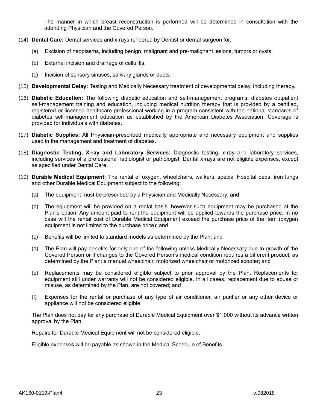The manner in which breast reconstruction is performed will be determined in consultation with the attending Physician and the Covered Person.

- (14) **Dental Care:** Dental services and x-rays rendered by Dentist or dental surgeon for:
	- (a) Excision of neoplasms, including benign, malignant and pre-malignant lesions, tumors or cysts.
	- (b) External incision and drainage of cellulitis.
	- (c) Incision of sensory sinuses, salivary glands or ducts.
- (15) **Developmental Delay:** Testing and Medically Necessary treatment of developmental delay, including therapy.
- (16) **Diabetic Education:** The following diabetic education and self-management programs: diabetes outpatient self-management training and education, including medical nutrition therapy that is provided by a certified, registered or licensed healthcare professional working in a program consistent with the national standards of diabetes self-management education as established by the American Diabetes Association. Coverage is provided for individuals with diabetes.
- (17) **Diabetic Supplies:** All Physician-prescribed medically appropriate and necessary equipment and supplies used in the management and treatment of diabetes.
- (18) **Diagnostic Testing, X-ray and Laboratory Services:** Diagnostic testing, x-ray and laboratory services, including services of a professional radiologist or pathologist. Dental x-rays are not eligible expenses, except as specified under Dental Care.
- (19) **Durable Medical Equipment:** The rental of oxygen, wheelchairs, walkers, special Hospital beds, iron lungs and other Durable Medical Equipment subject to the following:
	- (a) The equipment must be prescribed by a Physician and Medically Necessary; and
	- (b) The equipment will be provided on a rental basis; however such equipment may be purchased at the Plan's option. Any amount paid to rent the equipment will be applied towards the purchase price. In no case will the rental cost of Durable Medical Equipment exceed the purchase price of the item (oxygen equipment is not limited to the purchase price); and
	- (c) Benefits will be limited to standard models as determined by the Plan; and
	- (d) The Plan will pay benefits for only one of the following unless Medically Necessary due to growth of the Covered Person or if changes to the Covered Person's medical condition requires a different product, as determined by the Plan: a manual wheelchair, motorized wheelchair or motorized scooter; and
	- (e) Replacements may be considered eligible subject to prior approval by the Plan. Replacements for equipment still under warranty will not be considered eligible. In all cases, replacement due to abuse or misuse, as determined by the Plan, are not covered; and
	- (f) Expenses for the rental or purchase of any type of air conditioner, air purifier or any other device or appliance will not be considered eligible.

The Plan does not pay for any purchase of Durable Medical Equipment over \$1,000 without its advance written approval by the Plan.

Repairs for Durable Medical Equipment will not be considered eligible.

Eligible expenses will be payable as shown in the Medical Schedule of Benefits.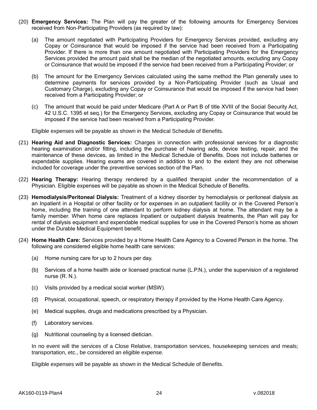- (20) **Emergency Services:** The Plan will pay the greater of the following amounts for Emergency Services received from Non-Participating Providers (as required by law):
	- (a) The amount negotiated with Participating Providers for Emergency Services provided, excluding any Copay or Coinsurance that would be imposed if the service had been received from a Participating Provider. If there is more than one amount negotiated with Participating Providers for the Emergency Services provided the amount paid shall be the median of the negotiated amounts, excluding any Copay or Coinsurance that would be imposed if the service had been received from a Participating Provider; or
	- (b) The amount for the Emergency Services calculated using the same method the Plan generally uses to determine payments for services provided by a Non-Participating Provider (such as Usual and Customary Charge), excluding any Copay or Coinsurance that would be imposed if the service had been received from a Participating Provider; or
	- (c) The amount that would be paid under Medicare (Part A or Part B of title XVIII of the Social Security Act, 42 U.S.C. 1395 et seq.) for the Emergency Services, excluding any Copay or Coinsurance that would be imposed if the service had been received from a Participating Provider.

Eligible expenses will be payable as shown in the Medical Schedule of Benefits.

- (21) **Hearing Aid and Diagnostic Services:** Charges in connection with professional services for a diagnostic hearing examination and/or fitting, including the purchase of hearing aids, device testing, repair, and the maintenance of these devices, as limited in the Medical Schedule of Benefits. Does not include batteries or expendable supplies. Hearing exams are covered in addition to and to the extent they are not otherwise included for coverage under the preventive services section of the Plan.
- (22) **Hearing Therapy:** Hearing therapy rendered by a qualified therapist under the recommendation of a Physician. Eligible expenses will be payable as shown in the Medical Schedule of Benefits.
- (23) **Hemodialysis/Peritoneal Dialysis:** Treatment of a kidney disorder by hemodialysis or peritoneal dialysis as an Inpatient in a Hospital or other facility or for expenses in an outpatient facility or in the Covered Person's home, including the training of one attendant to perform kidney dialysis at home. The attendant may be a family member. When home care replaces Inpatient or outpatient dialysis treatments, the Plan will pay for rental of dialysis equipment and expendable medical supplies for use in the Covered Person's home as shown under the Durable Medical Equipment benefit.
- (24) **Home Health Care:** Services provided by a Home Health Care Agency to a Covered Person in the home. The following are considered eligible home health care services:
	- (a) Home nursing care for up to 2 hours per day.
	- (b) Services of a home health aide or licensed practical nurse (L.P.N.), under the supervision of a registered nurse (R. N.).
	- (c) Visits provided by a medical social worker (MSW).
	- (d) Physical, occupational, speech, or respiratory therapy if provided by the Home Health Care Agency.
	- (e) Medical supplies, drugs and medications prescribed by a Physician.
	- (f) Laboratory services.
	- (g) Nutritional counseling by a licensed dietician.

In no event will the services of a Close Relative, transportation services, housekeeping services and meals; transportation, etc., be considered an eligible expense.

Eligible expenses will be payable as shown in the Medical Schedule of Benefits.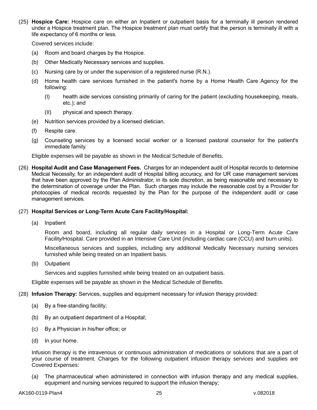(25) **Hospice Care:** Hospice care on either an Inpatient or outpatient basis for a terminally ill person rendered under a Hospice treatment plan. The Hospice treatment plan must certify that the person is terminally ill with a life expectancy of 6 months or less.

Covered services include:

- (a) Room and board charges by the Hospice.
- (b) Other Medically Necessary services and supplies.
- (c) Nursing care by or under the supervision of a registered nurse (R.N.).
- (d) Home health care services furnished in the patient's home by a Home Health Care Agency for the following:
	- (I) health aide services consisting primarily of caring for the patient (excluding housekeeping, meals, etc.); and
	- (II) physical and speech therapy.
- (e) Nutrition services provided by a licensed dietician.
- (f) Respite care.
- (g) Counseling services by a licensed social worker or a licensed pastoral counselor for the patient's immediate family.

Eligible expenses will be payable as shown in the Medical Schedule of Benefits.

(26) **Hospital Audit and Case Management Fees.** Charges for an independent audit of Hospital records to determine Medical Necessity, for an independent audit of Hospital billing accuracy, and for UR case management services that have been approved by the Plan Administrator, in its sole discretion, as being reasonable and necessary to the determination of coverage under the Plan. Such charges may include the reasonable cost by a Provider for photocopies of medical records requested by the Plan for the purpose of the independent audit or case management services.

### (27) **Hospital Services or Long-Term Acute Care Facility/Hospital:**

(a) Inpatient

Room and board, including all regular daily services in a Hospital or Long-Term Acute Care Facility/Hospital. Care provided in an Intensive Care Unit (including cardiac care (CCU) and burn units).

Miscellaneous services and supplies, including any additional Medically Necessary nursing services furnished while being treated on an Inpatient basis.

(b) Outpatient

Services and supplies furnished while being treated on an outpatient basis.

Eligible expenses will be payable as shown in the Medical Schedule of Benefits.

- (28) **Infusion Therapy:** Services, supplies and equipment necessary for infusion therapy provided:
	- (a) By a free-standing facility;
	- (b) By an outpatient department of a Hospital;
	- (c) By a Physician in his/her office; or
	- (d) In your home.

Infusion therapy is the intravenous or continuous administration of medications or solutions that are a part of your course of treatment. Charges for the following outpatient infusion therapy services and supplies are Covered Expenses:

(a) The pharmaceutical when administered in connection with infusion therapy and any medical supplies, equipment and nursing services required to support the infusion therapy;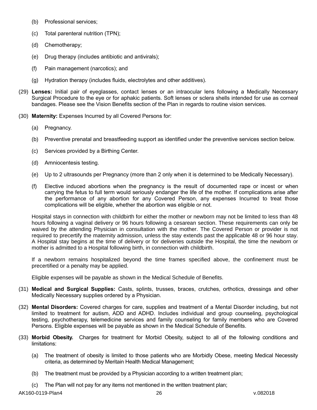- (b) Professional services;
- (c) Total parenteral nutrition (TPN);
- (d) Chemotherapy;
- (e) Drug therapy (includes antibiotic and antivirals);
- (f) Pain management (narcotics); and
- (g) Hydration therapy (includes fluids, electrolytes and other additives).
- (29) **Lenses:** Initial pair of eyeglasses, contact lenses or an intraocular lens following a Medically Necessary Surgical Procedure to the eye or for aphakic patients. Soft lenses or sclera shells intended for use as corneal bandages. Please see the Vision Benefits section of the Plan in regards to routine vision services.
- (30) **Maternity:** Expenses Incurred by all Covered Persons for:
	- (a) Pregnancy.
	- (b) Preventive prenatal and breastfeeding support as identified under the preventive services section below.
	- (c) Services provided by a Birthing Center.
	- (d) Amniocentesis testing.
	- (e) Up to 2 ultrasounds per Pregnancy (more than 2 only when it is determined to be Medically Necessary).
	- (f) Elective induced abortions when the pregnancy is the result of documented rape or incest or when carrying the fetus to full term would seriously endanger the life of the mother. If complications arise after the performance of any abortion for any Covered Person, any expenses Incurred to treat those complications will be eligible, whether the abortion was eligible or not.

Hospital stays in connection with childbirth for either the mother or newborn may not be limited to less than 48 hours following a vaginal delivery or 96 hours following a cesarean section. These requirements can only be waived by the attending Physician in consultation with the mother. The Covered Person or provider is not required to precertify the maternity admission, unless the stay extends past the applicable 48 or 96 hour stay. A Hospital stay begins at the time of delivery or for deliveries outside the Hospital, the time the newborn or mother is admitted to a Hospital following birth, in connection with childbirth.

If a newborn remains hospitalized beyond the time frames specified above, the confinement must be precertified or a penalty may be applied.

Eligible expenses will be payable as shown in the Medical Schedule of Benefits.

- (31) **Medical and Surgical Supplies:** Casts, splints, trusses, braces, crutches, orthotics, dressings and other Medically Necessary supplies ordered by a Physician.
- (32) **Mental Disorders:** Covered charges for care, supplies and treatment of a Mental Disorder including, but not limited to treatment for autism, ADD and ADHD. Includes individual and group counseling, psychological testing, psychotherapy, telemedicine services and family counseling for family members who are Covered Persons. Eligible expenses will be payable as shown in the Medical Schedule of Benefits.
- (33) **Morbid Obesity.** Charges for treatment for Morbid Obesity, subject to all of the following conditions and limitations:
	- (a) The treatment of obesity is limited to those patients who are Morbidly Obese, meeting Medical Necessity criteria, as determined by Meritain Health Medical Management;
	- (b) The treatment must be provided by a Physician according to a written treatment plan;
	- (c) The Plan will not pay for any items not mentioned in the written treatment plan;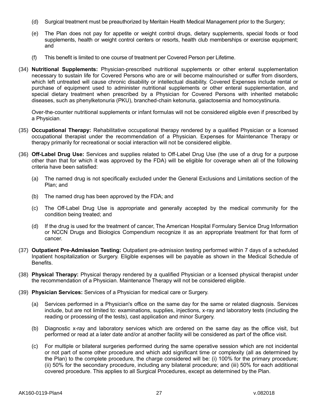- (d) Surgical treatment must be preauthorized by Meritain Health Medical Management prior to the Surgery;
- (e) The Plan does not pay for appetite or weight control drugs, dietary supplements, special foods or food supplements, health or weight control centers or resorts, health club memberships or exercise equipment; and
- (f) This benefit is limited to one course of treatment per Covered Person per Lifetime.
- (34) **Nutritional Supplements:** Physician-prescribed nutritional supplements or other enteral supplementation necessary to sustain life for Covered Persons who are or will become malnourished or suffer from disorders, which left untreated will cause chronic disability or intellectual disability. Covered Expenses include rental or purchase of equipment used to administer nutritional supplements or other enteral supplementation, and special dietary treatment when prescribed by a Physician for Covered Persons with inherited metabolic diseases, such as phenylketonuria (PKU), branched-chain ketonuria, galactosemia and homocystinuria.

Over-the-counter nutritional supplements or infant formulas will not be considered eligible even if prescribed by a Physician.

- (35) **Occupational Therapy:** Rehabilitative occupational therapy rendered by a qualified Physician or a licensed occupational therapist under the recommendation of a Physician. Expenses for Maintenance Therapy or therapy primarily for recreational or social interaction will not be considered eligible.
- (36) **Off-Label Drug Use:** Services and supplies related to Off-Label Drug Use (the use of a drug for a purpose other than that for which it was approved by the FDA) will be eligible for coverage when all of the following criteria have been satisfied:
	- (a) The named drug is not specifically excluded under the General Exclusions and Limitations section of the Plan; and
	- (b) The named drug has been approved by the FDA; and
	- (c) The Off-Label Drug Use is appropriate and generally accepted by the medical community for the condition being treated; and
	- (d) If the drug is used for the treatment of cancer, The American Hospital Formulary Service Drug Information or NCCN Drugs and Biologics Compendium recognize it as an appropriate treatment for that form of cancer.
- (37) **Outpatient Pre-Admission Testing:** Outpatient pre-admission testing performed within 7 days of a scheduled Inpatient hospitalization or Surgery. Eligible expenses will be payable as shown in the Medical Schedule of Benefits.
- (38) **Physical Therapy:** Physical therapy rendered by a qualified Physician or a licensed physical therapist under the recommendation of a Physician. Maintenance Therapy will not be considered eligible.
- (39) **Physician Services:** Services of a Physician for medical care or Surgery.
	- (a) Services performed in a Physician's office on the same day for the same or related diagnosis. Services include, but are not limited to: examinations, supplies, injections, x-ray and laboratory tests (including the reading or processing of the tests), cast application and minor Surgery.
	- (b) Diagnostic x-ray and laboratory services which are ordered on the same day as the office visit, but performed or read at a later date and/or at another facility will be considered as part of the office visit.
	- (c) For multiple or bilateral surgeries performed during the same operative session which are not incidental or not part of some other procedure and which add significant time or complexity (all as determined by the Plan) to the complete procedure, the charge considered will be: (i) 100% for the primary procedure; (ii) 50% for the secondary procedure, including any bilateral procedure; and (iii) 50% for each additional covered procedure. This applies to all Surgical Procedures, except as determined by the Plan.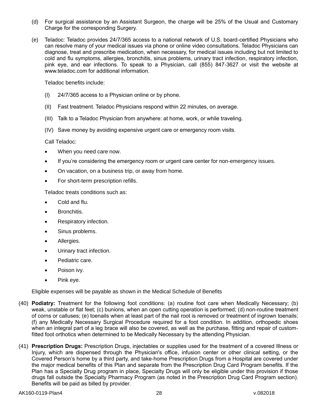- (d) For surgical assistance by an Assistant Surgeon, the charge will be 25% of the Usual and Customary Charge for the corresponding Surgery.
- (e) Teladoc: Teladoc provides 24/7/365 access to a national network of U.S. board-certified Physicians who can resolve many of your medical issues via phone or online video consultations. Teladoc Physicians can diagnose, treat and prescribe medication, when necessary, for medical issues including but not limited to cold and flu symptoms, allergies, bronchitis, sinus problems, urinary tract infection, respiratory infection, pink eye, and ear infections. To speak to a Physician, call (855) 847-3627 or visit the website at www.teladoc.com for additional information.

Teladoc benefits include:

- (I) 24/7/365 access to a Physician online or by phone.
- (II) Fast treatment. Teladoc Physicians respond within 22 minutes, on average.
- (III) Talk to a Teladoc Physician from anywhere: at home, work, or while traveling.
- (IV) Save money by avoiding expensive urgent care or emergency room visits.

Call Teladoc:

- When you need care now.
- If you're considering the emergency room or urgent care center for non-emergency issues.
- On vacation, on a business trip, or away from home.
- For short-term prescription refills.

Teladoc treats conditions such as:

- Cold and flu.
- Bronchitis.
- Respiratory infection.
- Sinus problems.
- Allergies.
- Urinary tract infection.
- Pediatric care.
- Poison ivy.
- Pink eye.

Eligible expenses will be payable as shown in the Medical Schedule of Benefits

- (40) **Podiatry:** Treatment for the following foot conditions: (a) routine foot care when Medically Necessary; (b) weak, unstable or flat feet; (c) bunions, when an open cutting operation is performed; (d) non-routine treatment of corns or calluses; (e) toenails when at least part of the nail root is removed or treatment of ingrown toenails; (f) any Medically Necessary Surgical Procedure required for a foot condition. In addition, orthopedic shoes when an integral part of a leg brace will also be covered, as well as the purchase, fitting and repair of customfitted foot orthotics when determined to be Medically Necessary by the attending Physician.
- (41) **Prescription Drugs:** Prescription Drugs, injectables or supplies used for the treatment of a covered Illness or Injury, which are dispensed through the Physician's office, infusion center or other clinical setting, or the Covered Person's home by a third party, and take-home Prescription Drugs from a Hospital are covered under the major medical benefits of this Plan and separate from the Prescription Drug Card Program benefits. If the Plan has a Specialty Drug program in place, Specialty Drugs will only be eligible under this provision if those drugs fall outside the Specialty Pharmacy Program (as noted in the Prescription Drug Card Program section). Benefits will be paid as billed by provider.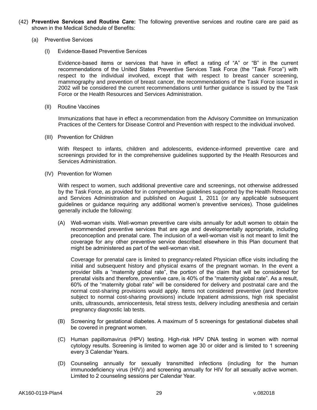- (42) **Preventive Services and Routine Care:** The following preventive services and routine care are paid as shown in the Medical Schedule of Benefits:
	- (a) Preventive Services
		- (I) Evidence-Based Preventive Services

Evidence-based items or services that have in effect a rating of "A" or "B" in the current recommendations of the United States Preventive Services Task Force (the "Task Force") with respect to the individual involved, except that with respect to breast cancer screening, mammography and prevention of breast cancer, the recommendations of the Task Force issued in 2002 will be considered the current recommendations until further guidance is issued by the Task Force or the Health Resources and Services Administration.

(II) Routine Vaccines

Immunizations that have in effect a recommendation from the Advisory Committee on Immunization Practices of the Centers for Disease Control and Prevention with respect to the individual involved.

(III) Prevention for Children

With Respect to infants, children and adolescents, evidence-informed preventive care and screenings provided for in the comprehensive guidelines supported by the Health Resources and Services Administration.

(IV) Prevention for Women

With respect to women, such additional preventive care and screenings, not otherwise addressed by the Task Force, as provided for in comprehensive guidelines supported by the Health Resources and Services Administration and published on August 1, 2011 (or any applicable subsequent guidelines or guidance requiring any additional women's preventive services). Those guidelines generally include the following:

(A) Well-woman visits. Well-woman preventive care visits annually for adult women to obtain the recommended preventive services that are age and developmentally appropriate, including preconception and prenatal care. The inclusion of a well-woman visit is not meant to limit the coverage for any other preventive service described elsewhere in this Plan document that might be administered as part of the well-woman visit.

Coverage for prenatal care is limited to pregnancy-related Physician office visits including the initial and subsequent history and physical exams of the pregnant woman. In the event a provider bills a "maternity global rate", the portion of the claim that will be considered for prenatal visits and therefore, preventive care, is 40% of the "maternity global rate". As a result, 60% of the "maternity global rate" will be considered for delivery and postnatal care and the normal cost-sharing provisions would apply. Items not considered preventive (and therefore subject to normal cost-sharing provisions) include Inpatient admissions, high risk specialist units, ultrasounds, amniocentesis, fetal stress tests, delivery including anesthesia and certain pregnancy diagnostic lab tests.

- (B) Screening for gestational diabetes. A maximum of 5 screenings for gestational diabetes shall be covered in pregnant women.
- (C) Human papillomavirus (HPV) testing. High-risk HPV DNA testing in women with normal cytology results. Screening is limited to women age 30 or older and is limited to 1 screening every 3 Calendar Years.
- (D) Counseling annually for sexually transmitted infections (including for the human immunodeficiency virus (HIV)) and screening annually for HIV for all sexually active women. Limited to 2 counseling sessions per Calendar Year.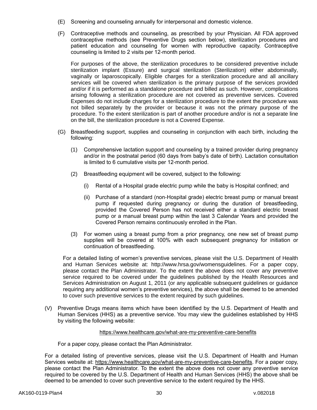- (E) Screening and counseling annually for interpersonal and domestic violence.
- (F) Contraceptive methods and counseling, as prescribed by your Physician. All FDA approved contraceptive methods (see Preventive Drugs section below), sterilization procedures and patient education and counseling for women with reproductive capacity. Contraceptive counseling is limited to 2 visits per 12-month period.

For purposes of the above, the sterilization procedures to be considered preventive include sterilization implant (Essure) and surgical sterilization (Sterilization) either abdominally, vaginally or laparoscopically. Eligible charges for a sterilization procedure and all ancillary services will be covered when sterilization is the primary purpose of the services provided and/or if it is performed as a standalone procedure and billed as such. However, complications arising following a sterilization procedure are not covered as preventive services. Covered Expenses do not include charges for a sterilization procedure to the extent the procedure was not billed separately by the provider or because it was not the primary purpose of the procedure. To the extent sterilization is part of another procedure and/or is not a separate line on the bill, the sterilization procedure is not a Covered Expense.

- (G) Breastfeeding support, supplies and counseling in conjunction with each birth, including the following:
	- (1) Comprehensive lactation support and counseling by a trained provider during pregnancy and/or in the postnatal period (60 days from baby's date of birth). Lactation consultation is limited to 6 cumulative visits per 12-month period.
	- (2) Breastfeeding equipment will be covered, subject to the following:
		- (i) Rental of a Hospital grade electric pump while the baby is Hospital confined; and
		- (ii) Purchase of a standard (non-Hospital grade) electric breast pump or manual breast pump if requested during pregnancy or during the duration of breastfeeding, provided the Covered Person has not received either a standard electric breast pump or a manual breast pump within the last 3 Calendar Years and provided the Covered Person remains continuously enrolled in the Plan.
	- (3) For women using a breast pump from a prior pregnancy, one new set of breast pump supplies will be covered at 100% with each subsequent pregnancy for initiation or continuation of breastfeeding.

For a detailed listing of women's preventive services, please visit the U.S. Department of Health and Human Services website at: http://www.hrsa.gov/womensguidelines. For a paper copy, please contact the Plan Administrator. To the extent the above does not cover any preventive service required to be covered under the guidelines published by the Health Resources and Services Administration on August 1, 2011 (or any applicable subsequent guidelines or guidance requiring any additional women's preventive services), the above shall be deemed to be amended to cover such preventive services to the extent required by such guidelines.

(V) Preventive Drugs means items which have been identified by the U.S. Department of Health and Human Services (HHS) as a preventive service. You may view the guidelines established by HHS by visiting the following website:

### https://www.healthcare.gov/what-are-my-preventive-care-benefits

For a paper copy, please contact the Plan Administrator.

For a detailed listing of preventive services, please visit the U.S. Department of Health and Human Services website at: https://www.healthcare.gov/what-are-my-preventive-care-benefits. For a paper copy, please contact the Plan Administrator. To the extent the above does not cover any preventive service required to be covered by the U.S. Department of Health and Human Services (HHS) the above shall be deemed to be amended to cover such preventive service to the extent required by the HHS.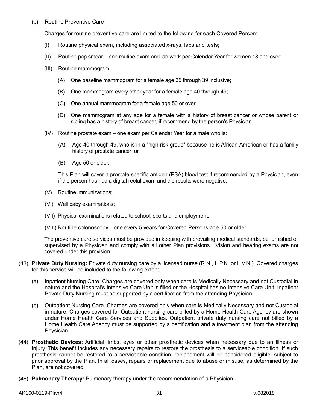### (b) Routine Preventive Care

Charges for routine preventive care are limited to the following for each Covered Person:

- (I) Routine physical exam, including associated x-rays, labs and tests;
- (II) Routine pap smear one routine exam and lab work per Calendar Year for women 18 and over;
- (III) Routine mammogram:
	- (A) One baseline mammogram for a female age 35 through 39 inclusive;
	- (B) One mammogram every other year for a female age 40 through 49;
	- (C) One annual mammogram for a female age 50 or over;
	- (D) One mammogram at any age for a female with a history of breast cancer or whose parent or sibling has a history of breast cancer, if recommend by the person's Physician.
- (IV) Routine prostate exam one exam per Calendar Year for a male who is:
	- (A) Age 40 through 49, who is in a "high risk group" because he is African-American or has a family history of prostate cancer; or
	- (B) Age 50 or older.

This Plan will cover a prostate-specific antigen (PSA) blood test if recommended by a Physician, even if the person has had a digital rectal exam and the results were negative.

- (V) Routine immunizations;
- (VI) Well baby examinations;
- (VII) Physical examinations related to school, sports and employment;
- (VIII) Routine colonoscopy—one every 5 years for Covered Persons age 50 or older.

The preventive care services must be provided in keeping with prevailing medical standards, be furnished or supervised by a Physician and comply with all other Plan provisions. Vision and hearing exams are not covered under this provision.

- (43) **Private Duty Nursing:** Private duty nursing care by a licensed nurse (R.N., L.P.N. or L.V.N.). Covered charges for this service will be included to the following extent:
	- (a) Inpatient Nursing Care. Charges are covered only when care is Medically Necessary and not Custodial in nature and the Hospital's Intensive Care Unit is filled or the Hospital has no Intensive Care Unit. Inpatient Private Duty Nursing must be supported by a certification from the attending Physician.
	- (b) Outpatient Nursing Care. Charges are covered only when care is Medically Necessary and not Custodial in nature. Charges covered for Outpatient nursing care billed by a Home Health Care Agency are shown under Home Health Care Services and Supplies. Outpatient private duty nursing care not billed by a Home Health Care Agency must be supported by a certification and a treatment plan from the attending Physician.
- (44) **Prosthetic Devices:** Artificial limbs, eyes or other prosthetic devices when necessary due to an Illness or Injury. This benefit includes any necessary repairs to restore the prosthesis to a serviceable condition. If such prosthesis cannot be restored to a serviceable condition, replacement will be considered eligible, subject to prior approval by the Plan. In all cases, repairs or replacement due to abuse or misuse, as determined by the Plan, are not covered.
- (45) **Pulmonary Therapy:** Pulmonary therapy under the recommendation of a Physician.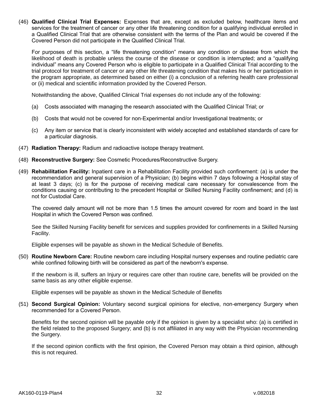(46) **Qualified Clinical Trial Expenses:** Expenses that are, except as excluded below, healthcare items and services for the treatment of cancer or any other life threatening condition for a qualifying individual enrolled in a Qualified Clinical Trial that are otherwise consistent with the terms of the Plan and would be covered if the Covered Person did not participate in the Qualified Clinical Trial.

For purposes of this section, a "life threatening condition" means any condition or disease from which the likelihood of death is probable unless the course of the disease or condition is interrupted; and a "qualifying individual" means any Covered Person who is eligible to participate in a Qualified Clinical Trial according to the trial protocol for treatment of cancer or any other life threatening condition that makes his or her participation in the program appropriate, as determined based on either (i) a conclusion of a referring health care professional or (ii) medical and scientific information provided by the Covered Person.

Notwithstanding the above, Qualified Clinical Trial expenses do not include any of the following:

- (a) Costs associated with managing the research associated with the Qualified Clinical Trial; or
- (b) Costs that would not be covered for non-Experimental and/or Investigational treatments; or
- (c) Any item or service that is clearly inconsistent with widely accepted and established standards of care for a particular diagnosis.
- (47) **Radiation Therapy:** Radium and radioactive isotope therapy treatment.
- (48) **Reconstructive Surgery:** See Cosmetic Procedures/Reconstructive Surgery.
- (49) **Rehabilitation Facility:** Inpatient care in a Rehabilitation Facility provided such confinement: (a) is under the recommendation and general supervision of a Physician; (b) begins within 7 days following a Hospital stay of at least 3 days; (c) is for the purpose of receiving medical care necessary for convalescence from the conditions causing or contributing to the precedent Hospital or Skilled Nursing Facility confinement; and (d) is not for Custodial Care.

The covered daily amount will not be more than 1.5 times the amount covered for room and board in the last Hospital in which the Covered Person was confined.

See the Skilled Nursing Facility benefit for services and supplies provided for confinements in a Skilled Nursing Facility.

Eligible expenses will be payable as shown in the Medical Schedule of Benefits.

(50) **Routine Newborn Care:** Routine newborn care including Hospital nursery expenses and routine pediatric care while confined following birth will be considered as part of the newborn's expense.

If the newborn is ill, suffers an Injury or requires care other than routine care, benefits will be provided on the same basis as any other eligible expense.

Eligible expenses will be payable as shown in the Medical Schedule of Benefits

(51) **Second Surgical Opinion:** Voluntary second surgical opinions for elective, non-emergency Surgery when recommended for a Covered Person.

Benefits for the second opinion will be payable only if the opinion is given by a specialist who: (a) is certified in the field related to the proposed Surgery; and (b) is not affiliated in any way with the Physician recommending the Surgery.

If the second opinion conflicts with the first opinion, the Covered Person may obtain a third opinion, although this is not required.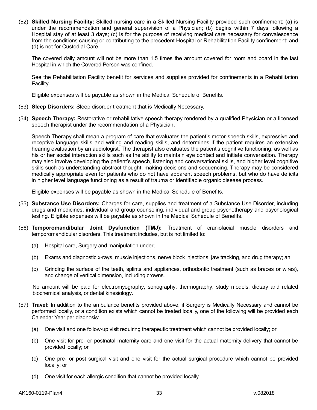(52) **Skilled Nursing Facility:** Skilled nursing care in a Skilled Nursing Facility provided such confinement: (a) is under the recommendation and general supervision of a Physician; (b) begins within 7 days following a Hospital stay of at least 3 days; (c) is for the purpose of receiving medical care necessary for convalescence from the conditions causing or contributing to the precedent Hospital or Rehabilitation Facility confinement; and (d) is not for Custodial Care.

The covered daily amount will not be more than 1.5 times the amount covered for room and board in the last Hospital in which the Covered Person was confined.

See the Rehabilitation Facility benefit for services and supplies provided for confinements in a Rehabilitation Facility.

Eligible expenses will be payable as shown in the Medical Schedule of Benefits.

- (53) **Sleep Disorders:** Sleep disorder treatment that is Medically Necessary.
- (54) **Speech Therapy:** Restorative or rehabilitative speech therapy rendered by a qualified Physician or a licensed speech therapist under the recommendation of a Physician.

Speech Therapy shall mean a program of care that evaluates the patient's motor-speech skills, expressive and receptive language skills and writing and reading skills, and determines if the patient requires an extensive hearing evaluation by an audiologist. The therapist also evaluates the patient's cognitive functioning, as well as his or her social interaction skills such as the ability to maintain eye contact and initiate conversation. Therapy may also involve developing the patient's speech, listening and conversational skills, and higher level cognitive skills such as understanding abstract thought, making decisions and sequencing. Therapy may be considered medically appropriate even for patients who do not have apparent speech problems, but who do have deficits in higher level language functioning as a result of trauma or identifiable organic disease process.

Eligible expenses will be payable as shown in the Medical Schedule of Benefits.

- (55) **Substance Use Disorders:** Charges for care, supplies and treatment of a Substance Use Disorder, including drugs and medicines, individual and group counseling, individual and group psychotherapy and psychological testing. Eligible expenses will be payable as shown in the Medical Schedule of Benefits.
- (56) **Temporomandibular Joint Dysfunction (TMJ):** Treatment of craniofacial muscle disorders and temporomandibular disorders. This treatment includes, but is not limited to:
	- (a) Hospital care, Surgery and manipulation under;
	- (b) Exams and diagnostic x-rays, muscle injections, nerve block injections, jaw tracking, and drug therapy; an
	- (c) Grinding the surface of the teeth, splints and appliances, orthodontic treatment (such as braces or wires), and change of vertical dimension, including crowns.

No amount will be paid for electromyography, sonography, thermography, study models, dietary and related biochemical analysis, or dental kinesiology.

- (57) **Travel:** In addition to the ambulance benefits provided above, if Surgery is Medically Necessary and cannot be performed locally, or a condition exists which cannot be treated locally, one of the following will be provided each Calendar Year per diagnosis:
	- (a) One visit and one follow-up visit requiring therapeutic treatment which cannot be provided locally; or
	- (b) One visit for pre- or postnatal maternity care and one visit for the actual maternity delivery that cannot be provided locally; or
	- (c) One pre- or post surgical visit and one visit for the actual surgical procedure which cannot be provided locally; or
	- (d) One visit for each allergic condition that cannot be provided locally.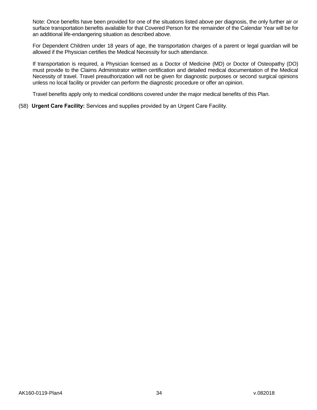Note: Once benefits have been provided for one of the situations listed above per diagnosis, the only further air or surface transportation benefits available for that Covered Person for the remainder of the Calendar Year will be for an additional life-endangering situation as described above.

For Dependent Children under 18 years of age, the transportation charges of a parent or legal guardian will be allowed if the Physician certifies the Medical Necessity for such attendance.

If transportation is required, a Physician licensed as a Doctor of Medicine (MD) or Doctor of Osteopathy (DO) must provide to the Claims Administrator written certification and detailed medical documentation of the Medical Necessity of travel. Travel preauthorization will not be given for diagnostic purposes or second surgical opinions unless no local facility or provider can perform the diagnostic procedure or offer an opinion.

Travel benefits apply only to medical conditions covered under the major medical benefits of this Plan.

(58) **Urgent Care Facility:** Services and supplies provided by an Urgent Care Facility.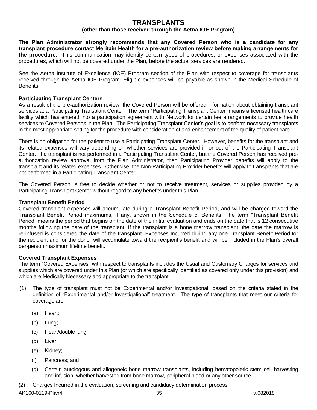# **TRANSPLANTS**

# **(other than those received through the Aetna IOE Program)**

**The Plan Administrator strongly recommends that any Covered Person who is a candidate for any transplant procedure contact Meritain Health for a pre-authorization review before making arrangements for the procedure.** This communication may identify certain types of procedures, or expenses associated with the procedures, which will not be covered under the Plan, before the actual services are rendered.

See the Aetna Institute of Excellence (IOE) Program section of the Plan with respect to coverage for transplants received through the Aetna IOE Program. Eligible expenses will be payable as shown in the Medical Schedule of Benefits.

### **Participating Transplant Centers**

As a result of the pre-authorization review, the Covered Person will be offered information about obtaining transplant services at a Participating Transplant Center. The term "Participating Transplant Center" means a licensed health care facility which has entered into a participation agreement with Network for certain fee arrangements to provide health services to Covered Persons in the Plan. The Participating Transplant Center's goal is to perform necessary transplants in the most appropriate setting for the procedure with consideration of and enhancement of the quality of patient care.

There is no obligation for the patient to use a Participating Transplant Center. However, benefits for the transplant and its related expenses will vary depending on whether services are provided in or out of the Participating Transplant Center. If a transplant is not performed in a Participating Transplant Center, but the Covered Person has received preauthorization review approval from the Plan Administrator, then Participating Provider benefits will apply to the transplant and its related expenses. Otherwise, the Non-Participating Provider benefits will apply to transplants that are not performed in a Participating Transplant Center.

The Covered Person is free to decide whether or not to receive treatment, services or supplies provided by a Participating Transplant Center without regard to any benefits under this Plan.

#### **Transplant Benefit Period**

Covered transplant expenses will accumulate during a Transplant Benefit Period, and will be charged toward the Transplant Benefit Period maximums, if any, shown in the Schedule of Benefits. The term "Transplant Benefit Period" means the period that begins on the date of the initial evaluation and ends on the date that is 12 consecutive months following the date of the transplant. If the transplant is a bone marrow transplant, the date the marrow is re-infused is considered the date of the transplant. Expenses Incurred during any one Transplant Benefit Period for the recipient and for the donor will accumulate toward the recipient's benefit and will be included in the Plan's overall per-person maximum lifetime benefit.

#### **Covered Transplant Expenses**

The term "Covered Expenses" with respect to transplants includes the Usual and Customary Charges for services and supplies which are covered under this Plan (or which are specifically identified as covered only under this provision) and which are Medically Necessary and appropriate to the transplant:

- (1) The type of transplant must not be Experimental and/or Investigational, based on the criteria stated in the definition of "Experimental and/or Investigational" treatment. The type of transplants that meet our criteria for coverage are:
	- (a) Heart;
	- (b) Lung;
	- (c) Heart/double lung;
	- (d) Liver;
	- (e) Kidney;
	- (f) Pancreas; and
	- (g) Certain autologous and allogeneic bone marrow transplants, including hematopoietic stem cell harvesting and infusion, whether harvested from bone marrow, peripheral blood or any other source.

(2) Charges Incurred in the evaluation, screening and candidacy determination process.

AK160-0119-Plan4 35 v.082018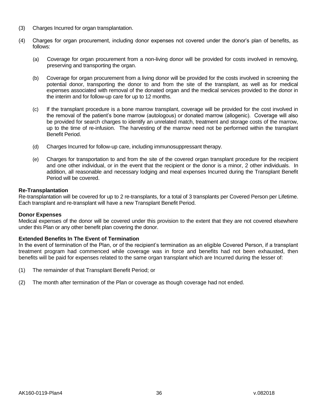- (3) Charges Incurred for organ transplantation.
- (4) Charges for organ procurement, including donor expenses not covered under the donor's plan of benefits, as follows:
	- (a) Coverage for organ procurement from a non-living donor will be provided for costs involved in removing, preserving and transporting the organ.
	- (b) Coverage for organ procurement from a living donor will be provided for the costs involved in screening the potential donor, transporting the donor to and from the site of the transplant, as well as for medical expenses associated with removal of the donated organ and the medical services provided to the donor in the interim and for follow-up care for up to 12 months.
	- (c) If the transplant procedure is a bone marrow transplant, coverage will be provided for the cost involved in the removal of the patient's bone marrow (autologous) or donated marrow (allogenic). Coverage will also be provided for search charges to identify an unrelated match, treatment and storage costs of the marrow, up to the time of re-infusion. The harvesting of the marrow need not be performed within the transplant Benefit Period.
	- (d) Charges Incurred for follow-up care, including immunosuppressant therapy.
	- (e) Charges for transportation to and from the site of the covered organ transplant procedure for the recipient and one other individual, or in the event that the recipient or the donor is a minor, 2 other individuals. In addition, all reasonable and necessary lodging and meal expenses Incurred during the Transplant Benefit Period will be covered.

# **Re-Transplantation**

Re-transplantation will be covered for up to 2 re-transplants, for a total of 3 transplants per Covered Person per Lifetime. Each transplant and re-transplant will have a new Transplant Benefit Period.

# **Donor Expenses**

Medical expenses of the donor will be covered under this provision to the extent that they are not covered elsewhere under this Plan or any other benefit plan covering the donor.

# **Extended Benefits In The Event of Termination**

In the event of termination of the Plan, or of the recipient's termination as an eligible Covered Person, if a transplant treatment program had commenced while coverage was in force and benefits had not been exhausted, then benefits will be paid for expenses related to the same organ transplant which are Incurred during the lesser of:

- (1) The remainder of that Transplant Benefit Period; or
- (2) The month after termination of the Plan or coverage as though coverage had not ended.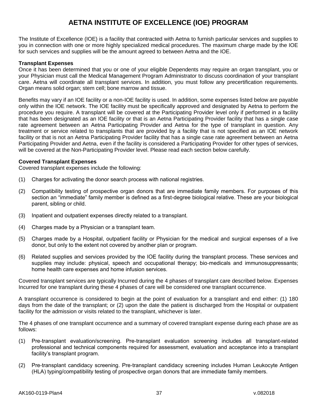# **AETNA INSTITUTE OF EXCELLENCE (IOE) PROGRAM**

The Institute of Excellence (IOE) is a facility that contracted with Aetna to furnish particular services and supplies to you in connection with one or more highly specialized medical procedures. The maximum charge made by the IOE for such services and supplies will be the amount agreed to between Aetna and the IOE.

### **Transplant Expenses**

Once it has been determined that you or one of your eligible Dependents may require an organ transplant, you or your Physician must call the Medical Management Program Administrator to discuss coordination of your transplant care. Aetna will coordinate all transplant services. In addition, you must follow any precertification requirements. Organ means solid organ; stem cell; bone marrow and tissue.

Benefits may vary if an IOE facility or a non-IOE facility is used. In addition, some expenses listed below are payable only within the IOE network. The IOE facility must be specifically approved and designated by Aetna to perform the procedure you require. A transplant will be covered at the Participating Provider level only if performed in a facility that has been designated as an IOE facility or that is an Aetna Participating Provider facility that has a single case rate agreement between an Aetna Participating Provider and Aetna for the type of transplant in question. Any treatment or service related to transplants that are provided by a facility that is not specified as an IOE network facility or that is not an Aetna Participating Provider facility that has a single case rate agreement between an Aetna Participating Provider and Aetna, even if the facility is considered a Participating Provider for other types of services, will be covered at the Non-Participating Provider level. Please read each section below carefully.

#### **Covered Transplant Expenses**

Covered transplant expenses include the following:

- (1) Charges for activating the donor search process with national registries.
- (2) Compatibility testing of prospective organ donors that are immediate family members. For purposes of this section an "immediate" family member is defined as a first-degree biological relative. These are your biological parent, sibling or child.
- (3) Inpatient and outpatient expenses directly related to a transplant.
- (4) Charges made by a Physician or a transplant team.
- (5) Charges made by a Hospital, outpatient facility or Physician for the medical and surgical expenses of a live donor, but only to the extent not covered by another plan or program.
- (6) Related supplies and services provided by the IOE facility during the transplant process. These services and supplies may include: physical, speech and occupational therapy; bio-medicals and immunosuppressants; home health care expenses and home infusion services.

Covered transplant services are typically Incurred during the 4 phases of transplant care described below. Expenses Incurred for one transplant during these 4 phases of care will be considered one transplant occurrence.

A transplant occurrence is considered to begin at the point of evaluation for a transplant and end either: (1) 180 days from the date of the transplant; or (2) upon the date the patient is discharged from the Hospital or outpatient facility for the admission or visits related to the transplant, whichever is later.

The 4 phases of one transplant occurrence and a summary of covered transplant expense during each phase are as follows:

- (1) Pre-transplant evaluation/screening. Pre-transplant evaluation screening includes all transplant-related professional and technical components required for assessment, evaluation and acceptance into a transplant facility's transplant program.
- (2) Pre-transplant candidacy screening. Pre-transplant candidacy screening includes Human Leukocyte Antigen (HLA) typing/compatibility testing of prospective organ donors that are immediate family members.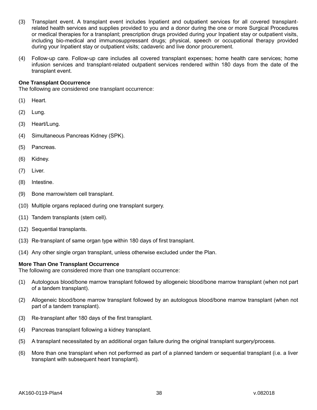- (3) Transplant event. A transplant event includes Inpatient and outpatient services for all covered transplantrelated health services and supplies provided to you and a donor during the one or more Surgical Procedures or medical therapies for a transplant; prescription drugs provided during your Inpatient stay or outpatient visits, including bio-medical and immunosuppressant drugs; physical, speech or occupational therapy provided during your Inpatient stay or outpatient visits; cadaveric and live donor procurement.
- (4) Follow-up care. Follow-up care includes all covered transplant expenses; home health care services; home infusion services and transplant-related outpatient services rendered within 180 days from the date of the transplant event.

# **One Transplant Occurrence**

The following are considered one transplant occurrence:

- (1) Heart.
- (2) Lung.
- (3) Heart/Lung.
- (4) Simultaneous Pancreas Kidney (SPK).
- (5) Pancreas.
- (6) Kidney.
- (7) Liver.
- (8) Intestine.
- (9) Bone marrow/stem cell transplant.
- (10) Multiple organs replaced during one transplant surgery.
- (11) Tandem transplants (stem cell).
- (12) Sequential transplants.
- (13) Re-transplant of same organ type within 180 days of first transplant.
- (14) Any other single organ transplant, unless otherwise excluded under the Plan.

# **More Than One Transplant Occurrence**

The following are considered more than one transplant occurrence:

- (1) Autologous blood/bone marrow transplant followed by allogeneic blood/bone marrow transplant (when not part of a tandem transplant).
- (2) Allogeneic blood/bone marrow transplant followed by an autologous blood/bone marrow transplant (when not part of a tandem transplant).
- (3) Re-transplant after 180 days of the first transplant.
- (4) Pancreas transplant following a kidney transplant.
- (5) A transplant necessitated by an additional organ failure during the original transplant surgery/process.
- (6) More than one transplant when not performed as part of a planned tandem or sequential transplant (i.e. a liver transplant with subsequent heart transplant).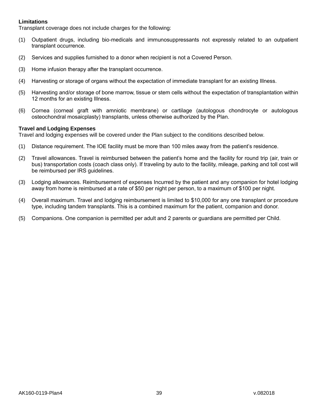# **Limitations**

Transplant coverage does not include charges for the following:

- (1) Outpatient drugs, including bio-medicals and immunosuppressants not expressly related to an outpatient transplant occurrence.
- (2) Services and supplies furnished to a donor when recipient is not a Covered Person.
- (3) Home infusion therapy after the transplant occurrence.
- (4) Harvesting or storage of organs without the expectation of immediate transplant for an existing Illness.
- (5) Harvesting and/or storage of bone marrow, tissue or stem cells without the expectation of transplantation within 12 months for an existing Illness.
- (6) Cornea (corneal graft with amniotic membrane) or cartilage (autologous chondrocyte or autologous osteochondral mosaicplasty) transplants, unless otherwise authorized by the Plan.

#### **Travel and Lodging Expenses**

Travel and lodging expenses will be covered under the Plan subject to the conditions described below.

- (1) Distance requirement. The IOE facility must be more than 100 miles away from the patient's residence.
- (2) Travel allowances. Travel is reimbursed between the patient's home and the facility for round trip (air, train or bus) transportation costs (coach class only). If traveling by auto to the facility, mileage, parking and toll cost will be reimbursed per IRS guidelines.
- (3) Lodging allowances. Reimbursement of expenses Incurred by the patient and any companion for hotel lodging away from home is reimbursed at a rate of \$50 per night per person, to a maximum of \$100 per night.
- (4) Overall maximum. Travel and lodging reimbursement is limited to \$10,000 for any one transplant or procedure type, including tandem transplants. This is a combined maximum for the patient, companion and donor.
- (5) Companions. One companion is permitted per adult and 2 parents or guardians are permitted per Child.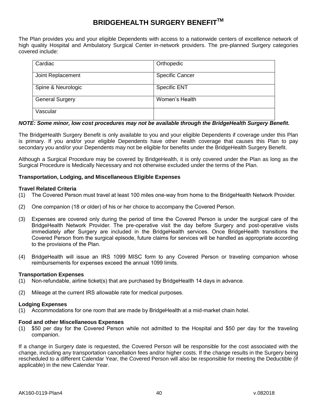# **BRIDGEHEALTH SURGERY BENEFITTM**

The Plan provides you and your eligible Dependents with access to a nationwide centers of excellence network of high quality Hospital and Ambulatory Surgical Center in-network providers. The pre-planned Surgery categories covered include:

| Cardiac                | Orthopedic             |
|------------------------|------------------------|
| Joint Replacement      | <b>Specific Cancer</b> |
| Spine & Neurologic     | <b>Specific ENT</b>    |
| <b>General Surgery</b> | Women's Health         |
| Vascular               |                        |

# *NOTE: Some minor, low cost procedures may not be available through the BridgeHealth Surgery Benefit.*

The BridgeHealth Surgery Benefit is only available to you and your eligible Dependents if coverage under this Plan is primary. If you and/or your eligible Dependents have other health coverage that causes this Plan to pay secondary you and/or your Dependents may not be eligible for benefits under the BridgeHealth Surgery Benefit.

Although a Surgical Procedure may be covered by BridgeHealth, it is only covered under the Plan as long as the Surgical Procedure is Medically Necessary and not otherwise excluded under the terms of the Plan.

# **Transportation, Lodging, and Miscellaneous Eligible Expenses**

# **Travel Related Criteria**

- (1) The Covered Person must travel at least 100 miles one-way from home to the BridgeHealth Network Provider.
- (2) One companion (18 or older) of his or her choice to accompany the Covered Person.
- (3) Expenses are covered only during the period of time the Covered Person is under the surgical care of the BridgeHealth Network Provider. The pre-operative visit the day before Surgery and post-operative visits immediately after Surgery are included in the BridgeHealth services. Once BridgeHealth transitions the Covered Person from the surgical episode, future claims for services will be handled as appropriate according to the provisions of the Plan.
- (4) BridgeHealth will issue an IRS 1099 MISC form to any Covered Person or traveling companion whose reimbursements for expenses exceed the annual 1099 limits.

#### **Transportation Expenses**

- (1) Non-refundable, airline ticket(s) that are purchased by BridgeHealth 14 days in advance.
- (2) Mileage at the current IRS allowable rate for medical purposes.

# **Lodging Expenses**

(1) Accommodations for one room that are made by BridgeHealth at a mid-market chain hotel.

#### **Food and other Miscellaneous Expenses**

(1) \$50 per day for the Covered Person while not admitted to the Hospital and \$50 per day for the traveling companion.

If a change in Surgery date is requested, the Covered Person will be responsible for the cost associated with the change, including any transportation cancellation fees and/or higher costs. If the change results in the Surgery being rescheduled to a different Calendar Year, the Covered Person will also be responsible for meeting the Deductible (if applicable) in the new Calendar Year.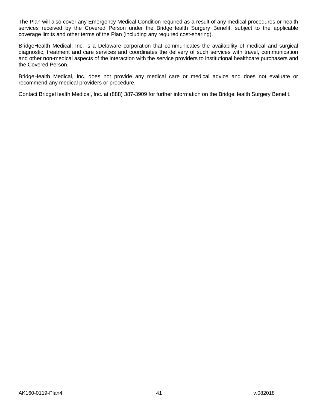The Plan will also cover any Emergency Medical Condition required as a result of any medical procedures or health services received by the Covered Person under the BridgeHealth Surgery Benefit, subject to the applicable coverage limits and other terms of the Plan (including any required cost-sharing).

BridgeHealth Medical, Inc. is a Delaware corporation that communicates the availability of medical and surgical diagnostic, treatment and care services and coordinates the delivery of such services with travel, communication and other non-medical aspects of the interaction with the service providers to institutional healthcare purchasers and the Covered Person.

BridgeHealth Medical, Inc. does not provide any medical care or medical advice and does not evaluate or recommend any medical providers or procedure.

Contact BridgeHealth Medical, Inc. at (888) 387-3909 for further information on the BridgeHealth Surgery Benefit.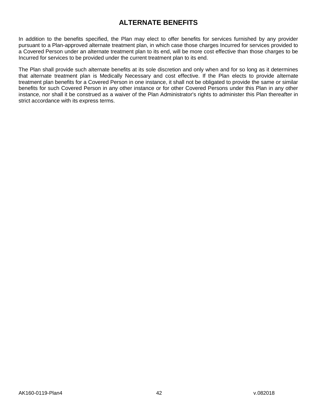# **ALTERNATE BENEFITS**

In addition to the benefits specified, the Plan may elect to offer benefits for services furnished by any provider pursuant to a Plan-approved alternate treatment plan, in which case those charges Incurred for services provided to a Covered Person under an alternate treatment plan to its end, will be more cost effective than those charges to be Incurred for services to be provided under the current treatment plan to its end.

The Plan shall provide such alternate benefits at its sole discretion and only when and for so long as it determines that alternate treatment plan is Medically Necessary and cost effective. If the Plan elects to provide alternate treatment plan benefits for a Covered Person in one instance, it shall not be obligated to provide the same or similar benefits for such Covered Person in any other instance or for other Covered Persons under this Plan in any other instance, nor shall it be construed as a waiver of the Plan Administrator's rights to administer this Plan thereafter in strict accordance with its express terms.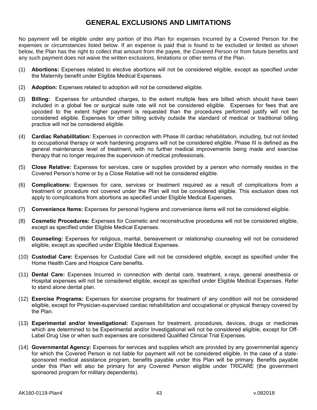# **GENERAL EXCLUSIONS AND LIMITATIONS**

No payment will be eligible under any portion of this Plan for expenses Incurred by a Covered Person for the expenses or circumstances listed below. If an expense is paid that is found to be excluded or limited as shown below, the Plan has the right to collect that amount from the payee, the Covered Person or from future benefits and any such payment does not waive the written exclusions, limitations or other terms of the Plan.

- (1) **Abortions:** Expenses related to elective abortions will not be considered eligible, except as specified under the Maternity benefit under Eligible Medical Expenses.
- (2) **Adoption:** Expenses related to adoption will not be considered eligible.
- (3) **Billing:** Expenses for unbundled charges, to the extent multiple fees are billed which should have been included in a global fee or surgical suite rate will not be considered eligible. Expenses for fees that are upcoded to the extent higher payment is requested than the procedures performed justify will not be considered eligible. Expenses for other billing activity outside the standard of medical or traditional billing practice will not be considered eligible.
- (4) **Cardiac Rehabilitation:** Expenses in connection with Phase III cardiac rehabilitation, including, but not limited to occupational therapy or work hardening programs will not be considered eligible. Phase III is defined as the general maintenance level of treatment, with no further medical improvements being made and exercise therapy that no longer requires the supervision of medical professionals.
- (5) **Close Relative:** Expenses for services, care or supplies provided by a person who normally resides in the Covered Person's home or by a Close Relative will not be considered eligible.
- (6) **Complications:** Expenses for care, services or treatment required as a result of complications from a treatment or procedure not covered under the Plan will not be considered eligible. This exclusion does not apply to complications from abortions as specified under Eligible Medical Expenses.
- (7) **Convenience Items:** Expenses for personal hygiene and convenience items will not be considered eligible.
- (8) **Cosmetic Procedures:** Expenses for Cosmetic and reconstructive procedures will not be considered eligible, except as specified under Eligible Medical Expenses.
- (9) **Counseling:** Expenses for religious, marital, bereavement or relationship counseling will not be considered eligible, except as specified under Eligible Medical Expenses.
- (10) **Custodial Care:** Expenses for Custodial Care will not be considered eligible, except as specified under the Home Health Care and Hospice Care benefits.
- (11) **Dental Care:** Expenses Incurred in connection with dental care, treatment, x-rays, general anesthesia or Hospital expenses will not be considered eligible, except as specified under Eligible Medical Expenses. Refer to stand alone dental plan.
- (12) **Exercise Programs:** Expenses for exercise programs for treatment of any condition will not be considered eligible, except for Physician-supervised cardiac rehabilitation and occupational or physical therapy covered by the Plan.
- (13) **Experimental and/or Investigational:** Expenses for treatment, procedures, devices, drugs or medicines which are determined to be Experimental and/or Investigational will not be considered eligible, except for Off-Label Drug Use or when such expenses are considered Qualified Clinical Trial Expenses.
- (14) **Governmental Agency:** Expenses for services and supplies which are provided by any governmental agency for which the Covered Person is not liable for payment will not be considered eligible. In the case of a statesponsored medical assistance program, benefits payable under this Plan will be primary. Benefits payable under this Plan will also be primary for any Covered Person eligible under TRICARE (the government sponsored program for military dependents).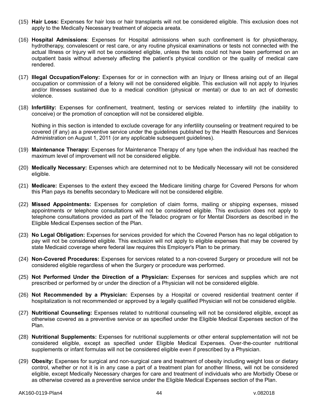- (15) **Hair Loss:** Expenses for hair loss or hair transplants will not be considered eligible. This exclusion does not apply to the Medically Necessary treatment of alopecia areata.
- (16) **Hospital Admissions**: Expenses for Hospital admissions when such confinement is for physiotherapy, hydrotherapy, convalescent or rest care, or any routine physical examinations or tests not connected with the actual Illness or Injury will not be considered eligible, unless the tests could not have been performed on an outpatient basis without adversely affecting the patient's physical condition or the quality of medical care rendered.
- (17) **Illegal Occupation/Felony:** Expenses for or in connection with an Injury or Illness arising out of an illegal occupation or commission of a felony will not be considered eligible. This exclusion will not apply to Injuries and/or Illnesses sustained due to a medical condition (physical or mental) or due to an act of domestic violence.
- (18) **Infertility:** Expenses for confinement, treatment, testing or services related to infertility (the inability to conceive) or the promotion of conception will not be considered eligible.

Nothing in this section is intended to exclude coverage for any infertility counseling or treatment required to be covered (if any) as a preventive service under the guidelines published by the Health Resources and Services Administration on August 1, 2011 (or any applicable subsequent guidelines).

- (19) **Maintenance Therapy:** Expenses for Maintenance Therapy of any type when the individual has reached the maximum level of improvement will not be considered eligible.
- (20) **Medically Necessary:** Expenses which are determined not to be Medically Necessary will not be considered eligible.
- (21) **Medicare:** Expenses to the extent they exceed the Medicare limiting charge for Covered Persons for whom this Plan pays its benefits secondary to Medicare will not be considered eligible.
- (22) **Missed Appointments:** Expenses for completion of claim forms, mailing or shipping expenses, missed appointments or telephone consultations will not be considered eligible. This exclusion does not apply to telephone consultations provided as part of the Teladoc program or for Mental Disorders as described in the Eligible Medical Expenses section of the Plan.
- (23) **No Legal Obligation:** Expenses for services provided for which the Covered Person has no legal obligation to pay will not be considered eligible. This exclusion will not apply to eligible expenses that may be covered by state Medicaid coverage where federal law requires this Employer's Plan to be primary.
- (24) **Non-Covered Procedures:** Expenses for services related to a non-covered Surgery or procedure will not be considered eligible regardless of when the Surgery or procedure was performed.
- (25) **Not Performed Under the Direction of a Physician:** Expenses for services and supplies which are not prescribed or performed by or under the direction of a Physician will not be considered eligible.
- (26) **Not Recommended by a Physician:** Expenses by a Hospital or covered residential treatment center if hospitalization is not recommended or approved by a legally qualified Physician will not be considered eligible.
- (27) **Nutritional Counseling:** Expenses related to nutritional counseling will not be considered eligible, except as otherwise covered as a preventive service or as specified under the Eligible Medical Expenses section of the Plan.
- (28) **Nutritional Supplements:** Expenses for nutritional supplements or other enteral supplementation will not be considered eligible, except as specified under Eligible Medical Expenses. Over-the-counter nutritional supplements or infant formulas will not be considered eligible even if prescribed by a Physician.
- (29) **Obesity:** Expenses for surgical and non-surgical care and treatment of obesity including weight loss or dietary control, whether or not it is in any case a part of a treatment plan for another Illness, will not be considered eligible, except Medically Necessary charges for care and treatment of individuals who are Morbidly Obese or as otherwise covered as a preventive service under the Eligible Medical Expenses section of the Plan.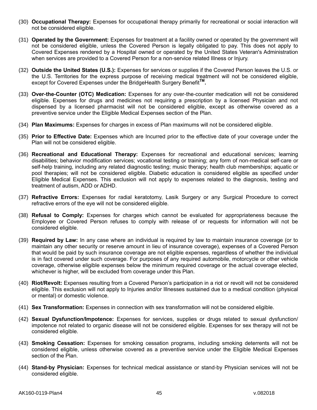- (30) **Occupational Therapy:** Expenses for occupational therapy primarily for recreational or social interaction will not be considered eligible.
- (31) **Operated by the Government:** Expenses for treatment at a facility owned or operated by the government will not be considered eligible, unless the Covered Person is legally obligated to pay. This does not apply to Covered Expenses rendered by a Hospital owned or operated by the United States Veteran's Administration when services are provided to a Covered Person for a non-service related Illness or Injury.
- (32) **Outside the United States (U.S.):** Expenses for services or supplies if the Covered Person leaves the U.S. or the U.S. Territories for the express purpose of receiving medical treatment will not be considered eligible, except for Covered Expenses under the BridgeHealth Surgery Benefit**TM .**
- (33) **Over-the-Counter (OTC) Medication:** Expenses for any over-the-counter medication will not be considered eligible. Expenses for drugs and medicines not requiring a prescription by a licensed Physician and not dispensed by a licensed pharmacist will not be considered eligible, except as otherwise covered as a preventive service under the Eligible Medical Expenses section of the Plan.
- (34) **Plan Maximums:** Expenses for charges in excess of Plan maximums will not be considered eligible.
- (35) **Prior to Effective Date:** Expenses which are Incurred prior to the effective date of your coverage under the Plan will not be considered eligible.
- (36) **Recreational and Educational Therapy:** Expenses for recreational and educational services; learning disabilities; behavior modification services; vocational testing or training; any form of non-medical self-care or self-help training, including any related diagnostic testing; music therapy; health club memberships; aquatic or pool therapies; will not be considered eligible. Diabetic education is considered eligible as specified under Eligible Medical Expenses. This exclusion will not apply to expenses related to the diagnosis, testing and treatment of autism, ADD or ADHD.
- (37) **Refractive Errors:** Expenses for radial keratotomy, Lasik Surgery or any Surgical Procedure to correct refractive errors of the eye will not be considered eligible.
- (38) **Refusal to Comply:** Expenses for charges which cannot be evaluated for appropriateness because the Employee or Covered Person refuses to comply with release of or requests for information will not be considered eligible.
- (39) **Required by Law:** In any case where an individual is required by law to maintain insurance coverage (or to maintain any other security or reserve amount in lieu of insurance coverage), expenses of a Covered Person that would be paid by such insurance coverage are not eligible expenses, regardless of whether the individual is in fact covered under such coverage. For purposes of any required automobile, motorcycle or other vehicle coverage, otherwise eligible expenses below the minimum required coverage or the actual coverage elected, whichever is higher, will be excluded from coverage under this Plan.
- (40) **Riot/Revolt:** Expenses resulting from a Covered Person's participation in a riot or revolt will not be considered eligible. This exclusion will not apply to Injuries and/or Illnesses sustained due to a medical condition (physical or mental) or domestic violence.
- (41) **Sex Transformation:** Expenses in connection with sex transformation will not be considered eligible.
- (42) **Sexual Dysfunction/Impotence:** Expenses for services, supplies or drugs related to sexual dysfunction/ impotence not related to organic disease will not be considered eligible. Expenses for sex therapy will not be considered eligible.
- (43) **Smoking Cessation:** Expenses for smoking cessation programs, including smoking deterrents will not be considered eligible, unless otherwise covered as a preventive service under the Eligible Medical Expenses section of the Plan.
- (44) **Stand-by Physician:** Expenses for technical medical assistance or stand-by Physician services will not be considered eligible.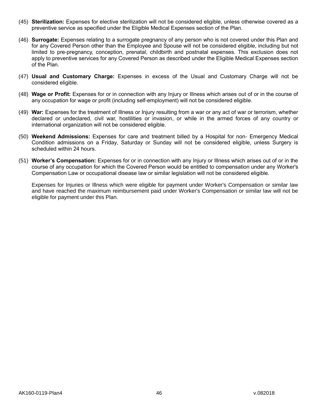- (45) **Sterilization:** Expenses for elective sterilization will not be considered eligible, unless otherwise covered as a preventive service as specified under the Eligible Medical Expenses section of the Plan.
- (46) **Surrogate:** Expenses relating to a surrogate pregnancy of any person who is not covered under this Plan and for any Covered Person other than the Employee and Spouse will not be considered eligible, including but not limited to pre-pregnancy, conception, prenatal, childbirth and postnatal expenses. This exclusion does not apply to preventive services for any Covered Person as described under the Eligible Medical Expenses section of the Plan.
- (47) **Usual and Customary Charge:** Expenses in excess of the Usual and Customary Charge will not be considered eligible.
- (48) **Wage or Profit:** Expenses for or in connection with any Injury or Illness which arises out of or in the course of any occupation for wage or profit (including self-employment) will not be considered eligible.
- (49) **War:** Expenses for the treatment of Illness or Injury resulting from a war or any act of war or terrorism, whether declared or undeclared, civil war, hostilities or invasion, or while in the armed forces of any country or international organization will not be considered eligible.
- (50) **Weekend Admissions:** Expenses for care and treatment billed by a Hospital for non- Emergency Medical Condition admissions on a Friday, Saturday or Sunday will not be considered eligible, unless Surgery is scheduled within 24 hours.
- (51) **Worker's Compensation:** Expenses for or in connection with any Injury or Illness which arises out of or in the course of any occupation for which the Covered Person would be entitled to compensation under any Worker's Compensation Law or occupational disease law or similar legislation will not be considered eligible.

Expenses for Injuries or Illness which were eligible for payment under Worker's Compensation or similar law and have reached the maximum reimbursement paid under Worker's Compensation or similar law will not be eligible for payment under this Plan.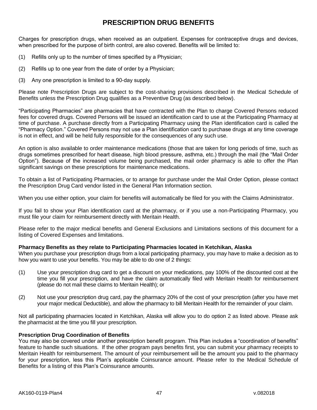# **PRESCRIPTION DRUG BENEFITS**

Charges for prescription drugs, when received as an outpatient. Expenses for contraceptive drugs and devices, when prescribed for the purpose of birth control, are also covered. Benefits will be limited to:

- (1) Refills only up to the number of times specified by a Physician;
- (2) Refills up to one year from the date of order by a Physician;
- (3) Any one prescription is limited to a 90-day supply.

Please note Prescription Drugs are subject to the cost-sharing provisions described in the Medical Schedule of Benefits unless the Prescription Drug qualifies as a Preventive Drug (as described below).

"Participating Pharmacies" are pharmacies that have contracted with the Plan to charge Covered Persons reduced fees for covered drugs. Covered Persons will be issued an identification card to use at the Participating Pharmacy at time of purchase. A purchase directly from a Participating Pharmacy using the Plan identification card is called the "Pharmacy Option." Covered Persons may not use a Plan identification card to purchase drugs at any time coverage is not in effect, and will be held fully responsible for the consequences of any such use.

An option is also available to order maintenance medications (those that are taken for long periods of time, such as drugs sometimes prescribed for heart disease, high blood pressure, asthma, etc.) through the mail (the "Mail Order Option"). Because of the increased volume being purchased, the mail order pharmacy is able to offer the Plan significant savings on these prescriptions for maintenance medications.

To obtain a list of Participating Pharmacies, or to arrange for purchase under the Mail Order Option, please contact the Prescription Drug Card vendor listed in the General Plan Information section.

When you use either option, your claim for benefits will automatically be filed for you with the Claims Administrator.

If you fail to show your Plan identification card at the pharmacy, or if you use a non-Participating Pharmacy, you must file your claim for reimbursement directly with Meritain Health.

Please refer to the major medical benefits and General Exclusions and Limitations sections of this document for a listing of Covered Expenses and limitations.

# **Pharmacy Benefits as they relate to Participating Pharmacies located in Ketchikan, Alaska**

When you purchase your prescription drugs from a local participating pharmacy, you may have to make a decision as to how you want to use your benefits. You may be able to do one of 2 things:

- (1) Use your prescription drug card to get a discount on your medications, pay 100% of the discounted cost at the time you fill your prescription, and have the claim automatically filed with Meritain Health for reimbursement (please do not mail these claims to Meritain Health); or
- (2) Not use your prescription drug card, pay the pharmacy 20% of the cost of your prescription (after you have met your major medical Deductible), and allow the pharmacy to bill Meritain Health for the remainder of your claim.

Not all participating pharmacies located in Ketchikan, Alaska will allow you to do option 2 as listed above. Please ask the pharmacist at the time you fill your prescription.

# **Prescription Drug Coordination of Benefits**

You may also be covered under another prescription benefit program. This Plan includes a "coordination of benefits" feature to handle such situations. If the other program pays benefits first, you can submit your pharmacy receipts to Meritain Health for reimbursement. The amount of your reimbursement will be the amount you paid to the pharmacy for your prescription, less this Plan's applicable Coinsurance amount. Please refer to the Medical Schedule of Benefits for a listing of this Plan's Coinsurance amounts.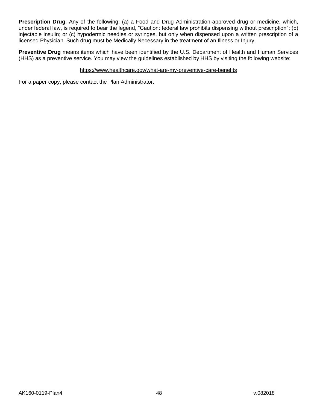**Prescription Drug**: Any of the following: (a) a Food and Drug Administration-approved drug or medicine, which, under federal law, is required to bear the legend, "Caution: federal law prohibits dispensing without prescription"; (b) injectable insulin; or (c) hypodermic needles or syringes, but only when dispensed upon a written prescription of a licensed Physician. Such drug must be Medically Necessary in the treatment of an Illness or Injury.

**Preventive Drug** means items which have been identified by the U.S. Department of Health and Human Services (HHS) as a preventive service. You may view the guidelines established by HHS by visiting the following website:

# https://www.healthcare.gov/what-are-my-preventive-care-benefits

For a paper copy, please contact the Plan Administrator.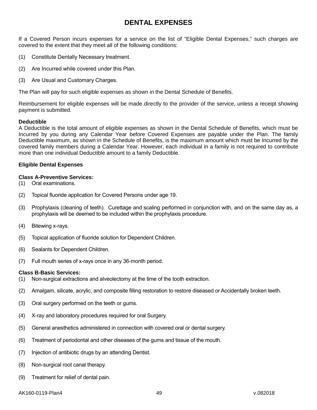# **DENTAL EXPENSES**

If a Covered Person incurs expenses for a service on the list of "Eligible Dental Expenses," such charges are covered to the extent that they meet all of the following conditions:

- (1) Constitute Dentally Necessary treatment.
- (2) Are Incurred while covered under this Plan.
- (3) Are Usual and Customary Charges.

The Plan will pay for such eligible expenses as shown in the Dental Schedule of Benefits.

Reimbursement for eligible expenses will be made directly to the provider of the service, unless a receipt showing payment is submitted.

#### **Deductible**

A Deductible is the total amount of eligible expenses as shown in the Dental Schedule of Benefits, which must be Incurred by you during any Calendar Year before Covered Expenses are payable under the Plan. The family Deductible maximum, as shown in the Schedule of Benefits, is the maximum amount which must be Incurred by the covered family members during a Calendar Year. However, each individual in a family is not required to contribute more than one individual Deductible amount to a family Deductible.

#### **Eligible Dental Expenses**

#### **Class A-Preventive Services:**

- (1) Oral examinations.
- (2) Topical fluoride application for Covered Persons under age 19.
- (3) Prophylaxis (cleaning of teeth). Curettage and scaling performed in conjunction with, and on the same day as, a prophylaxis will be deemed to be included within the prophylaxis procedure.
- (4) Bitewing x-rays.
- (5) Topical application of fluoride solution for Dependent Children.
- (6) Sealants for Dependent Children.
- (7) Full mouth series of x-rays once in any 36-month period.

#### **Class B-Basic Services:**

- (1) Non-surgical extractions and alveolectomy at the time of the tooth extraction.
- (2) Amalgam, silicate, acrylic, and composite filling restoration to restore diseased or Accidentally broken teeth.
- (3) Oral surgery performed on the teeth or gums.
- (4) X-ray and laboratory procedures required for oral Surgery.
- (5) General anesthetics administered in connection with covered oral or dental surgery.
- (6) Treatment of periodontal and other diseases of the gums and tissue of the mouth.
- (7) Injection of antibiotic drugs by an attending Dentist.
- (8) Non-surgical root canal therapy.
- (9) Treatment for relief of dental pain.

#### AK160-0119-Plan4 49 v.082018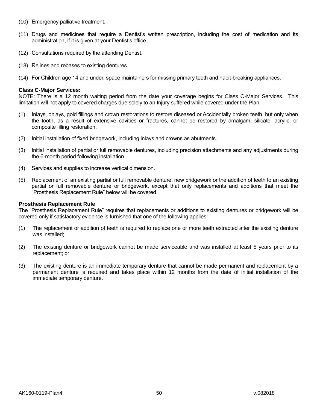- (10) Emergency palliative treatment.
- (11) Drugs and medicines that require a Dentist's written prescription, including the cost of medication and its administration, if it is given at your Dentist's office.
- (12) Consultations required by the attending Dentist.
- (13) Relines and rebases to existing dentures.
- (14) For Children age 14 and under, space maintainers for missing primary teeth and habit-breaking appliances.

#### **Class C-Major Services:**

NOTE: There is a 12 month waiting period from the date your coverage begins for Class C-Major Services. This limitation will not apply to covered charges due solely to an Injury suffered while covered under the Plan.

- (1) Inlays, onlays, gold fillings and crown restorations to restore diseased or Accidentally broken teeth, but only when the tooth, as a result of extensive cavities or fractures, cannot be restored by amalgam, silicate, acrylic, or composite filling restoration.
- (2) Initial installation of fixed bridgework, including inlays and crowns as abutments.
- (3) Initial installation of partial or full removable dentures, including precision attachments and any adjustments during the 6-month period following installation.
- (4) Services and supplies to increase vertical dimension.
- (5) Replacement of an existing partial or full removable denture, new bridgework or the addition of teeth to an existing partial or full removable denture or bridgework, except that only replacements and additions that meet the "Prosthesis Replacement Rule" below will be covered.

#### **Prosthesis Replacement Rule**

The "Prosthesis Replacement Rule" requires that replacements or additions to existing dentures or bridgework will be covered only if satisfactory evidence is furnished that one of the following applies:

- (1) The replacement or addition of teeth is required to replace one or more teeth extracted after the existing denture was installed;
- (2) The existing denture or bridgework cannot be made serviceable and was installed at least 5 years prior to its replacement; or
- (3) The existing denture is an immediate temporary denture that cannot be made permanent and replacement by a permanent denture is required and takes place within 12 months from the date of initial installation of the immediate temporary denture.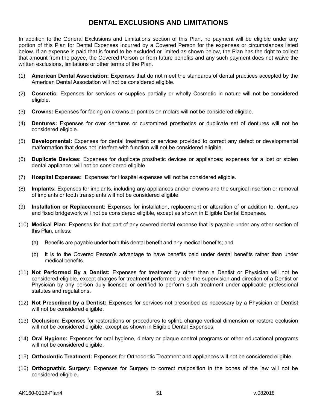# **DENTAL EXCLUSIONS AND LIMITATIONS**

In addition to the General Exclusions and Limitations section of this Plan, no payment will be eligible under any portion of this Plan for Dental Expenses Incurred by a Covered Person for the expenses or circumstances listed below. If an expense is paid that is found to be excluded or limited as shown below, the Plan has the right to collect that amount from the payee, the Covered Person or from future benefits and any such payment does not waive the written exclusions, limitations or other terms of the Plan.

- (1) **American Dental Association:** Expenses that do not meet the standards of dental practices accepted by the American Dental Association will not be considered eligible.
- (2) **Cosmetic:** Expenses for services or supplies partially or wholly Cosmetic in nature will not be considered eligible.
- (3) **Crowns:** Expenses for facing on crowns or pontics on molars will not be considered eligible.
- (4) **Dentures:** Expenses for over dentures or customized prosthetics or duplicate set of dentures will not be considered eligible.
- (5) **Developmental:** Expenses for dental treatment or services provided to correct any defect or developmental malformation that does not interfere with function will not be considered eligible.
- (6) **Duplicate Devices:** Expenses for duplicate prosthetic devices or appliances; expenses for a lost or stolen dental appliance; will not be considered eligible.
- (7) **Hospital Expenses:** Expenses for Hospital expenses will not be considered eligible.
- (8) **Implants:** Expenses for implants, including any appliances and/or crowns and the surgical insertion or removal of implants or tooth transplants will not be considered eligible.
- (9) **Installation or Replacement:** Expenses for installation, replacement or alteration of or addition to, dentures and fixed bridgework will not be considered eligible, except as shown in Eligible Dental Expenses.
- (10) **Medical Plan:** Expenses for that part of any covered dental expense that is payable under any other section of this Plan, unless:
	- (a) Benefits are payable under both this dental benefit and any medical benefits; and
	- (b) It is to the Covered Person's advantage to have benefits paid under dental benefits rather than under medical benefits.
- (11) **Not Performed By a Dentist:** Expenses for treatment by other than a Dentist or Physician will not be considered eligible, except charges for treatment performed under the supervision and direction of a Dentist or Physician by any person duly licensed or certified to perform such treatment under applicable professional statutes and regulations.
- (12) **Not Prescribed by a Dentist:** Expenses for services not prescribed as necessary by a Physician or Dentist will not be considered eligible.
- (13) **Occlusion:** Expenses for restorations or procedures to splint, change vertical dimension or restore occlusion will not be considered eligible, except as shown in Eligible Dental Expenses.
- (14) **Oral Hygiene:** Expenses for oral hygiene, dietary or plaque control programs or other educational programs will not be considered eligible.
- (15) **Orthodontic Treatment:** Expenses for Orthodontic Treatment and appliances will not be considered eligible.
- (16) **Orthognathic Surgery:** Expenses for Surgery to correct malposition in the bones of the jaw will not be considered eligible.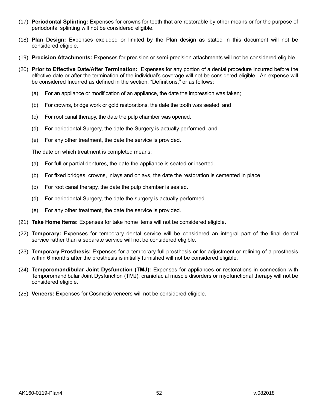- (17) **Periodontal Splinting:** Expenses for crowns for teeth that are restorable by other means or for the purpose of periodontal splinting will not be considered eligible.
- (18) **Plan Design:** Expenses excluded or limited by the Plan design as stated in this document will not be considered eligible.
- (19) **Precision Attachments:** Expenses for precision or semi-precision attachments will not be considered eligible.
- (20) **Prior to Effective Date/After Termination:** Expenses for any portion of a dental procedure Incurred before the effective date or after the termination of the individual's coverage will not be considered eligible. An expense will be considered Incurred as defined in the section, "Definitions," or as follows:
	- (a) For an appliance or modification of an appliance, the date the impression was taken;
	- (b) For crowns, bridge work or gold restorations, the date the tooth was seated; and
	- (c) For root canal therapy, the date the pulp chamber was opened.
	- (d) For periodontal Surgery, the date the Surgery is actually performed; and
	- (e) For any other treatment, the date the service is provided.

The date on which treatment is completed means:

- (a) For full or partial dentures, the date the appliance is seated or inserted.
- (b) For fixed bridges, crowns, inlays and onlays, the date the restoration is cemented in place.
- (c) For root canal therapy, the date the pulp chamber is sealed.
- (d) For periodontal Surgery, the date the surgery is actually performed.
- (e) For any other treatment, the date the service is provided.
- (21) **Take Home Items:** Expenses for take home items will not be considered eligible.
- (22) **Temporary:** Expenses for temporary dental service will be considered an integral part of the final dental service rather than a separate service will not be considered eligible.
- (23) **Temporary Prosthesis:** Expenses for a temporary full prosthesis or for adjustment or relining of a prosthesis within 6 months after the prosthesis is initially furnished will not be considered eligible.
- (24) **Temporomandibular Joint Dysfunction (TMJ):** Expenses for appliances or restorations in connection with Temporomandibular Joint Dysfunction (TMJ), craniofacial muscle disorders or myofunctional therapy will not be considered eligible.
- (25) **Veneers:** Expenses for Cosmetic veneers will not be considered eligible.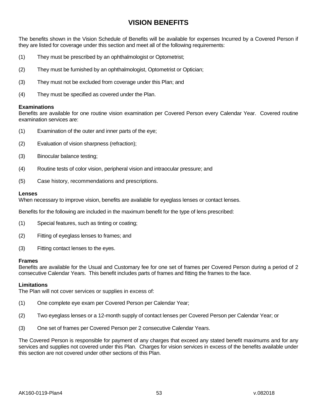# **VISION BENEFITS**

The benefits shown in the Vision Schedule of Benefits will be available for expenses Incurred by a Covered Person if they are listed for coverage under this section and meet all of the following requirements:

- (1) They must be prescribed by an ophthalmologist or Optometrist;
- (2) They must be furnished by an ophthalmologist, Optometrist or Optician;
- (3) They must not be excluded from coverage under this Plan; and
- (4) They must be specified as covered under the Plan.

#### **Examinations**

Benefits are available for one routine vision examination per Covered Person every Calendar Year. Covered routine examination services are:

- (1) Examination of the outer and inner parts of the eye;
- (2) Evaluation of vision sharpness (refraction);
- (3) Binocular balance testing;
- (4) Routine tests of color vision, peripheral vision and intraocular pressure; and
- (5) Case history, recommendations and prescriptions.

#### **Lenses**

When necessary to improve vision, benefits are available for eyeglass lenses or contact lenses.

Benefits for the following are included in the maximum benefit for the type of lens prescribed:

- (1) Special features, such as tinting or coating;
- (2) Fitting of eyeglass lenses to frames; and
- (3) Fitting contact lenses to the eyes.

#### **Frames**

Benefits are available for the Usual and Customary fee for one set of frames per Covered Person during a period of 2 consecutive Calendar Years. This benefit includes parts of frames and fitting the frames to the face.

#### **Limitations**

The Plan will not cover services or supplies in excess of:

- (1) One complete eye exam per Covered Person per Calendar Year;
- (2) Two eyeglass lenses or a 12-month supply of contact lenses per Covered Person per Calendar Year; or
- (3) One set of frames per Covered Person per 2 consecutive Calendar Years.

The Covered Person is responsible for payment of any charges that exceed any stated benefit maximums and for any services and supplies not covered under this Plan. Charges for vision services in excess of the benefits available under this section are not covered under other sections of this Plan.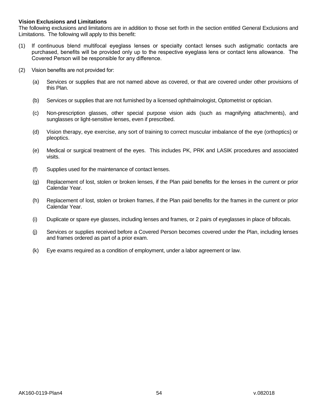# **Vision Exclusions and Limitations**

The following exclusions and limitations are in addition to those set forth in the section entitled General Exclusions and Limitations. The following will apply to this benefit:

- (1) If continuous blend multifocal eyeglass lenses or specialty contact lenses such astigmatic contacts are purchased, benefits will be provided only up to the respective eyeglass lens or contact lens allowance. The Covered Person will be responsible for any difference.
- (2) Vision benefits are not provided for:
	- (a) Services or supplies that are not named above as covered, or that are covered under other provisions of this Plan.
	- (b) Services or supplies that are not furnished by a licensed ophthalmologist, Optometrist or optician.
	- (c) Non-prescription glasses, other special purpose vision aids (such as magnifying attachments), and sunglasses or light-sensitive lenses, even if prescribed.
	- (d) Vision therapy, eye exercise, any sort of training to correct muscular imbalance of the eye (orthoptics) or pleoptics.
	- (e) Medical or surgical treatment of the eyes. This includes PK, PRK and LASIK procedures and associated visits.
	- (f) Supplies used for the maintenance of contact lenses.
	- (g) Replacement of lost, stolen or broken lenses, if the Plan paid benefits for the lenses in the current or prior Calendar Year.
	- (h) Replacement of lost, stolen or broken frames, if the Plan paid benefits for the frames in the current or prior Calendar Year.
	- (i) Duplicate or spare eye glasses, including lenses and frames, or 2 pairs of eyeglasses in place of bifocals.
	- (j) Services or supplies received before a Covered Person becomes covered under the Plan, including lenses and frames ordered as part of a prior exam.
	- (k) Eye exams required as a condition of employment, under a labor agreement or law.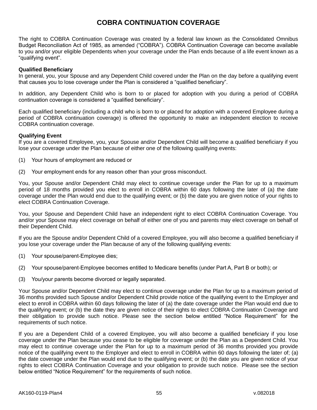# **COBRA CONTINUATION COVERAGE**

The right to COBRA Continuation Coverage was created by a federal law known as the Consolidated Omnibus Budget Reconciliation Act of 1985, as amended ("COBRA"). COBRA Continuation Coverage can become available to you and/or your eligible Dependents when your coverage under the Plan ends because of a life event known as a "qualifying event".

# **Qualified Beneficiary**

In general, you, your Spouse and any Dependent Child covered under the Plan on the day before a qualifying event that causes you to lose coverage under the Plan is considered a "qualified beneficiary".

In addition, any Dependent Child who is born to or placed for adoption with you during a period of COBRA continuation coverage is considered a "qualified beneficiary".

Each qualified beneficiary (including a child who is born to or placed for adoption with a covered Employee during a period of COBRA continuation coverage) is offered the opportunity to make an independent election to receive COBRA continuation coverage.

# **Qualifying Event**

If you are a covered Employee, you, your Spouse and/or Dependent Child will become a qualified beneficiary if you lose your coverage under the Plan because of either one of the following qualifying events:

- (1) Your hours of employment are reduced or
- (2) Your employment ends for any reason other than your gross misconduct.

You, your Spouse and/or Dependent Child may elect to continue coverage under the Plan for up to a maximum period of 18 months provided you elect to enroll in COBRA within 60 days following the later of (a) the date coverage under the Plan would end due to the qualifying event; or (b) the date you are given notice of your rights to elect COBRA Continuation Coverage.

You, your Spouse and Dependent Child have an independent right to elect COBRA Continuation Coverage. You and/or your Spouse may elect coverage on behalf of either one of you and parents may elect coverage on behalf of their Dependent Child.

If you are the Spouse and/or Dependent Child of a covered Employee, you will also become a qualified beneficiary if you lose your coverage under the Plan because of any of the following qualifying events:

- (1) Your spouse/parent-Employee dies;
- (2) Your spouse/parent-Employee becomes entitled to Medicare benefits (under Part A, Part B or both); or
- (3) You/your parents become divorced or legally separated.

Your Spouse and/or Dependent Child may elect to continue coverage under the Plan for up to a maximum period of 36 months provided such Spouse and/or Dependent Child provide notice of the qualifying event to the Employer and elect to enroll in COBRA within 60 days following the later of (a) the date coverage under the Plan would end due to the qualifying event; or (b) the date they are given notice of their rights to elect COBRA Continuation Coverage and their obligation to provide such notice. Please see the section below entitled "Notice Requirement" for the requirements of such notice.

If you are a Dependent Child of a covered Employee, you will also become a qualified beneficiary if you lose coverage under the Plan because you cease to be eligible for coverage under the Plan as a Dependent Child. You may elect to continue coverage under the Plan for up to a maximum period of 36 months provided you provide notice of the qualifying event to the Employer and elect to enroll in COBRA within 60 days following the later of; (a) the date coverage under the Plan would end due to the qualifying event; or (b) the date you are given notice of your rights to elect COBRA Continuation Coverage and your obligation to provide such notice. Please see the section below entitled "Notice Requirement" for the requirements of such notice.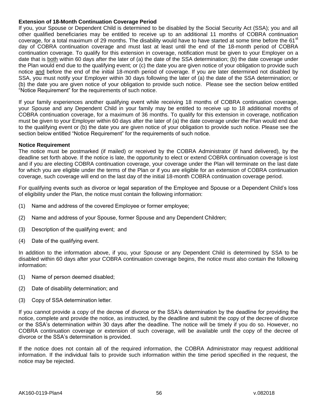# **Extension of 18-Month Continuation Coverage Period**

If you, your Spouse or Dependent Child is determined to be disabled by the Social Security Act (SSA); you and all other qualified beneficiaries may be entitled to receive up to an additional 11 months of COBRA continuation coverage, for a total maximum of 29 months. The disability would have to have started at some time before the 61<sup>st</sup> day of COBRA continuation coverage and must last at least until the end of the 18-month period of COBRA continuation coverage. To qualify for this extension in coverage, notification must be given to your Employer on a date that is both within 60 days after the later of (a) the date of the SSA determination; (b) the date coverage under the Plan would end due to the qualifying event; or (c) the date you are given notice of your obligation to provide such notice and before the end of the initial 18-month period of coverage. If you are later determined not disabled by SSA, you must notify your Employer within 30 days following the later of (a) the date of the SSA determination; or (b) the date you are given notice of your obligation to provide such notice. Please see the section below entitled "Notice Requirement" for the requirements of such notice.

If your family experiences another qualifying event while receiving 18 months of COBRA continuation coverage, your Spouse and any Dependent Child in your family may be entitled to receive up to 18 additional months of COBRA continuation coverage, for a maximum of 36 months. To qualify for this extension in coverage, notification must be given to your Employer within 60 days after the later of (a) the date coverage under the Plan would end due to the qualifying event or (b) the date you are given notice of your obligation to provide such notice. Please see the section below entitled "Notice Requirement" for the requirements of such notice.

#### **Notice Requirement**

The notice must be postmarked (if mailed) or received by the COBRA Administrator (if hand delivered), by the deadline set forth above. If the notice is late, the opportunity to elect or extend COBRA continuation coverage is lost and if you are electing COBRA continuation coverage, your coverage under the Plan will terminate on the last date for which you are eligible under the terms of the Plan or if you are eligible for an extension of COBRA continuation coverage, such coverage will end on the last day of the initial 18-month COBRA continuation coverage period.

For qualifying events such as divorce or legal separation of the Employee and Spouse or a Dependent Child's loss of eligibility under the Plan, the notice must contain the following information:

- (1) Name and address of the covered Employee or former employee;
- (2) Name and address of your Spouse, former Spouse and any Dependent Children;
- (3) Description of the qualifying event; and
- (4) Date of the qualifying event.

In addition to the information above, if you, your Spouse or any Dependent Child is determined by SSA to be disabled within 60 days after your COBRA continuation coverage begins, the notice must also contain the following information:

- (1) Name of person deemed disabled;
- (2) Date of disability determination; and
- (3) Copy of SSA determination letter.

If you cannot provide a copy of the decree of divorce or the SSA's determination by the deadline for providing the notice, complete and provide the notice, as instructed, by the deadline and submit the copy of the decree of divorce or the SSA's determination within 30 days after the deadline. The notice will be timely if you do so. However, no COBRA continuation coverage or extension of such coverage, will be available until the copy of the decree of divorce or the SSA's determination is provided.

If the notice does not contain all of the required information, the COBRA Administrator may request additional information. If the individual fails to provide such information within the time period specified in the request, the notice may be rejected.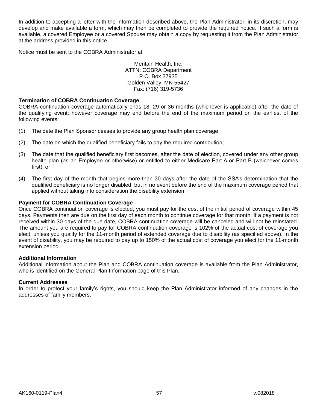In addition to accepting a letter with the information described above, the Plan Administrator, in its discretion, may develop and make available a form, which may then be completed to provide the required notice. If such a form is available, a covered Employee or a covered Spouse may obtain a copy by requesting it from the Plan Administrator at the address provided in this notice.

Notice must be sent to the COBRA Administrator at:

Meritain Health, Inc. ATTN: COBRA Department P.O. Box 27935 Golden Valley, MN 55427 Fax: (716) 319-5736

### **Termination of COBRA Continuation Coverage**

COBRA continuation coverage automatically ends 18, 29 or 36 months (whichever is applicable) after the date of the qualifying event; however coverage may end before the end of the maximum period on the earliest of the following events:

- (1) The date the Plan Sponsor ceases to provide any group health plan coverage;
- (2) The date on which the qualified beneficiary fails to pay the required contribution;
- (3) The date that the qualified beneficiary first becomes, after the date of election, covered under any other group health plan (as an Employee or otherwise) or entitled to either Medicare Part A or Part B (whichever comes first); or
- (4) The first day of the month that begins more than 30 days after the date of the SSA's determination that the qualified beneficiary is no longer disabled, but in no event before the end of the maximum coverage period that applied without taking into consideration the disability extension.

### **Payment for COBRA Continuation Coverage**

Once COBRA continuation coverage is elected, you must pay for the cost of the initial period of coverage within 45 days. Payments then are due on the first day of each month to continue coverage for that month. If a payment is not received within 30 days of the due date, COBRA continuation coverage will be canceled and will not be reinstated. The amount you are required to pay for COBRA continuation coverage is 102% of the actual cost of coverage you elect, unless you qualify for the 11-month period of extended coverage due to disability (as specified above). In the event of disability, you may be required to pay up to 150% of the actual cost of coverage you elect for the 11-month extension period.

#### **Additional Information**

Additional information about the Plan and COBRA continuation coverage is available from the Plan Administrator, who is identified on the General Plan Information page of this Plan.

# **Current Addresses**

In order to protect your family's rights, you should keep the Plan Administrator informed of any changes in the addresses of family members.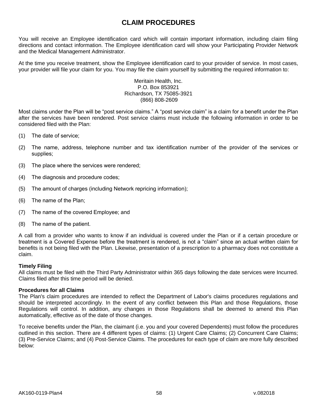# **CLAIM PROCEDURES**

You will receive an Employee identification card which will contain important information, including claim filing directions and contact information. The Employee identification card will show your Participating Provider Network and the Medical Management Administrator.

At the time you receive treatment, show the Employee identification card to your provider of service. In most cases, your provider will file your claim for you. You may file the claim yourself by submitting the required information to:

#### Meritain Health, Inc. P.O. Box 853921 Richardson, TX 75085-3921 (866) 808-2609

Most claims under the Plan will be "post service claims." A "post service claim" is a claim for a benefit under the Plan after the services have been rendered. Post service claims must include the following information in order to be considered filed with the Plan:

- (1) The date of service;
- (2) The name, address, telephone number and tax identification number of the provider of the services or supplies;
- (3) The place where the services were rendered;
- (4) The diagnosis and procedure codes;
- (5) The amount of charges (including Network repricing information);
- (6) The name of the Plan;
- (7) The name of the covered Employee; and
- (8) The name of the patient.

A call from a provider who wants to know if an individual is covered under the Plan or if a certain procedure or treatment is a Covered Expense before the treatment is rendered, is not a "claim" since an actual written claim for benefits is not being filed with the Plan. Likewise, presentation of a prescription to a pharmacy does not constitute a claim.

# **Timely Filing**

All claims must be filed with the Third Party Administrator within 365 days following the date services were Incurred. Claims filed after this time period will be denied.

# **Procedures for all Claims**

The Plan's claim procedures are intended to reflect the Department of Labor's claims procedures regulations and should be interpreted accordingly. In the event of any conflict between this Plan and those Regulations, those Regulations will control. In addition, any changes in those Regulations shall be deemed to amend this Plan automatically, effective as of the date of those changes.

To receive benefits under the Plan, the claimant (i.e. you and your covered Dependents) must follow the procedures outlined in this section. There are 4 different types of claims: (1) Urgent Care Claims; (2) Concurrent Care Claims; (3) Pre-Service Claims; and (4) Post-Service Claims. The procedures for each type of claim are more fully described below: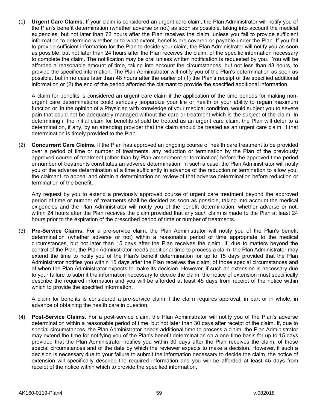(1) **Urgent Care Claims.** If your claim is considered an urgent care claim, the Plan Administrator will notify you of the Plan's benefit determination (whether adverse or not) as soon as possible, taking into account the medical exigencies, but not later than 72 hours after the Plan receives the claim, unless you fail to provide sufficient information to determine whether or to what extent, benefits are covered or payable under the Plan. If you fail to provide sufficient information for the Plan to decide your claim, the Plan Administrator will notify you as soon as possible, but not later than 24 hours after the Plan receives the claim, of the specific information necessary to complete the claim. The notification may be oral unless written notification is requested by you. You will be afforded a reasonable amount of time, taking into account the circumstances, but not less than 48 hours, to provide the specified information. The Plan Administrator will notify you of the Plan's determination as soon as possible, but in no case later than 48 hours after the earlier of (1) the Plan's receipt of the specified additional information or (2) the end of the period afforded the claimant to provide the specified additional information.

A claim for benefits is considered an urgent care claim if the application of the time periods for making nonurgent care determinations could seriously jeopardize your life or health or your ability to regain maximum function or, in the opinion of a Physician with knowledge of your medical condition, would subject you to severe pain that could not be adequately managed without the care or treatment which is the subject of the claim. In determining if the initial claim for benefits should be treated as an urgent care claim, the Plan will defer to a determination, if any, by an attending provider that the claim should be treated as an urgent care claim, if that determination is timely provided to the Plan.

(2) **Concurrent Care Claims.** If the Plan has approved an ongoing course of health care treatment to be provided over a period of time or number of treatments, any reduction or termination by the Plan of the previously approved course of treatment (other than by Plan amendment or termination) before the approved time period or number of treatments constitutes an adverse determination. In such a case, the Plan Administrator will notify you of the adverse determination at a time sufficiently in advance of the reduction or termination to allow you, the claimant, to appeal and obtain a determination on review of that adverse determination before reduction or termination of the benefit.

Any request by you to extend a previously approved course of urgent care treatment beyond the approved period of time or number of treatments shall be decided as soon as possible, taking into account the medical exigencies and the Plan Administrator will notify you of the benefit determination, whether adverse or not, within 24 hours after the Plan receives the claim provided that any such claim is made to the Plan at least 24 hours prior to the expiration of the prescribed period of time or number of treatments.

(3) **Pre-Service Claims.** For a pre-service claim, the Plan Administrator will notify you of the Plan's benefit determination (whether adverse or not) within a reasonable period of time appropriate to the medical circumstances, but not later than 15 days after the Plan receives the claim. If, due to matters beyond the control of the Plan, the Plan Administrator needs additional time to process a claim, the Plan Administrator may extend the time to notify you of the Plan's benefit determination for up to 15 days provided that the Plan Administrator notifies you within 15 days after the Plan receives the claim, of those special circumstances and of when the Plan Administrator expects to make its decision. However, if such an extension is necessary due to your failure to submit the information necessary to decide the claim, the notice of extension must specifically describe the required information and you will be afforded at least 45 days from receipt of the notice within which to provide the specified information.

A claim for benefits is considered a pre-service claim if the claim requires approval, in part or in whole, in advance of obtaining the health care in question.

(4) **Post-Service Claims.** For a post-service claim, the Plan Administrator will notify you of the Plan's adverse determination within a reasonable period of time, but not later than 30 days after receipt of the claim. If, due to special circumstances, the Plan Administrator needs additional time to process a claim, the Plan Administrator may extend the time for notifying you of the Plan's benefit determination on a one-time basis for up to 15 days provided that the Plan Administrator notifies you within 30 days after the Plan receives the claim, of those special circumstances and of the date by which the reviewer expects to make a decision. However, if such a decision is necessary due to your failure to submit the information necessary to decide the claim, the notice of extension will specifically describe the required information and you will be afforded at least 45 days from receipt of the notice within which to provide the specified information.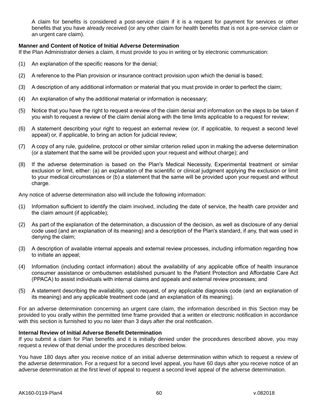A claim for benefits is considered a post-service claim if it is a request for payment for services or other benefits that you have already received (or any other claim for health benefits that is not a pre-service claim or an urgent care claim).

# **Manner and Content of Notice of Initial Adverse Determination**

If the Plan Administrator denies a claim, it must provide to you in writing or by electronic communication:

- (1) An explanation of the specific reasons for the denial;
- (2) A reference to the Plan provision or insurance contract provision upon which the denial is based;
- (3) A description of any additional information or material that you must provide in order to perfect the claim;
- (4) An explanation of why the additional material or information is necessary;
- (5) Notice that you have the right to request a review of the claim denial and information on the steps to be taken if you wish to request a review of the claim denial along with the time limits applicable to a request for review;
- (6) A statement describing your right to request an external review (or, if applicable, to request a second level appeal) or, if applicable, to bring an action for judicial review;
- (7) A copy of any rule, guideline, protocol or other similar criterion relied upon in making the adverse determination (or a statement that the same will be provided upon your request and without charge); and
- (8) If the adverse determination is based on the Plan's Medical Necessity, Experimental treatment or similar exclusion or limit, either: (a) an explanation of the scientific or clinical judgment applying the exclusion or limit to your medical circumstances or (b) a statement that the same will be provided upon your request and without charge.

Any notice of adverse determination also will include the following information:

- (1) Information sufficient to identify the claim involved, including the date of service, the health care provider and the claim amount (if applicable);
- (2) As part of the explanation of the determination, a discussion of the decision, as well as disclosure of any denial code used (and an explanation of its meaning) and a description of the Plan's standard, if any, that was used in denying the claim;
- (3) A description of available internal appeals and external review processes, including information regarding how to initiate an appeal;
- (4) Information (including contact information) about the availability of any applicable office of health insurance consumer assistance or ombudsmen established pursuant to the Patient Protection and Affordable Care Act (PPACA) to assist individuals with internal claims and appeals and external review processes; and
- (5) A statement describing the availability, upon request, of any applicable diagnosis code (and an explanation of its meaning) and any applicable treatment code (and an explanation of its meaning).

For an adverse determination concerning an urgent care claim, the information described in this Section may be provided to you orally within the permitted time frame provided that a written or electronic notification in accordance with this section is furnished to you no later than 3 days after the oral notification.

# **Internal Review of Initial Adverse Benefit Determination**

If you submit a claim for Plan benefits and it is initially denied under the procedures described above, you may request a review of that denial under the procedures described below.

You have 180 days after you receive notice of an initial adverse determination within which to request a review of the adverse determination. For a request for a second level appeal, you have 60 days after you receive notice of an adverse determination at the first level of appeal to request a second level appeal of the adverse determination.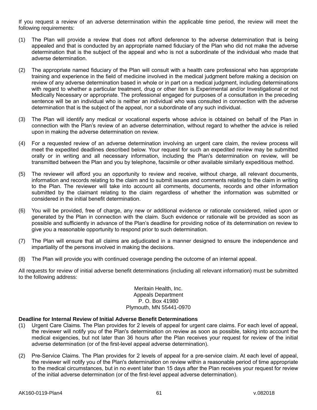If you request a review of an adverse determination within the applicable time period, the review will meet the following requirements:

- (1) The Plan will provide a review that does not afford deference to the adverse determination that is being appealed and that is conducted by an appropriate named fiduciary of the Plan who did not make the adverse determination that is the subject of the appeal and who is not a subordinate of the individual who made that adverse determination.
- (2) The appropriate named fiduciary of the Plan will consult with a health care professional who has appropriate training and experience in the field of medicine involved in the medical judgment before making a decision on review of any adverse determination based in whole or in part on a medical judgment, including determinations with regard to whether a particular treatment, drug or other item is Experimental and/or Investigational or not Medically Necessary or appropriate. The professional engaged for purposes of a consultation in the preceding sentence will be an individual who is neither an individual who was consulted in connection with the adverse determination that is the subject of the appeal, nor a subordinate of any such individual.
- (3) The Plan will identify any medical or vocational experts whose advice is obtained on behalf of the Plan in connection with the Plan's review of an adverse determination, without regard to whether the advice is relied upon in making the adverse determination on review.
- (4) For a requested review of an adverse determination involving an urgent care claim, the review process will meet the expedited deadlines described below. Your request for such an expedited review may be submitted orally or in writing and all necessary information, including the Plan's determination on review, will be transmitted between the Plan and you by telephone, facsimile or other available similarly expeditious method.
- (5) The reviewer will afford you an opportunity to review and receive, without charge, all relevant documents, information and records relating to the claim and to submit issues and comments relating to the claim in writing to the Plan. The reviewer will take into account all comments, documents, records and other information submitted by the claimant relating to the claim regardless of whether the information was submitted or considered in the initial benefit determination.
- (6) You will be provided, free of charge, any new or additional evidence or rationale considered, relied upon or generated by the Plan in connection with the claim. Such evidence or rationale will be provided as soon as possible and sufficiently in advance of the Plan's deadline for providing notice of its determination on review to give you a reasonable opportunity to respond prior to such determination.
- (7) The Plan will ensure that all claims are adjudicated in a manner designed to ensure the independence and impartiality of the persons involved in making the decisions.
- (8) The Plan will provide you with continued coverage pending the outcome of an internal appeal.

All requests for review of initial adverse benefit determinations (including all relevant information) must be submitted to the following address:

> Meritain Health, Inc. Appeals Department P. O. Box 41980 Plymouth, MN 55441-0970

# **Deadline for Internal Review of Initial Adverse Benefit Determinations**

- (1) Urgent Care Claims. The Plan provides for 2 levels of appeal for urgent care claims. For each level of appeal, the reviewer will notify you of the Plan's determination on review as soon as possible, taking into account the medical exigencies, but not later than 36 hours after the Plan receives your request for review of the initial adverse determination (or of the first-level appeal adverse determination).
- (2) Pre-Service Claims. The Plan provides for 2 levels of appeal for a pre-service claim. At each level of appeal, the reviewer will notify you of the Plan's determination on review within a reasonable period of time appropriate to the medical circumstances, but in no event later than 15 days after the Plan receives your request for review of the initial adverse determination (or of the first-level appeal adverse determination).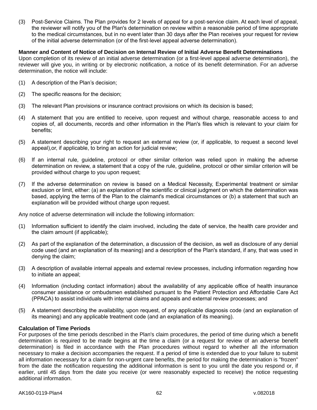(3) Post-Service Claims. The Plan provides for 2 levels of appeal for a post-service claim. At each level of appeal, the reviewer will notify you of the Plan's determination on review within a reasonable period of time appropriate to the medical circumstances, but in no event later than 30 days after the Plan receives your request for review of the initial adverse determination (or of the first-level appeal adverse determination).

**Manner and Content of Notice of Decision on Internal Review of Initial Adverse Benefit Determinations** Upon completion of its review of an initial adverse determination (or a first-level appeal adverse determination), the reviewer will give you, in writing or by electronic notification, a notice of its benefit determination. For an adverse determination, the notice will include:

- (1) A description of the Plan's decision;
- (2) The specific reasons for the decision;
- (3) The relevant Plan provisions or insurance contract provisions on which its decision is based;
- (4) A statement that you are entitled to receive, upon request and without charge, reasonable access to and copies of, all documents, records and other information in the Plan's files which is relevant to your claim for benefits;
- (5) A statement describing your right to request an external review (or, if applicable, to request a second level appeal),or, if applicable, to bring an action for judicial review;
- (6) If an internal rule, guideline, protocol or other similar criterion was relied upon in making the adverse determination on review, a statement that a copy of the rule, guideline, protocol or other similar criterion will be provided without charge to you upon request;
- (7) If the adverse determination on review is based on a Medical Necessity, Experimental treatment or similar exclusion or limit, either: (a) an explanation of the scientific or clinical judgment on which the determination was based, applying the terms of the Plan to the claimant's medical circumstances or (b) a statement that such an explanation will be provided without charge upon request.

Any notice of adverse determination will include the following information:

- (1) Information sufficient to identify the claim involved, including the date of service, the health care provider and the claim amount (if applicable);
- (2) As part of the explanation of the determination, a discussion of the decision, as well as disclosure of any denial code used (and an explanation of its meaning) and a description of the Plan's standard, if any, that was used in denying the claim;
- (3) A description of available internal appeals and external review processes, including information regarding how to initiate an appeal;
- (4) Information (including contact information) about the availability of any applicable office of health insurance consumer assistance or ombudsmen established pursuant to the Patient Protection and Affordable Care Act (PPACA) to assist individuals with internal claims and appeals and external review processes; and
- (5) A statement describing the availability, upon request, of any applicable diagnosis code (and an explanation of its meaning) and any applicable treatment code (and an explanation of its meaning).

# **Calculation of Time Periods**

For purposes of the time periods described in the Plan's claim procedures, the period of time during which a benefit determination is required to be made begins at the time a claim (or a request for review of an adverse benefit determination) is filed in accordance with the Plan procedures without regard to whether all the information necessary to make a decision accompanies the request. If a period of time is extended due to your failure to submit all information necessary for a claim for non-urgent care benefits, the period for making the determination is "frozen" from the date the notification requesting the additional information is sent to you until the date you respond or, if earlier, until 45 days from the date you receive (or were reasonably expected to receive) the notice requesting additional information.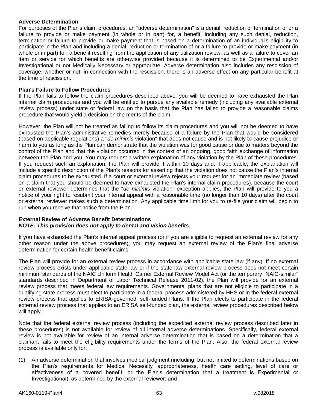# **Adverse Determination**

For purposes of the Plan's claim procedures, an "adverse determination" is a denial, reduction or termination of or a failure to provide or make payment (in whole or in part) for, a benefit, including any such denial, reduction, termination or failure to provide or make payment that is based on a determination of an individual's eligibility to participate in the Plan and including a denial, reduction or termination of or a failure to provide or make payment (in whole or in part) for, a benefit resulting from the application of any utilization review, as well as a failure to cover an item or service for which benefits are otherwise provided because it is determined to be Experimental and/or Investigational or not Medically Necessary or appropriate. Adverse determination also includes any rescission of coverage, whether or not, in connection with the rescission, there is an adverse effect on any particular benefit at the time of rescission.

#### **Plan's Failure to Follow Procedures**

If the Plan fails to follow the claim procedures described above, you will be deemed to have exhausted the Plan internal claim procedures and you will be entitled to pursue any available remedy (including any available external review process) under state or federal law on the basis that the Plan has failed to provide a reasonable claims procedure that would yield a decision on the merits of the claim.

However, the Plan will not be treated as failing to follow its claim procedures and you will not be deemed to have exhausted the Plan's administrative remedies merely because of a failure by the Plan that would be considered (based on applicable regulations) a "*de minimis* violation" that does not cause and is not likely to cause prejudice or harm to you as long as the Plan can demonstrate that the violation was for good cause or due to matters beyond the control of the Plan and that the violation occurred in the context of an ongoing, good faith exchange of information between the Plan and you. You may request a written explanation of any violation by the Plan of these procedures. If you request such an explanation, the Plan will provide it within 10 days and, if applicable, the explanation will include a specific description of the Plan's reasons for asserting that the violation does not cause the Plan's internal claim procedures to be exhausted. If a court or external review rejects your request for an immediate review (based on a claim that you should be deemed to have exhausted the Plan's internal claim procedures), because the court or external reviewer determines that the "*de minimis* violation" exception applies, the Plan will provide to you a notice of your right to resubmit your internal appeal with a reasonable time (no longer than 10 days) after the court or external reviewer makes such a determination. Any applicable time limit for you to re-file your claim will begin to run when you receive that notice from the Plan.

# **External Review of Adverse Benefit Determinations** *NOTE: This provision does not apply to dental and vision benefits.*

If you have exhausted the Plan's internal appeal process (or if you are eligible to request an external review for any other reason under the above procedures), you may request an external review of the Plan's final adverse determination for certain health benefit claims.

The Plan will provide for an external review process in accordance with applicable state law (if any). If no external review process exists under applicable state law or if the state law external review process does not meet certain minimum standards of the NAIC Uniform Health Carrier External Review Model Act (or the temporary "NAIC-similar" standards described in Department of Labor Technical Release 2011-02), the Plan will provide for an external review process that meets federal law requirements. Governmental plans that are not eligible to participate in a qualifying state process must elect to participate in a federal process administered by HHS or in the federal external review process that applies to ERISA-governed, self-funded Plans. If the Plan elects to participate in the federal external review process that applies to an ERISA self-funded plan, the external review procedures described below will apply.

Note that the federal external review process (including the expedited external review process described later in these procedures) is not available for review of all internal adverse determinations. Specifically, federal external review is not available for review of an internal adverse determination that is based on a determination that a claimant fails to meet the eligibility requirements under the terms of the Plan. Also, the federal external review process is available only for:

(1) An adverse determination that involves medical judgment (including, but not limited to determinations based on the Plan's requirements for Medical Necessity, appropriateness, health care setting, level of care or effectiveness of a covered benefit; or the Plan's determination that a treatment is Experimental or Investigational), as determined by the external reviewer; and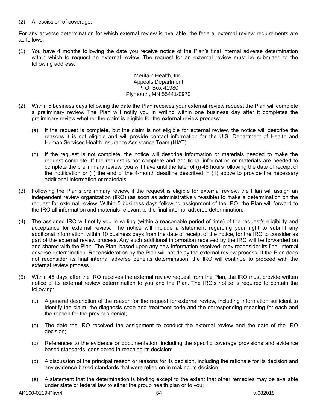(2) A rescission of coverage.

For any adverse determination for which external review is available, the federal external review requirements are as follows:

(1) You have 4 months following the date you receive notice of the Plan's final internal adverse determination within which to request an external review. The request for an external review must be submitted to the following address:

## Meritain Health, Inc. Appeals Department P. O. Box 41980 Plymouth, MN 55441-0970

- (2) Within 5 business days following the date the Plan receives your external review request the Plan will complete a preliminary review. The Plan will notify you in writing within one business day after it completes the preliminary review whether the claim is eligible for the external review process:
	- (a) If the request is complete, but the claim is not eligible for external review, the notice will describe the reasons it is not eligible and will provide contact information for the U.S. Department of Health and Human Services Health Insurance Assistance Team (HIAT).
	- (b) If the request is not complete, the notice will describe information or materials needed to make the request complete. If the request is not complete and additional information or materials are needed to complete the preliminary review, you will have until the later of (i) 48 hours following the date of receipt of the notification or (ii) the end of the 4-month deadline described in (1) above to provide the necessary additional information or materials.
- (3) Following the Plan's preliminary review, if the request is eligible for external review, the Plan will assign an independent review organization (IRO) (as soon as administratively feasible) to make a determination on the request for external review. Within 5 business days following assignment of the IRO, the Plan will forward to the IRO all information and materials relevant to the final internal adverse determination.
- (4) The assigned IRO will notify you in writing (within a reasonable period of time) of the request's eligibility and acceptance for external review. The notice will include a statement regarding your right to submit any additional information, within 10 business days from the date of receipt of the notice, for the IRO to consider as part of the external review process. Any such additional information received by the IRO will be forwarded on and shared with the Plan. The Plan, based upon any new information received, may reconsider its final internal adverse determination. Reconsideration by the Plan will not delay the external review process. If the Plan does not reconsider its final internal adverse benefits determination, the IRO will continue to proceed with the external review process.
- (5) Within 45 days after the IRO receives the external review request from the Plan, the IRO must provide written notice of its external review determination to you and the Plan. The IRO's notice is required to contain the following:
	- (a) A general description of the reason for the request for external review, including information sufficient to identify the claim, the diagnosis code and treatment code and the corresponding meaning for each and the reason for the previous denial;
	- (b) The date the IRO received the assignment to conduct the external review and the date of the IRO decision;
	- (c) References to the evidence or documentation, including the specific coverage provisions and evidence based standards, considered in reaching its decision;
	- (d) A discussion of the principal reason or reasons for its decision, including the rationale for its decision and any evidence-based standards that were relied on in making its decision;
	- (e) A statement that the determination is binding except to the extent that other remedies may be available under state or federal law to either the group health plan or to you;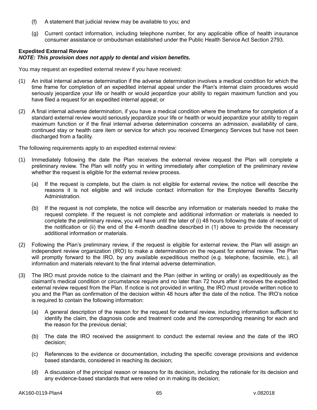- (f) A statement that judicial review may be available to you; and
- (g) Current contact information, including telephone number, for any applicable office of health insurance consumer assistance or ombudsman established under the Public Health Service Act Section 2793.

#### **Expedited External Review** *NOTE: This provision does not apply to dental and vision benefits.*

You may request an expedited external review if you have received:

- (1) An initial internal adverse determination if the adverse determination involves a medical condition for which the time frame for completion of an expedited internal appeal under the Plan's internal claim procedures would seriously jeopardize your life or health or would jeopardize your ability to regain maximum function and you have filed a request for an expedited internal appeal; or
- (2) A final internal adverse determination, if you have a medical condition where the timeframe for completion of a standard external review would seriously jeopardize your life or health or would jeopardize your ability to regain maximum function or if the final internal adverse determination concerns an admission, availability of care, continued stay or health care item or service for which you received Emergency Services but have not been discharged from a facility.

The following requirements apply to an expedited external review:

- (1) Immediately following the date the Plan receives the external review request the Plan will complete a preliminary review. The Plan will notify you in writing immediately after completion of the preliminary review whether the request is eligible for the external review process.
	- (a) If the request is complete, but the claim is not eligible for external review, the notice will describe the reasons it is not eligible and will include contact information for the Employee Benefits Security Administration.
	- (b) If the request is not complete, the notice will describe any information or materials needed to make the request complete. If the request is not complete and additional information or materials is needed to complete the preliminary review, you will have until the later of (i) 48 hours following the date of receipt of the notification or (ii) the end of the 4-month deadline described in (1) above to provide the necessary additional information or materials.
- (2) Following the Plan's preliminary review, if the request is eligible for external review, the Plan will assign an independent review organization (IRO) to make a determination on the request for external review. The Plan will promptly forward to the IRO, by any available expeditious method (e.g. telephone, facsimile, etc.), all information and materials relevant to the final internal adverse determination.
- (3) The IRO must provide notice to the claimant and the Plan (either in writing or orally) as expeditiously as the claimant's medical condition or circumstance require and no later than 72 hours after it receives the expedited external review request from the Plan. If notice is not provided in writing, the IRO must provide written notice to you and the Plan as confirmation of the decision within 48 hours after the date of the notice. The IRO's notice is required to contain the following information:
	- (a) A general description of the reason for the request for external review, including information sufficient to identify the claim, the diagnosis code and treatment code and the corresponding meaning for each and the reason for the previous denial;
	- (b) The date the IRO received the assignment to conduct the external review and the date of the IRO decision;
	- (c) References to the evidence or documentation, including the specific coverage provisions and evidence based standards, considered in reaching its decision;
	- (d) A discussion of the principal reason or reasons for its decision, including the rationale for its decision and any evidence-based standards that were relied on in making its decision;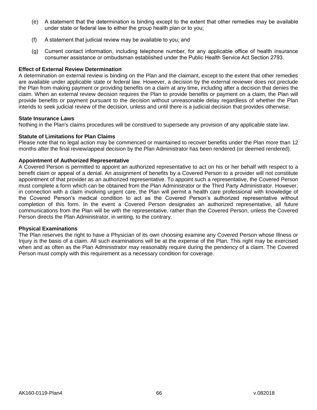- (e) A statement that the determination is binding except to the extent that other remedies may be available under state or federal law to either the group health plan or to you;
- (f) A statement that judicial review may be available to you; and
- (g) Current contact information, including telephone number, for any applicable office of health insurance consumer assistance or ombudsman established under the Public Health Service Act Section 2793.

### **Effect of External Review Determination**

A determination on external review is binding on the Plan and the claimant, except to the extent that other remedies are available under applicable state or federal law. However, a decision by the external reviewer does not preclude the Plan from making payment or providing benefits on a claim at any time, including after a decision that denies the claim. When an external review decision requires the Plan to provide benefits or payment on a claim, the Plan will provide benefits or payment pursuant to the decision without unreasonable delay regardless of whether the Plan intends to seek judicial review of the decision, unless and until there is a judicial decision that provides otherwise.

#### **State Insurance Laws**

Nothing in the Plan's claims procedures will be construed to supersede any provision of any applicable state law.

### **Statute of Limitations for Plan Claims**

Please note that no legal action may be commenced or maintained to recover benefits under the Plan more than 12 months after the final review/appeal decision by the Plan Administrator has been rendered (or deemed rendered).

# **Appointment of Authorized Representative**

A Covered Person is permitted to appoint an authorized representative to act on his or her behalf with respect to a benefit claim or appeal of a denial. An assignment of benefits by a Covered Person to a provider will not constitute appointment of that provider as an authorized representative. To appoint such a representative, the Covered Person must complete a form which can be obtained from the Plan Administrator or the Third Party Administrator. However, in connection with a claim involving urgent care, the Plan will permit a health care professional with knowledge of the Covered Person's medical condition to act as the Covered Person's authorized representative without completion of this form. In the event a Covered Person designates an authorized representative, all future communications from the Plan will be with the representative, rather than the Covered Person, unless the Covered Person directs the Plan Administrator, in writing, to the contrary.

#### **Physical Examinations**

The Plan reserves the right to have a Physician of its own choosing examine any Covered Person whose Illness or Injury is the basis of a claim. All such examinations will be at the expense of the Plan. This right may be exercised when and as often as the Plan Administrator may reasonably require during the pendency of a claim. The Covered Person must comply with this requirement as a necessary condition for coverage.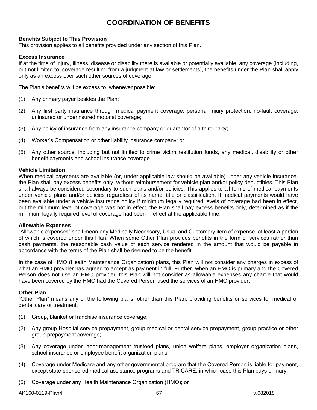# **COORDINATION OF BENEFITS**

# **Benefits Subject to This Provision**

This provision applies to all benefits provided under any section of this Plan.

### **Excess Insurance**

If at the time of Injury, Illness, disease or disability there is available or potentially available, any coverage (including, but not limited to, coverage resulting from a judgment at law or settlements), the benefits under the Plan shall apply only as an excess over such other sources of coverage.

The Plan's benefits will be excess to, whenever possible:

- (1) Any primary payer besides the Plan;
- (2) Any first party insurance through medical payment coverage, personal Injury protection, no-fault coverage, uninsured or underinsured motorist coverage;
- (3) Any policy of insurance from any insurance company or guarantor of a third-party;
- (4) Worker's Compensation or other liability insurance company; or
- (5) Any other source, including but not limited to crime victim restitution funds, any medical, disability or other benefit payments and school insurance coverage.

#### **Vehicle Limitation**

When medical payments are available (or, under applicable law should be available) under any vehicle insurance, the Plan shall pay excess benefits only, without reimbursement for vehicle plan and/or policy deductibles. This Plan shall always be considered secondary to such plans and/or policies. This applies to all forms of medical payments under vehicle plans and/or policies regardless of its name, title or classification. If medical payments would have been available under a vehicle insurance policy if minimum legally required levels of coverage had been in effect, but the minimum level of coverage was not in effect, the Plan shall pay excess benefits only, determined as if the minimum legally required level of coverage had been in effect at the applicable time.

#### **Allowable Expenses**

"Allowable expenses" shall mean any Medically Necessary, Usual and Customary item of expense, at least a portion of which is covered under this Plan. When some Other Plan provides benefits in the form of services rather than cash payments, the reasonable cash value of each service rendered in the amount that would be payable in accordance with the terms of the Plan shall be deemed to be the benefit.

In the case of HMO (Health Maintenance Organization) plans, this Plan will not consider any charges in excess of what an HMO provider has agreed to accept as payment in full. Further, when an HMO is primary and the Covered Person does not use an HMO provider, this Plan will not consider as allowable expenses any charge that would have been covered by the HMO had the Covered Person used the services of an HMO provider.

#### **Other Plan**

"Other Plan" means any of the following plans, other than this Plan, providing benefits or services for medical or dental care or treatment:

- (1) Group, blanket or franchise insurance coverage;
- (2) Any group Hospital service prepayment, group medical or dental service prepayment, group practice or other group prepayment coverage;
- (3) Any coverage under labor-management trusteed plans, union welfare plans, employer organization plans, school insurance or employee benefit organization plans;
- (4) Coverage under Medicare and any other governmental program that the Covered Person is liable for payment, except state-sponsored medical assistance programs and TRICARE, in which case this Plan pays primary;
- (5) Coverage under any Health Maintenance Organization (HMO); or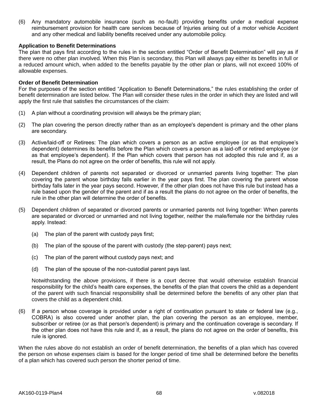(6) Any mandatory automobile insurance (such as no-fault) providing benefits under a medical expense reimbursement provision for health care services because of Injuries arising out of a motor vehicle Accident and any other medical and liability benefits received under any automobile policy.

### **Application to Benefit Determinations**

The plan that pays first according to the rules in the section entitled "Order of Benefit Determination" will pay as if there were no other plan involved. When this Plan is secondary, this Plan will always pay either its benefits in full or a reduced amount which, when added to the benefits payable by the other plan or plans, will not exceed 100% of allowable expenses.

#### **Order of Benefit Determination**

For the purposes of the section entitled "Application to Benefit Determinations," the rules establishing the order of benefit determination are listed below. The Plan will consider these rules in the order in which they are listed and will apply the first rule that satisfies the circumstances of the claim:

- (1) A plan without a coordinating provision will always be the primary plan;
- (2) The plan covering the person directly rather than as an employee's dependent is primary and the other plans are secondary.
- (3) Active/laid-off or Retirees: The plan which covers a person as an active employee (or as that employee's dependent) determines its benefits before the Plan which covers a person as a laid-off or retired employee (or as that employee's dependent). If the Plan which covers that person has not adopted this rule and if, as a result, the Plans do not agree on the order of benefits, this rule will not apply.
- (4) Dependent children of parents not separated or divorced or unmarried parents living together: The plan covering the parent whose birthday falls earlier in the year pays first. The plan covering the parent whose birthday falls later in the year pays second. However, if the other plan does not have this rule but instead has a rule based upon the gender of the parent and if as a result the plans do not agree on the order of benefits, the rule in the other plan will determine the order of benefits.
- (5) Dependent children of separated or divorced parents or unmarried parents not living together: When parents are separated or divorced or unmarried and not living together, neither the male/female nor the birthday rules apply. Instead:
	- (a) The plan of the parent with custody pays first;
	- (b) The plan of the spouse of the parent with custody (the step-parent) pays next;
	- (c) The plan of the parent without custody pays next; and
	- (d) The plan of the spouse of the non-custodial parent pays last.

Notwithstanding the above provisions, if there is a court decree that would otherwise establish financial responsibility for the child's health care expenses, the benefits of the plan that covers the child as a dependent of the parent with such financial responsibility shall be determined before the benefits of any other plan that covers the child as a dependent child.

(6) If a person whose coverage is provided under a right of continuation pursuant to state or federal law (e.g., COBRA) is also covered under another plan, the plan covering the person as an employee, member, subscriber or retiree (or as that person's dependent) is primary and the continuation coverage is secondary. If the other plan does not have this rule and if, as a result, the plans do not agree on the order of benefits, this rule is ignored.

When the rules above do not establish an order of benefit determination, the benefits of a plan which has covered the person on whose expenses claim is based for the longer period of time shall be determined before the benefits of a plan which has covered such person the shorter period of time.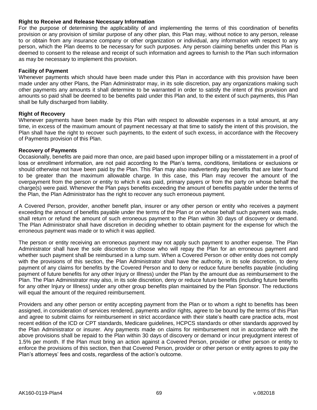### **Right to Receive and Release Necessary Information**

For the purpose of determining the applicability of and implementing the terms of this coordination of benefits provision or any provision of similar purpose of any other plan, this Plan may, without notice to any person, release to or obtain from any insurance company or other organization or individual, any information with respect to any person, which the Plan deems to be necessary for such purposes. Any person claiming benefits under this Plan is deemed to consent to the release and receipt of such information and agrees to furnish to the Plan such information as may be necessary to implement this provision.

### **Facility of Payment**

Whenever payments which should have been made under this Plan in accordance with this provision have been made under any other Plans, the Plan Administrator may, in its sole discretion, pay any organizations making such other payments any amounts it shall determine to be warranted in order to satisfy the intent of this provision and amounts so paid shall be deemed to be benefits paid under this Plan and, to the extent of such payments, this Plan shall be fully discharged from liability.

#### **Right of Recovery**

Whenever payments have been made by this Plan with respect to allowable expenses in a total amount, at any time, in excess of the maximum amount of payment necessary at that time to satisfy the intent of this provision, the Plan shall have the right to recover such payments, to the extent of such excess, in accordance with the Recovery of Payments provision of this Plan.

#### **Recovery of Payments**

Occasionally, benefits are paid more than once, are paid based upon improper billing or a misstatement in a proof of loss or enrollment information, are not paid according to the Plan's terms, conditions, limitations or exclusions or should otherwise not have been paid by the Plan. This Plan may also inadvertently pay benefits that are later found to be greater than the maximum allowable charge. In this case, this Plan may recover the amount of the overpayment from the person or entity to which it was paid, primary payers or from the party on whose behalf the charge(s) were paid. Whenever the Plan pays benefits exceeding the amount of benefits payable under the terms of the Plan, the Plan Administrator has the right to recover any such erroneous payment.

A Covered Person, provider, another benefit plan, insurer or any other person or entity who receives a payment exceeding the amount of benefits payable under the terms of the Plan or on whose behalf such payment was made, shall return or refund the amount of such erroneous payment to the Plan within 30 days of discovery or demand. The Plan Administrator shall have discretion in deciding whether to obtain payment for the expense for which the erroneous payment was made or to which it was applied.

The person or entity receiving an erroneous payment may not apply such payment to another expense. The Plan Administrator shall have the sole discretion to choose who will repay the Plan for an erroneous payment and whether such payment shall be reimbursed in a lump sum. When a Covered Person or other entity does not comply with the provisions of this section, the Plan Administrator shall have the authority, in its sole discretion, to deny payment of any claims for benefits by the Covered Person and to deny or reduce future benefits payable (including payment of future benefits for any other Injury or Illness) under the Plan by the amount due as reimbursement to the Plan. The Plan Administrator may also, in its sole discretion, deny or reduce future benefits (including future benefits for any other Injury or Illness) under any other group benefits plan maintained by the Plan Sponsor. The reductions will equal the amount of the required reimbursement.

Providers and any other person or entity accepting payment from the Plan or to whom a right to benefits has been assigned, in consideration of services rendered, payments and/or rights, agree to be bound by the terms of this Plan and agree to submit claims for reimbursement in strict accordance with their state's health care practice acts, most recent edition of the ICD or CPT standards, Medicare guidelines, HCPCS standards or other standards approved by the Plan Administrator or insurer. Any payments made on claims for reimbursement not in accordance with the above provisions shall be repaid to the Plan within 30 days of discovery or demand or incur prejudgment interest of 1.5% per month. If the Plan must bring an action against a Covered Person, provider or other person or entity to enforce the provisions of this section, then that Covered Person, provider or other person or entity agrees to pay the Plan's attorneys' fees and costs, regardless of the action's outcome.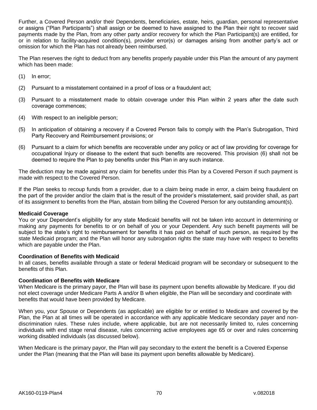Further, a Covered Person and/or their Dependents, beneficiaries, estate, heirs, guardian, personal representative or assigns ("Plan Participants") shall assign or be deemed to have assigned to the Plan their right to recover said payments made by the Plan, from any other party and/or recovery for which the Plan Participant(s) are entitled, for or in relation to facility-acquired condition(s), provider error(s) or damages arising from another party's act or omission for which the Plan has not already been reimbursed.

The Plan reserves the right to deduct from any benefits properly payable under this Plan the amount of any payment which has been made:

- (1) In error;
- (2) Pursuant to a misstatement contained in a proof of loss or a fraudulent act;
- (3) Pursuant to a misstatement made to obtain coverage under this Plan within 2 years after the date such coverage commences;
- (4) With respect to an ineligible person;
- (5) In anticipation of obtaining a recovery if a Covered Person fails to comply with the Plan's Subrogation, Third Party Recovery and Reimbursement provisions; or
- (6) Pursuant to a claim for which benefits are recoverable under any policy or act of law providing for coverage for occupational Injury or disease to the extent that such benefits are recovered. This provision (6) shall not be deemed to require the Plan to pay benefits under this Plan in any such instance.

The deduction may be made against any claim for benefits under this Plan by a Covered Person if such payment is made with respect to the Covered Person.

If the Plan seeks to recoup funds from a provider, due to a claim being made in error, a claim being fraudulent on the part of the provider and/or the claim that is the result of the provider's misstatement, said provider shall, as part of its assignment to benefits from the Plan, abstain from billing the Covered Person for any outstanding amount(s).

# **Medicaid Coverage**

You or your Dependent's eligibility for any state Medicaid benefits will not be taken into account in determining or making any payments for benefits to or on behalf of you or your Dependent. Any such benefit payments will be subject to the state's right to reimbursement for benefits it has paid on behalf of such person, as required by the state Medicaid program; and the Plan will honor any subrogation rights the state may have with respect to benefits which are payable under the Plan.

# **Coordination of Benefits with Medicaid**

In all cases, benefits available through a state or federal Medicaid program will be secondary or subsequent to the benefits of this Plan.

# **Coordination of Benefits with Medicare**

When Medicare is the primary payor, the Plan will base its payment upon benefits allowable by Medicare. If you did not elect coverage under Medicare Parts A and/or B when eligible, the Plan will be secondary and coordinate with benefits that would have been provided by Medicare.

When you, your Spouse or Dependents (as applicable) are eligible for or entitled to Medicare and covered by the Plan, the Plan at all times will be operated in accordance with any applicable Medicare secondary payer and nondiscrimination rules. These rules include, where applicable, but are not necessarily limited to, rules concerning individuals with end stage renal disease, rules concerning active employees age 65 or over and rules concerning working disabled individuals (as discussed below).

When Medicare is the primary payor, the Plan will pay secondary to the extent the benefit is a Covered Expense under the Plan (meaning that the Plan will base its payment upon benefits allowable by Medicare).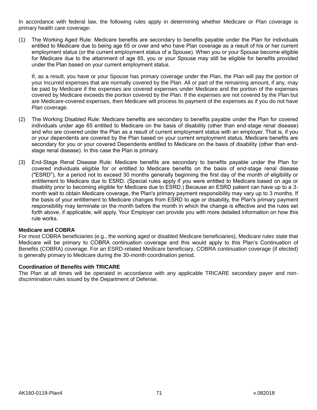In accordance with federal law, the following rules apply in determining whether Medicare or Plan coverage is primary health care coverage:

(1) The Working Aged Rule: Medicare benefits are secondary to benefits payable under the Plan for individuals entitled to Medicare due to being age 65 or over and who have Plan coverage as a result of his or her current employment status (or the current employment status of a Spouse). When you or your Spouse become eligible for Medicare due to the attainment of age 65, you or your Spouse may still be eligible for benefits provided under the Plan based on your current employment status.

If, as a result, you have or your Spouse has primary coverage under the Plan, the Plan will pay the portion of your Incurred expenses that are normally covered by the Plan. All or part of the remaining amount, if any, may be paid by Medicare if the expenses are covered expenses under Medicare and the portion of the expenses covered by Medicare exceeds the portion covered by the Plan. If the expenses are not covered by the Plan but are Medicare-covered expenses, then Medicare will process its payment of the expenses as if you do not have Plan coverage.

- (2) The Working Disabled Rule: Medicare benefits are secondary to benefits payable under the Plan for covered individuals under age 65 entitled to Medicare on the basis of disability (other than end-stage renal disease) and who are covered under the Plan as a result of current employment status with an employer. That is, if you or your dependents are covered by the Plan based on your current employment status, Medicare benefits are secondary for you or your covered Dependents entitled to Medicare on the basis of disability (other than endstage renal disease). In this case the Plan is primary.
- (3) End-Stage Renal Disease Rule: Medicare benefits are secondary to benefits payable under the Plan for covered individuals eligible for or entitled to Medicare benefits on the basis of end-stage renal disease ("ESRD"), for a period not to exceed 30 months generally beginning the first day of the month of eligibility or entitlement to Medicare due to ESRD. (Special rules apply if you were entitled to Medicare based on age or disability prior to becoming eligible for Medicare due to ESRD.) Because an ESRD patient can have up to a 3 month wait to obtain Medicare coverage, the Plan's primary payment responsibility may vary up to 3 months. If the basis of your entitlement to Medicare changes from ESRD to age or disability, the Plan's primary payment responsibility may terminate on the month before the month in which the change is effective and the rules set forth above, if applicable, will apply. Your Employer can provide you with more detailed information on how this rule works.

## **Medicare and COBRA**

For most COBRA beneficiaries (e.g., the working aged or disabled Medicare beneficiaries), Medicare rules state that Medicare will be primary to COBRA continuation coverage and this would apply to this Plan's Continuation of Benefits (COBRA) coverage. For an ESRD-related Medicare beneficiary, COBRA continuation coverage (if elected) is generally primary to Medicare during the 30-month coordination period.

## **Coordination of Benefits with TRICARE**

The Plan at all times will be operated in accordance with any applicable TRICARE secondary payer and nondiscrimination rules issued by the Department of Defense.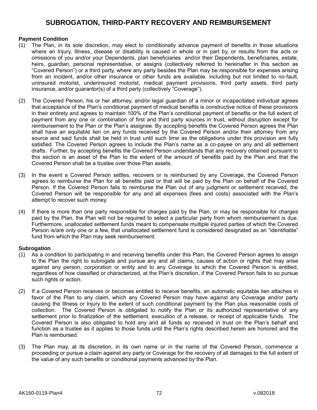# **SUBROGATION, THIRD-PARTY RECOVERY AND REIMBURSEMENT**

## **Payment Condition**

- (1) The Plan, in its sole discretion, may elect to conditionally advance payment of benefits in those situations where an Injury, Illness, disease or disability is caused in whole or in part by, or results from the acts or omissions of you and/or your Dependents, plan beneficiaries and/or their Dependents, beneficiaries, estate, heirs, guardian, personal representative, or assigns (collectively referred to hereinafter in this section as "Covered Person") or a third party, where any party besides the Plan may be responsible for expenses arising from an incident, and/or other insurance or other funds are available, including but not limited to no-fault, uninsured motorist, underinsured motorist, medical payment provisions, third party assets, third party insurance, and/or guarantor(s) of a third party (collectively "Coverage").
- (2) The Covered Person, his or her attorney, and/or legal guardian of a minor or incapacitated individual agrees that acceptance of the Plan's conditional payment of medical benefits is constructive notice of these provisions in their entirety and agrees to maintain 100% of the Plan's conditional payment of benefits or the full extent of payment from any one or combination of first and third party sources in trust, without disruption except for reimbursement to the Plan or the Plan's assignee. By accepting benefits the Covered Person agrees the Plan shall have an equitable lien on any funds received by the Covered Person and/or their attorney from any source and said funds shall be held in trust until such time as the obligations under this provision are fully satisfied. The Covered Person agrees to include the Plan's name as a co-payee on any and all settlement drafts. Further, by accepting benefits the Covered Person understands that any recovery obtained pursuant to this section is an asset of the Plan to the extent of the amount of benefits paid by the Plan and that the Covered Person shall be a trustee over those Plan assets.
- (3) In the event a Covered Person settles, recovers or is reimbursed by any Coverage, the Covered Person agrees to reimburse the Plan for all benefits paid or that will be paid by the Plan on behalf of the Covered Person. If the Covered Person fails to reimburse the Plan out of any judgment or settlement received, the Covered Person will be responsible for any and all expenses (fees and costs) associated with the Plan's attempt to recover such money.
- (4) If there is more than one party responsible for charges paid by the Plan, or may be responsible for charges paid by the Plan, the Plan will not be required to select a particular party from whom reimbursement is due. Furthermore, unallocated settlement funds meant to compensate multiple injured parties of which the Covered Person is/are only one or a few, that unallocated settlement fund is considered designated as an "identifiable" fund from which the Plan may seek reimbursement.

## **Subrogation**

- (1) As a condition to participating in and receiving benefits under this Plan, the Covered Person agrees to assign to the Plan the right to subrogate and pursue any and all claims, causes of action or rights that may arise against any person, corporation or entity and to any Coverage to which the Covered Person is entitled, regardless of how classified or characterized, at the Plan's discretion, if the Covered Person fails to so pursue such rights or action.
- (2) If a Covered Person receives or becomes entitled to receive benefits, an automatic equitable lien attaches in favor of the Plan to any claim, which any Covered Person may have against any Coverage and/or party causing the Illness or Injury to the extent of such conditional payment by the Plan plus reasonable costs of collection. The Covered Person is obligated to notify the Plan or its authorized representative of any settlement prior to finalization of the settlement, execution of a release, or receipt of applicable funds. The Covered Person is also obligated to hold any and all funds so received in trust on the Plan's behalf and function as a trustee as it applies to those funds until the Plan's rights described herein are honored and the Plan is reimbursed.
- (3) The Plan may, at its discretion, in its own name or in the name of the Covered Person, commence a proceeding or pursue a claim against any party or Coverage for the recovery of all damages to the full extent of the value of any such benefits or conditional payments advanced by the Plan.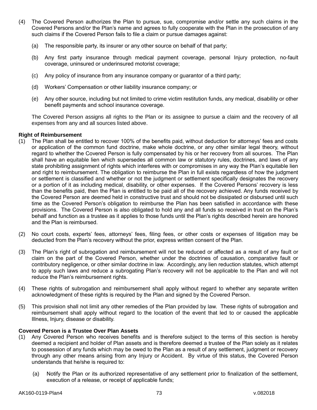- (4) The Covered Person authorizes the Plan to pursue, sue, compromise and/or settle any such claims in the Covered Persons and/or the Plan's name and agrees to fully cooperate with the Plan in the prosecution of any such claims if the Covered Person fails to file a claim or pursue damages against:
	- (a) The responsible party, its insurer or any other source on behalf of that party;
	- (b) Any first party insurance through medical payment coverage, personal Injury protection, no-fault coverage, uninsured or underinsured motorist coverage;
	- (c) Any policy of insurance from any insurance company or guarantor of a third party;
	- (d) Workers' Compensation or other liability insurance company; or
	- (e) Any other source, including but not limited to crime victim restitution funds, any medical, disability or other benefit payments and school insurance coverage.

The Covered Person assigns all rights to the Plan or its assignee to pursue a claim and the recovery of all expenses from any and all sources listed above.

### **Right of Reimbursement**

- (1) The Plan shall be entitled to recover 100% of the benefits paid, without deduction for attorneys' fees and costs or application of the common fund doctrine, make whole doctrine, or any other similar legal theory, without regard to whether the Covered Person is fully compensated by his or her recovery from all sources. The Plan shall have an equitable lien which supersedes all common law or statutory rules, doctrines, and laws of any state prohibiting assignment of rights which interferes with or compromises in any way the Plan's equitable lien and right to reimbursement. The obligation to reimburse the Plan in full exists regardless of how the judgment or settlement is classified and whether or not the judgment or settlement specifically designates the recovery or a portion of it as including medical, disability, or other expenses. If the Covered Persons' recovery is less than the benefits paid, then the Plan is entitled to be paid all of the recovery achieved. Any funds received by the Covered Person are deemed held in constructive trust and should not be dissipated or disbursed until such time as the Covered Person's obligation to reimburse the Plan has been satisfied in accordance with these provisions. The Covered Person is also obligated to hold any and all funds so received in trust on the Plan's behalf and function as a trustee as it applies to those funds until the Plan's rights described herein are honored and the Plan is reimbursed.
- (2) No court costs, experts' fees, attorneys' fees, filing fees, or other costs or expenses of litigation may be deducted from the Plan's recovery without the prior, express written consent of the Plan.
- (3) The Plan's right of subrogation and reimbursement will not be reduced or affected as a result of any fault or claim on the part of the Covered Person, whether under the doctrines of causation, comparative fault or contributory negligence, or other similar doctrine in law. Accordingly, any lien reduction statutes, which attempt to apply such laws and reduce a subrogating Plan's recovery will not be applicable to the Plan and will not reduce the Plan's reimbursement rights.
- (4) These rights of subrogation and reimbursement shall apply without regard to whether any separate written acknowledgment of these rights is required by the Plan and signed by the Covered Person.
- (5) This provision shall not limit any other remedies of the Plan provided by law. These rights of subrogation and reimbursement shall apply without regard to the location of the event that led to or caused the applicable Illness, Injury, disease or disability.

## **Covered Person is a Trustee Over Plan Assets**

- (1) Any Covered Person who receives benefits and is therefore subject to the terms of this section is hereby deemed a recipient and holder of Plan assets and is therefore deemed a trustee of the Plan solely as it relates to possession of any funds which may be owed to the Plan as a result of any settlement, judgment or recovery through any other means arising from any Injury or Accident. By virtue of this status, the Covered Person understands that he/she is required to:
	- (a) Notify the Plan or its authorized representative of any settlement prior to finalization of the settlement, execution of a release, or receipt of applicable funds;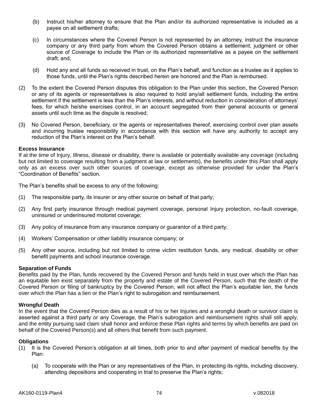- (b) Instruct his/her attorney to ensure that the Plan and/or its authorized representative is included as a payee on all settlement drafts;
- (c) In circumstances where the Covered Person is not represented by an attorney, instruct the insurance company or any third party from whom the Covered Person obtains a settlement, judgment or other source of Coverage to include the Plan or its authorized representative as a payee on the settlement draft; and,
- (d) Hold any and all funds so received in trust, on the Plan's behalf, and function as a trustee as it applies to those funds, until the Plan's rights described herein are honored and the Plan is reimbursed.
- (2) To the extent the Covered Person disputes this obligation to the Plan under this section, the Covered Person or any of its agents or representatives is also required to hold any/all settlement funds, including the entire settlement if the settlement is less than the Plan's interests, and without reduction in consideration of attorneys' fees, for which he/she exercises control, in an account segregated from their general accounts or general assets until such time as the dispute is resolved.
- (3) No Covered Person, beneficiary, or the agents or representatives thereof, exercising control over plan assets and incurring trustee responsibility in accordance with this section will have any authority to accept any reduction of the Plan's interest on the Plan's behalf.

## **Excess Insurance**

If at the time of Injury, Illness, disease or disability, there is available or potentially available any coverage (including but not limited to coverage resulting from a judgment at law or settlements), the benefits under this Plan shall apply only as an excess over such other sources of coverage, except as otherwise provided for under the Plan's "Coordination of Benefits" section.

The Plan's benefits shall be excess to any of the following:

- (1) The responsible party, its insurer or any other source on behalf of that party;
- (2) Any first party insurance through medical payment coverage, personal Injury protection, no-fault coverage, uninsured or underinsured motorist coverage;
- (3) Any policy of insurance from any insurance company or guarantor of a third party;
- (4) Workers' Compensation or other liability insurance company; or
- (5) Any other source, including but not limited to crime victim restitution funds, any medical, disability or other benefit payments and school insurance coverage.

#### **Separation of Funds**

Benefits paid by the Plan, funds recovered by the Covered Person and funds held in trust over which the Plan has an equitable lien exist separately from the property and estate of the Covered Person, such that the death of the Covered Person or filing of bankruptcy by the Covered Person, will not affect the Plan's equitable lien, the funds over which the Plan has a lien or the Plan's right to subrogation and reimbursement.

#### **Wrongful Death**

In the event that the Covered Person dies as a result of his or her Injuries and a wrongful death or survivor claim is asserted against a third party or any Coverage, the Plan's subrogation and reimbursement rights shall still apply, and the entity pursuing said claim shall honor and enforce these Plan rights and terms by which benefits are paid on behalf of the Covered Person(s) and all others that benefit from such payment.

#### **Obligations**

- (1) It is the Covered Person's obligation at all times, both prior to and after payment of medical benefits by the Plan:
	- (a) To cooperate with the Plan or any representatives of the Plan, in protecting its rights, including discovery, attending depositions and cooperating in trial to preserve the Plan's rights;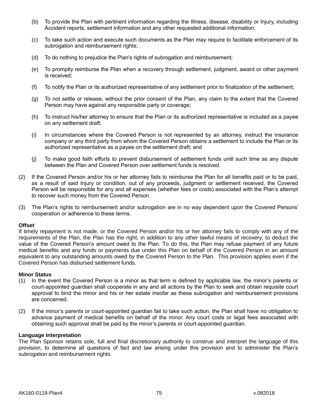- (b) To provide the Plan with pertinent information regarding the Illness, disease, disability or Injury, including Accident reports, settlement information and any other requested additional information;
- (c) To take such action and execute such documents as the Plan may require to facilitate enforcement of its subrogation and reimbursement rights;
- (d) To do nothing to prejudice the Plan's rights of subrogation and reimbursement;
- (e) To promptly reimburse the Plan when a recovery through settlement, judgment, award or other payment is received;
- (f) To notify the Plan or its authorized representative of any settlement prior to finalization of the settlement;
- (g) To not settle or release, without the prior consent of the Plan, any claim to the extent that the Covered Person may have against any responsible party or coverage;
- (h) To instruct his/her attorney to ensure that the Plan or its authorized representative is included as a payee on any settlement draft;
- (i) In circumstances where the Covered Person is not represented by an attorney, instruct the insurance company or any third party from whom the Covered Person obtains a settlement to include the Plan or its authorized representative as a payee on the settlement draft; and
- (j) To make good faith efforts to prevent disbursement of settlement funds until such time as any dispute between the Plan and Covered Person over settlement funds is resolved.
- (2) If the Covered Person and/or his or her attorney fails to reimburse the Plan for all benefits paid or to be paid, as a result of said Injury or condition, out of any proceeds, judgment or settlement received, the Covered Person will be responsible for any and all expenses (whether fees or costs) associated with the Plan's attempt to recover such money from the Covered Person.
- (3) The Plan's rights to reimbursement and/or subrogation are in no way dependent upon the Covered Persons' cooperation or adherence to these terms.

## **Offset**

If timely repayment is not made, or the Covered Person and/or his or her attorney fails to comply with any of the requirements of the Plan, the Plan has the right, in addition to any other lawful means of recovery, to deduct the value of the Covered Person's amount owed to the Plan. To do this, the Plan may refuse payment of any future medical benefits and any funds or payments due under this Plan on behalf of the Covered Person in an amount equivalent to any outstanding amounts owed by the Covered Person to the Plan. This provision applies even if the Covered Person has disbursed settlement funds.

#### **Minor Status**

- (1) In the event the Covered Person is a minor as that term is defined by applicable law, the minor's parents or court-appointed guardian shall cooperate in any and all actions by the Plan to seek and obtain requisite court approval to bind the minor and his or her estate insofar as these subrogation and reimbursement provisions are concerned.
- (2) If the minor's parents or court-appointed guardian fail to take such action, the Plan shall have no obligation to advance payment of medical benefits on behalf of the minor. Any court costs or legal fees associated with obtaining such approval shall be paid by the minor's parents or court-appointed guardian.

#### **Language Interpretation**

The Plan Sponsor retains sole, full and final discretionary authority to construe and interpret the language of this provision, to determine all questions of fact and law arising under this provision and to administer the Plan's subrogation and reimbursement rights.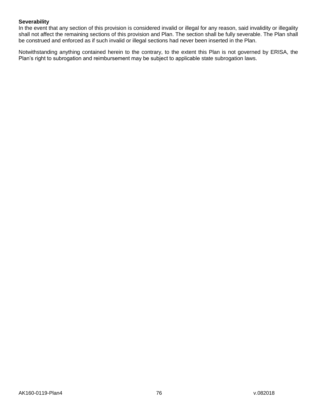## **Severability**

In the event that any section of this provision is considered invalid or illegal for any reason, said invalidity or illegality shall not affect the remaining sections of this provision and Plan. The section shall be fully severable. The Plan shall be construed and enforced as if such invalid or illegal sections had never been inserted in the Plan.

Notwithstanding anything contained herein to the contrary, to the extent this Plan is not governed by ERISA, the Plan's right to subrogation and reimbursement may be subject to applicable state subrogation laws.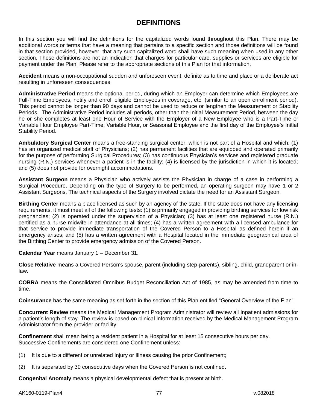## **DEFINITIONS**

In this section you will find the definitions for the capitalized words found throughout this Plan. There may be additional words or terms that have a meaning that pertains to a specific section and those definitions will be found in that section provided, however, that any such capitalized word shall have such meaning when used in any other section. These definitions are not an indication that charges for particular care, supplies or services are eligible for payment under the Plan. Please refer to the appropriate sections of this Plan for that information.

**Accident** means a non-occupational sudden and unforeseen event, definite as to time and place or a deliberate act resulting in unforeseen consequences.

**Administrative Period** means the optional period, during which an Employer can determine which Employees are Full-Time Employees, notify and enroll eligible Employees in coverage, etc. (similar to an open enrollment period). This period cannot be longer than 90 days and cannot be used to reduce or lengthen the Measurement or Stability Periods. The Administrative Period includes all periods, other than the Initial Measurement Period, between the day he or she completes at least one Hour of Service with the Employer of a New Employee who is a Part-Time or Variable Hour Employee Part-Time, Variable Hour, or Seasonal Employee and the first day of the Employee's Initial Stability Period.

**Ambulatory Surgical Center** means a free-standing surgical center, which is not part of a Hospital and which: (1) has an organized medical staff of Physicians; (2) has permanent facilities that are equipped and operated primarily for the purpose of performing Surgical Procedures; (3) has continuous Physician's services and registered graduate nursing (R.N.) services whenever a patient is in the facility; (4) is licensed by the jurisdiction in which it is located; and (5) does not provide for overnight accommodations.

**Assistant Surgeon** means a Physician who actively assists the Physician in charge of a case in performing a Surgical Procedure. Depending on the type of Surgery to be performed, an operating surgeon may have 1 or 2 Assistant Surgeons. The technical aspects of the Surgery involved dictate the need for an Assistant Surgeon.

**Birthing Center** means a place licensed as such by an agency of the state. If the state does not have any licensing requirements, it must meet all of the following tests: (1) is primarily engaged in providing birthing services for low risk pregnancies; (2) is operated under the supervision of a Physician; (3) has at least one registered nurse (R.N.) certified as a nurse midwife in attendance at all times; (4) has a written agreement with a licensed ambulance for that service to provide immediate transportation of the Covered Person to a Hospital as defined herein if an emergency arises; and (5) has a written agreement with a Hospital located in the immediate geographical area of the Birthing Center to provide emergency admission of the Covered Person.

**Calendar Year** means January 1 – December 31.

**Close Relative** means a Covered Person's spouse, parent (including step-parents), sibling, child, grandparent or inlaw.

**COBRA** means the Consolidated Omnibus Budget Reconciliation Act of 1985, as may be amended from time to time.

**Coinsurance** has the same meaning as set forth in the section of this Plan entitled "General Overview of the Plan".

**Concurrent Review** means the Medical Management Program Administrator will review all Inpatient admissions for a patient's length of stay. The review is based on clinical information received by the Medical Management Program Administrator from the provider or facility.

**Confinement** shall mean being a resident patient in a Hospital for at least 15 consecutive hours per day. Successive Confinements are considered one Confinement unless:

- (1) It is due to a different or unrelated Injury or Illness causing the prior Confinement;
- (2) It is separated by 30 consecutive days when the Covered Person is not confined.

**Congenital Anomaly** means a physical developmental defect that is present at birth.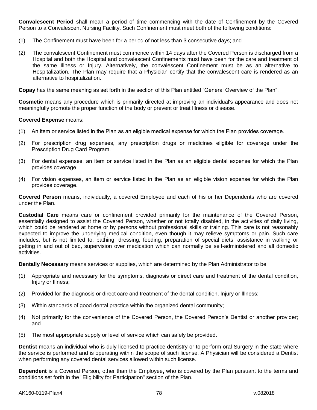**Convalescent Period** shall mean a period of time commencing with the date of Confinement by the Covered Person to a Convalescent Nursing Facility. Such Confinement must meet both of the following conditions:

- (1) The Confinement must have been for a period of not less than 3 consecutive days; and
- (2) The convalescent Confinement must commence within 14 days after the Covered Person is discharged from a Hospital and both the Hospital and convalescent Confinements must have been for the care and treatment of the same Illness or Injury. Alternatively, the convalescent Confinement must be as an alternative to Hospitalization. The Plan may require that a Physician certify that the convalescent care is rendered as an alternative to hospitalization.

**Copay** has the same meaning as set forth in the section of this Plan entitled "General Overview of the Plan".

**Cosmetic** means any procedure which is primarily directed at improving an individual's appearance and does not meaningfully promote the proper function of the body or prevent or treat Illness or disease.

#### **Covered Expense** means:

- (1) An item or service listed in the Plan as an eligible medical expense for which the Plan provides coverage.
- (2) For prescription drug expenses, any prescription drugs or medicines eligible for coverage under the Prescription Drug Card Program.
- (3) For dental expenses, an item or service listed in the Plan as an eligible dental expense for which the Plan provides coverage.
- (4) For vision expenses, an item or service listed in the Plan as an eligible vision expense for which the Plan provides coverage.

**Covered Person** means, individually, a covered Employee and each of his or her Dependents who are covered under the Plan.

**Custodial Care** means care or confinement provided primarily for the maintenance of the Covered Person, essentially designed to assist the Covered Person, whether or not totally disabled, in the activities of daily living, which could be rendered at home or by persons without professional skills or training. This care is not reasonably expected to improve the underlying medical condition, even though it may relieve symptoms or pain. Such care includes, but is not limited to, bathing, dressing, feeding, preparation of special diets, assistance in walking or getting in and out of bed, supervision over medication which can normally be self-administered and all domestic activities.

**Dentally Necessary** means services or supplies, which are determined by the Plan Administrator to be:

- (1) Appropriate and necessary for the symptoms, diagnosis or direct care and treatment of the dental condition, Injury or Illness;
- (2) Provided for the diagnosis or direct care and treatment of the dental condition, Injury or Illness;
- (3) Within standards of good dental practice within the organized dental community;
- (4) Not primarily for the convenience of the Covered Person, the Covered Person's Dentist or another provider; and
- (5) The most appropriate supply or level of service which can safely be provided.

**Dentist** means an individual who is duly licensed to practice dentistry or to perform oral Surgery in the state where the service is performed and is operating within the scope of such license. A Physician will be considered a Dentist when performing any covered dental services allowed within such license.

**Dependent** is a Covered Person, other than the Employee**,** who is covered by the Plan pursuant to the terms and conditions set forth in the "Eligibility for Participation" section of the Plan.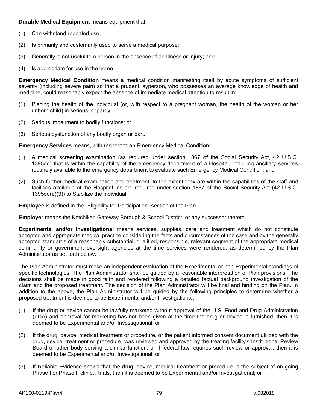**Durable Medical Equipment** means equipment that:

- (1) Can withstand repeated use;
- (2) Is primarily and customarily used to serve a medical purpose;
- (3) Generally is not useful to a person in the absence of an Illness or Injury; and
- (4) Is appropriate for use in the home.

**Emergency Medical Condition** means a medical condition manifesting itself by acute symptoms of sufficient severity (including severe pain) so that a prudent layperson, who possesses an average knowledge of health and medicine, could reasonably expect the absence of immediate medical attention to result in:

- (1) Placing the health of the individual (or, with respect to a pregnant woman, the health of the woman or her unborn child) in serious jeopardy;
- (2) Serious impairment to bodily functions; or
- (3) Serious dysfunction of any bodily organ or part.

**Emergency Services** means, with respect to an Emergency Medical Condition:

- (1) A medical screening examination (as required under section 1867 of the Social Security Act, 42 U.S.C. 1395dd) that is within the capability of the emergency department of a Hospital, including ancillary services routinely available to the emergency department to evaluate such Emergency Medical Condition; and
- (2) Such further medical examination and treatment, to the extent they are within the capabilities of the staff and facilities available at the Hospital, as are required under section 1867 of the Social Security Act (42 U.S.C. 1395dd(e)(3)) to Stabilize the individual.

**Employee** is defined in the "Eligibility for Participation" section of the Plan.

**Employer** means the Ketchikan Gateway Borough & School District, or any successor thereto.

**Experimental and/or Investigational** means services, supplies, care and treatment which do not constitute accepted and appropriate medical practice considering the facts and circumstances of the case and by the generally accepted standards of a reasonably substantial, qualified, responsible, relevant segment of the appropriate medical community or government oversight agencies at the time services were rendered, as determined by the Plan Administrator as set forth below.

The Plan Administrator must make an independent evaluation of the Experimental or non-Experimental standings of specific technologies. The Plan Administrator shall be guided by a reasonable interpretation of Plan provisions. The decisions shall be made in good faith and rendered following a detailed factual background investigation of the claim and the proposed treatment. The decision of the Plan Administrator will be final and binding on the Plan. In addition to the above, the Plan Administrator will be guided by the following principles to determine whether a proposed treatment is deemed to be Experimental and/or Investigational:

- (1) If the drug or device cannot be lawfully marketed without approval of the U.S. Food and Drug Administration (FDA) and approval for marketing has not been given at the time the drug or device is furnished, then it is deemed to be Experimental and/or Investigational; or
- (2) If the drug, device, medical treatment or procedure, or the patient informed consent document utilized with the drug, device, treatment or procedure, was reviewed and approved by the treating facility's Institutional Review Board or other body serving a similar function, or if federal law requires such review or approval, then it is deemed to be Experimental and/or Investigational; or
- (3) If Reliable Evidence shows that the drug, device, medical treatment or procedure is the subject of on-going Phase I or Phase II clinical trials, then it is deemed to be Experimental and/or Investigational; or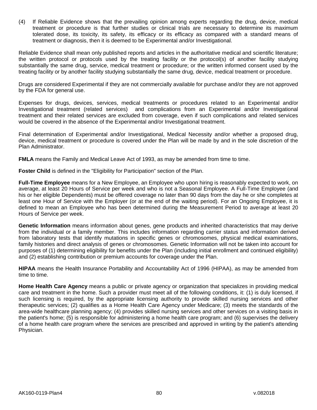(4) If Reliable Evidence shows that the prevailing opinion among experts regarding the drug, device, medical treatment or procedure is that further studies or clinical trials are necessary to determine its maximum tolerated dose, its toxicity, its safety, its efficacy or its efficacy as compared with a standard means of treatment or diagnosis, then it is deemed to be Experimental and/or Investigational.

Reliable Evidence shall mean only published reports and articles in the authoritative medical and scientific literature; the written protocol or protocols used by the treating facility or the protocol(s) of another facility studying substantially the same drug, service, medical treatment or procedure; or the written informed consent used by the treating facility or by another facility studying substantially the same drug, device, medical treatment or procedure.

Drugs are considered Experimental if they are not commercially available for purchase and/or they are not approved by the FDA for general use.

Expenses for drugs, devices, services, medical treatments or procedures related to an Experimental and/or Investigational treatment (related services) and complications from an Experimental and/or Investigational treatment and their related services are excluded from coverage, even if such complications and related services would be covered in the absence of the Experimental and/or Investigational treatment.

Final determination of Experimental and/or Investigational, Medical Necessity and/or whether a proposed drug, device, medical treatment or procedure is covered under the Plan will be made by and in the sole discretion of the Plan Administrator.

**FMLA** means the Family and Medical Leave Act of 1993, as may be amended from time to time.

**Foster Child** is defined in the "Eligibility for Participation" section of the Plan.

**Full-Time Employee** means for a New Employee, an Employee who upon hiring is reasonably expected to work, on average, at least 20 Hours of Service per week and who is not a Seasonal Employee. A Full-Time Employee (and his or her eligible Dependents) must be offered coverage no later than 90 days from the day he or she completes at least one Hour of Service with the Employer (or at the end of the waiting period). For an Ongoing Employee, it is defined to mean an Employee who has been determined during the Measurement Period to average at least 20 Hours of Service per week.

**Genetic Information** means information about genes, gene products and inherited characteristics that may derive from the individual or a family member. This includes information regarding carrier status and information derived from laboratory tests that identify mutations in specific genes or chromosomes, physical medical examinations, family histories and direct analysis of genes or chromosomes. Genetic Information will not be taken into account for purposes of (1) determining eligibility for benefits under the Plan (including initial enrollment and continued eligibility) and (2) establishing contribution or premium accounts for coverage under the Plan.

**HIPAA** means the Health Insurance Portability and Accountability Act of 1996 (HIPAA), as may be amended from time to time.

**Home Health Care Agency** means a public or private agency or organization that specializes in providing medical care and treatment in the home. Such a provider must meet all of the following conditions, it: (1) is duly licensed, if such licensing is required, by the appropriate licensing authority to provide skilled nursing services and other therapeutic services; (2) qualifies as a Home Health Care Agency under Medicare; (3) meets the standards of the area-wide healthcare planning agency; (4) provides skilled nursing services and other services on a visiting basis in the patient's home; (5) is responsible for administering a home health care program; and (6) supervises the delivery of a home health care program where the services are prescribed and approved in writing by the patient's attending Physician.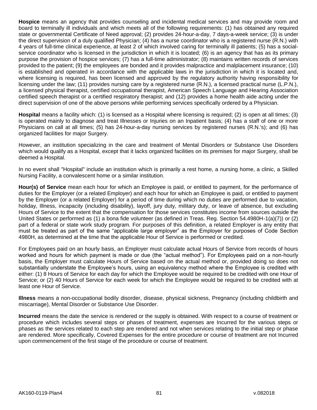**Hospice** means an agency that provides counseling and incidental medical services and may provide room and board to terminally ill individuals and which meets all of the following requirements: (1) has obtained any required state or governmental Certificate of Need approval; (2) provides 24-hour-a-day, 7 days-a-week service; (3) is under the direct supervision of a duly qualified Physician; (4) has a nurse coordinator who is a registered nurse (R.N.) with 4 years of full-time clinical experience, at least 2 of which involved caring for terminally ill patients; (5) has a socialservice coordinator who is licensed in the jurisdiction in which it is located; (6) is an agency that has as its primary purpose the provision of hospice services; (7) has a full-time administrator; (8) maintains written records of services provided to the patient; (9) the employees are bonded and it provides malpractice and malplacement insurance; (10) is established and operated in accordance with the applicable laws in the jurisdiction in which it is located and, where licensing is required, has been licensed and approved by the regulatory authority having responsibility for licensing under the law; (11) provides nursing care by a registered nurse (R.N.), a licensed practical nurse (L.P.N.), a licensed physical therapist, certified occupational therapist, American Speech Language and Hearing Association certified speech therapist or a certified respiratory therapist; and (12) provides a home health aide acting under the direct supervision of one of the above persons while performing services specifically ordered by a Physician.

**Hospital** means a facility which: (1) is licensed as a Hospital where licensing is required; (2) is open at all times; (3) is operated mainly to diagnose and treat Illnesses or Injuries on an Inpatient basis; (4) has a staff of one or more Physicians on call at all times; (5) has 24-hour-a-day nursing services by registered nurses (R.N.'s); and (6) has organized facilities for major Surgery.

However, an institution specializing in the care and treatment of Mental Disorders or Substance Use Disorders which would qualify as a Hospital, except that it lacks organized facilities on its premises for major Surgery, shall be deemed a Hospital.

In no event shall "Hospital" include an institution which is primarily a rest home, a nursing home, a clinic, a Skilled Nursing Facility, a convalescent home or a similar institution.

**Hour(s) of Service** mean each hour for which an Employee is paid, or entitled to payment, for the performance of duties for the Employer (or a related Employer) and each hour for which an Employee is paid, or entitled to payment by the Employer (or a related Employer) for a period of time during which no duties are performed due to vacation, holiday, Illness, incapacity (including disability), layoff, jury duty, military duty, or leave of absence, but excluding Hours of Service to the extent that the compensation for those services constitutes income from sources outside the United States or performed as (1) a bona fide volunteer (as defined in Treas. Reg. Section 54.4980H-1(a)(7)) or (2) part of a federal or state work study program. For purposes of this definition, a related Employer is any entity that must be treated as part of the same "applicable large employer" as the Employer for purposes of Code Section 4980H, as determined at the time that the applicable Hour of Service is performed or credited.

For Employees paid on an hourly basis, an Employer must calculate actual Hours of Service from records of hours worked and hours for which payment is made or due (the "actual method"). For Employees paid on a non-hourly basis, the Employer must calculate Hours of Service based on the actual method or, provided doing so does not substantially understate the Employee's hours, using an equivalency method where the Employee is credited with either: (1) 8 Hours of Service for each day for which the Employee would be required to be credited with one Hour of Service; or (2) 40 Hours of Service for each week for which the Employee would be required to be credited with at least one Hour of Service.

**Illness** means a non-occupational bodily disorder, disease, physical sickness, Pregnancy (including childbirth and miscarriage), Mental Disorder or Substance Use Disorder.

**Incurred** means the date the service is rendered or the supply is obtained. With respect to a course of treatment or procedure which includes several steps or phases of treatment, expenses are Incurred for the various steps or phases as the services related to each step are rendered and not when services relating to the initial step or phase are rendered. More specifically, Covered Expenses for the entire procedure or course of treatment are not Incurred upon commencement of the first stage of the procedure or course of treatment.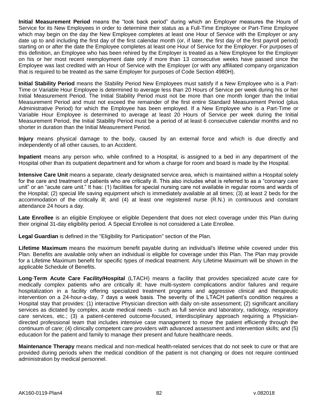**Initial Measurement Period** means the "look back period" during which an Employer measures the Hours of Service for its New Employees in order to determine their status as a Full-Time Employee or Part-Time Employee which may begin on the day the New Employee completes at least one Hour of Service with the Employer or any date up to and including the first day of the first calendar month (or, if later, the first day of the first payroll period) starting on or after the date the Employee completes at least one Hour of Service for the Employer. For purposes of this definition, an Employee who has been rehired by the Employer is treated as a New Employee for the Employer on his or her most recent reemployment date only if more than 13 consecutive weeks have passed since the Employee was last credited with an Hour of Service with the Employer (or with any affiliated company organization that is required to be treated as the same Employer for purposes of Code Section 4980H).

**Initial Stability Period** means the Stability Period New Employees must satisfy if a New Employee who is a Part-Time or Variable Hour Employee is determined to average less than 20 Hours of Service per week during his or her Initial Measurement Period. The Initial Stability Period must not be more than one month longer than the Initial Measurement Period and must not exceed the remainder of the first entire Standard Measurement Period (plus Administrative Period) for which the Employee has been employed. If a New Employee who is a Part-Time or Variable Hour Employee is determined to average at least 20 Hours of Service per week during the Initial Measurement Period, the Initial Stability Period must be a period of at least 6 consecutive calendar months and no shorter in duration than the Initial Measurement Period.

**Injury** means physical damage to the body, caused by an external force and which is due directly and independently of all other causes, to an Accident.

**Inpatient** means any person who, while confined to a Hospital, is assigned to a bed in any department of the Hospital other than its outpatient department and for whom a charge for room and board is made by the Hospital.

**Intensive Care Unit** means a separate, clearly designated service area, which is maintained within a Hospital solely for the care and treatment of patients who are critically ill. This also includes what is referred to as a "coronary care unit" or an "acute care unit." It has: (1) facilities for special nursing care not available in regular rooms and wards of the Hospital; (2) special life saving equipment which is immediately available at all times; (3) at least 2 beds for the accommodation of the critically ill; and (4) at least one registered nurse (R.N.) in continuous and constant attendance 24 hours a day.

**Late Enrollee** is an eligible Employee or eligible Dependent that does not elect coverage under this Plan during their original 31-day eligibility period. A Special Enrollee is not considered a Late Enrollee.

**Legal Guardian** is defined in the "Eligibility for Participation" section of the Plan.

**Lifetime Maximum** means the maximum benefit payable during an individual's lifetime while covered under this Plan. Benefits are available only when an individual is eligible for coverage under this Plan. The Plan may provide for a Lifetime Maximum benefit for specific types of medical treatment. Any Lifetime Maximum will be shown in the applicable Schedule of Benefits.

**Long**-**Term Acute Care Facility/Hospital** (LTACH) means a facility that provides specialized acute care for medically complex patients who are critically ill; have multi-system complications and/or failures and require hospitalization in a facility offering specialized treatment programs and aggressive clinical and therapeutic intervention on a 24-hour-a-day, 7 days a week basis. The severity of the LTACH patient's condition requires a Hospital stay that provides: (1) interactive Physician direction with daily on-site assessment; (2) significant ancillary services as dictated by complex, acute medical needs - such as full service and laboratory, radiology, respiratory care services, etc.; (3) a patient-centered outcome-focused, interdisciplinary approach requiring a Physiciandirected professional team that includes intensive case management to move the patient efficiently through the continuum of care; (4) clinically competent care providers with advanced assessment and intervention skills; and (5) education for the patient and family to manage their present and future healthcare needs.

**Maintenance Therapy** means medical and non-medical health-related services that do not seek to cure or that are provided during periods when the medical condition of the patient is not changing or does not require continued administration by medical personnel.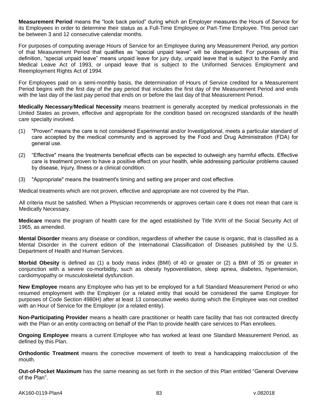**Measurement Period** means the "look back period" during which an Employer measures the Hours of Service for its Employees in order to determine their status as a Full-Time Employee or Part-Time Employee. This period can be between 3 and 12 consecutive calendar months.

For purposes of computing average Hours of Service for an Employee during any Measurement Period, any portion of that Measurement Period that qualifies as "special unpaid leave" will be disregarded. For purposes of this definition, "special unpaid leave" means unpaid leave for jury duty, unpaid leave that is subject to the Family and Medical Leave Act of 1993, or unpaid leave that is subject to the Uniformed Services Employment and Reemployment Rights Act of 1994.

For Employees paid on a semi-monthly basis, the determination of Hours of Service credited for a Measurement Period begins with the first day of the pay period that includes the first day of the Measurement Period and ends with the last day of the last pay period that ends on or before the last day of that Measurement Period.

**Medically Necessary**/**Medical Necessity** means treatment is generally accepted by medical professionals in the United States as proven, effective and appropriate for the condition based on recognized standards of the health care specialty involved.

- (1) "Proven" means the care is not considered Experimental and/or Investigational, meets a particular standard of care accepted by the medical community and is approved by the Food and Drug Administration (FDA) for general use.
- (2) "Effective" means the treatments beneficial effects can be expected to outweigh any harmful effects. Effective care is treatment proven to have a positive effect on your health, while addressing particular problems caused by disease, Injury, Illness or a clinical condition.
- (3) "Appropriate" means the treatment's timing and setting are proper and cost effective.

Medical treatments which are not proven, effective and appropriate are not covered by the Plan.

All criteria must be satisfied. When a Physician recommends or approves certain care it does not mean that care is Medically Necessary.

**Medicare** means the program of health care for the aged established by Title XVIII of the Social Security Act of 1965, as amended.

**Mental Disorder** means any disease or condition, regardless of whether the cause is organic, that is classified as a Mental Disorder in the current edition of the International Classification of Diseases published by the U.S. Department of Health and Human Services.

**Morbid Obesity** is defined as (1) a body mass index (BMI) of 40 or greater or (2) a BMI of 35 or greater in conjunction with a severe co-morbidity, such as obesity hypoventilation, sleep apnea, diabetes, hypertension, cardiomyopathy or musculoskeletal dysfunction.

**New Employee** means any Employee who has yet to be employed for a full Standard Measurement Period or who resumed employment with the Employer (or a related entity that would be considered the same Employer for purposes of Code Section 4980H) after at least 13 consecutive weeks during which the Employee was not credited with an Hour of Service for the Employer (or a related entity).

**Non-Participating Provider** means a health care practitioner or health care facility that has not contracted directly with the Plan or an entity contracting on behalf of the Plan to provide health care services to Plan enrollees.

**Ongoing Employee** means a current Employee who has worked at least one Standard Measurement Period, as defined by this Plan.

**Orthodontic Treatment** means the corrective movement of teeth to treat a handicapping malocclusion of the mouth.

**Out-of-Pocket Maximum** has the same meaning as set forth in the section of this Plan entitled "General Overview of the Plan".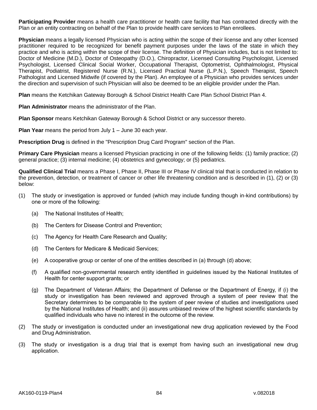**Participating Provider** means a health care practitioner or health care facility that has contracted directly with the Plan or an entity contracting on behalf of the Plan to provide health care services to Plan enrollees.

**Physician** means a legally licensed Physician who is acting within the scope of their license and any other licensed practitioner required to be recognized for benefit payment purposes under the laws of the state in which they practice and who is acting within the scope of their license. The definition of Physician includes, but is not limited to: Doctor of Medicine (M.D.), Doctor of Osteopathy (D.O.), Chiropractor, Licensed Consulting Psychologist, Licensed Psychologist, Licensed Clinical Social Worker, Occupational Therapist, Optometrist, Ophthalmologist, Physical Therapist, Podiatrist, Registered Nurse (R.N.), Licensed Practical Nurse (L.P.N.), Speech Therapist, Speech Pathologist and Licensed Midwife (if covered by the Plan). An employee of a Physician who provides services under the direction and supervision of such Physician will also be deemed to be an eligible provider under the Plan.

**Plan** means the Ketchikan Gateway Borough & School District Health Care Plan School District Plan 4.

**Plan Administrator** means the administrator of the Plan.

**Plan Sponsor** means Ketchikan Gateway Borough & School District or any successor thereto.

**Plan Year** means the period from July 1 – June 30 each year.

**Prescription Drug** is defined in the "Prescription Drug Card Program" section of the Plan.

**Primary Care Physician** means a licensed Physician practicing in one of the following fields: (1) family practice; (2) general practice; (3) internal medicine; (4) obstetrics and gynecology; or (5) pediatrics.

**Qualified Clinical Trial** means a Phase I, Phase II, Phase III or Phase IV clinical trial that is conducted in relation to the prevention, detection, or treatment of cancer or other life threatening condition and is described in (1), (2) or (3) below:

- (1) The study or investigation is approved or funded (which may include funding though in-kind contributions) by one or more of the following:
	- (a) The National Institutes of Health;
	- (b) The Centers for Disease Control and Prevention;
	- (c) The Agency for Health Care Research and Quality;
	- (d) The Centers for Medicare & Medicaid Services;
	- (e) A cooperative group or center of one of the entities described in (a) through (d) above;
	- (f) A qualified non-governmental research entity identified in guidelines issued by the National Institutes of Health for center support grants; or
	- (g) The Department of Veteran Affairs; the Department of Defense or the Department of Energy, if (i) the study or investigation has been reviewed and approved through a system of peer review that the Secretary determines to be comparable to the system of peer review of studies and investigations used by the National Institutes of Health; and (ii) assures unbiased review of the highest scientific standards by qualified individuals who have no interest in the outcome of the review.
- (2) The study or investigation is conducted under an investigational new drug application reviewed by the Food and Drug Administration.
- (3) The study or investigation is a drug trial that is exempt from having such an investigational new drug application.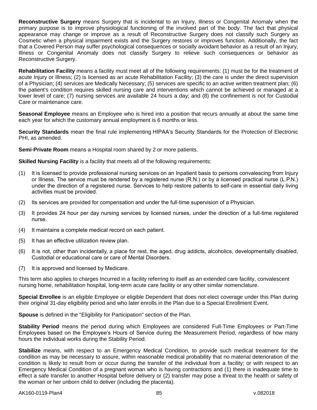**Reconstructive Surgery** means Surgery that is incidental to an Injury, Illness or Congenital Anomaly when the primary purpose is to improve physiological functioning of the involved part of the body. The fact that physical appearance may change or improve as a result of Reconstructive Surgery does not classify such Surgery as Cosmetic when a physical impairment exists and the Surgery restores or improves function. Additionally, the fact that a Covered Person may suffer psychological consequences or socially avoidant behavior as a result of an Injury, Illness or Congenital Anomaly does not classify Surgery to relieve such consequences or behavior as Reconstructive Surgery.

**Rehabilitation Facility** means a facility must meet all of the following requirements: (1) must be for the treatment of acute Injury or Illness; (2) is licensed as an acute Rehabilitation Facility; (3) the care is under the direct supervision of a Physician; (4) services are Medically Necessary; (5) services are specific to an active written treatment plan; (6) the patient's condition requires skilled nursing care and interventions which cannot be achieved or managed at a lower level of care; (7) nursing services are available 24 hours a day; and (8) the confinement is not for Custodial Care or maintenance care.

**Seasonal Employee** means an Employee who is hired into a position that recurs annually at about the same time each year for which the customary annual employment is 6 months or less.

**Security Standards** mean the final rule implementing HIPAA's Security Standards for the Protection of Electronic PHI, as amended.

**Semi**-**Private Room** means a Hospital room shared by 2 or more patients.

**Skilled Nursing Facility** is a facility that meets all of the following requirements:

- (1) It is licensed to provide professional nursing services on an Inpatient basis to persons convalescing from Injury or Illness. The service must be rendered by a registered nurse (R.N.) or by a licensed practical nurse (L.P.N.) under the direction of a registered nurse. Services to help restore patients to self-care in essential daily living activities must be provided.
- (2) Its services are provided for compensation and under the full-time supervision of a Physician.
- (3) It provides 24 hour per day nursing services by licensed nurses, under the direction of a full-time registered nurse.
- (4) It maintains a complete medical record on each patient.
- (5) It has an effective utilization review plan.
- (6) It is not, other than incidentally, a place for rest, the aged, drug addicts, alcoholics, developmentally disabled, Custodial or educational care or care of Mental Disorders.
- (7) It is approved and licensed by Medicare.

This term also applies to charges Incurred in a facility referring to itself as an extended care facility, convalescent nursing home, rehabilitation hospital, long-term acute care facility or any other similar nomenclature.

**Special Enrollee** is an eligible Employee or eligible Dependent that does not elect coverage under this Plan during their original 31-day eligibility period and who later enrolls in the Plan due to a Special Enrollment Event.

**Spouse** is defined in the "Eligibility for Participation" section of the Plan.

**Stability Period** means the period during which Employees are considered Full-Time Employees or Part-Time Employees based on the Employee's Hours of Service during the Measurement Period, regardless of how many hours the individual works during the Stability Period.

**Stabilize** means, with respect to an Emergency Medical Condition, to provide such medical treatment for the condition as may be necessary to assure, within reasonable medical probability that no material deterioration of the condition is likely to result from or occur during the transfer of the individual from a facility; or with respect to an Emergency Medical Condition of a pregnant woman who is having contractions and (1) there is inadequate time to effect a safe transfer to another Hospital before delivery or (2) transfer may pose a threat to the health or safety of the woman or her unborn child to deliver (including the placenta).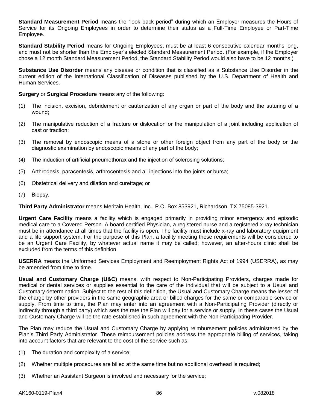**Standard Measurement Period** means the "look back period" during which an Employer measures the Hours of Service for its Ongoing Employees in order to determine their status as a Full-Time Employee or Part-Time Employee.

**Standard Stability Period** means for Ongoing Employees, must be at least 6 consecutive calendar months long, and must not be shorter than the Employer's elected Standard Measurement Period. (For example, if the Employer chose a 12 month Standard Measurement Period, the Standard Stability Period would also have to be 12 months.)

**Substance Use Disorder** means any disease or condition that is classified as a Substance Use Disorder in the current edition of the International Classification of Diseases published by the U.S. Department of Health and Human Services.

**Surgery** or **Surgical Procedure** means any of the following:

- (1) The incision, excision, debridement or cauterization of any organ or part of the body and the suturing of a wound;
- (2) The manipulative reduction of a fracture or dislocation or the manipulation of a joint including application of cast or traction;
- (3) The removal by endoscopic means of a stone or other foreign object from any part of the body or the diagnostic examination by endoscopic means of any part of the body;
- (4) The induction of artificial pneumothorax and the injection of sclerosing solutions;
- (5) Arthrodesis, paracentesis, arthrocentesis and all injections into the joints or bursa;
- (6) Obstetrical delivery and dilation and curettage; or
- (7) Biopsy.

**Third Party Administrator** means Meritain Health, Inc., P.O. Box 853921, Richardson, TX 75085-3921.

**Urgent Care Facility** means a facility which is engaged primarily in providing minor emergency and episodic medical care to a Covered Person. A board-certified Physician, a registered nurse and a registered x-ray technician must be in attendance at all times that the facility is open. The facility must include x-ray and laboratory equipment and a life support system. For the purpose of this Plan, a facility meeting these requirements will be considered to be an Urgent Care Facility, by whatever actual name it may be called; however, an after-hours clinic shall be excluded from the terms of this definition.

**USERRA** means the Uniformed Services Employment and Reemployment Rights Act of 1994 (USERRA), as may be amended from time to time.

**Usual and Customary Charge (U&C)** means, with respect to Non-Participating Providers, charges made for medical or dental services or supplies essential to the care of the individual that will be subject to a Usual and Customary determination. Subject to the rest of this definition, the Usual and Customary Charge means the lesser of the charge by other providers in the same geographic area or billed charges for the same or comparable service or supply. From time to time, the Plan may enter into an agreement with a Non-Participating Provider (directly or indirectly through a third party) which sets the rate the Plan will pay for a service or supply. In these cases the Usual and Customary Charge will be the rate established in such agreement with the Non-Participating Provider.

The Plan may reduce the Usual and Customary Charge by applying reimbursement policies administered by the Plan's Third Party Administrator. These reimbursement policies address the appropriate billing of services, taking into account factors that are relevant to the cost of the service such as:

- (1) The duration and complexity of a service;
- (2) Whether multiple procedures are billed at the same time but no additional overhead is required;
- (3) Whether an Assistant Surgeon is involved and necessary for the service;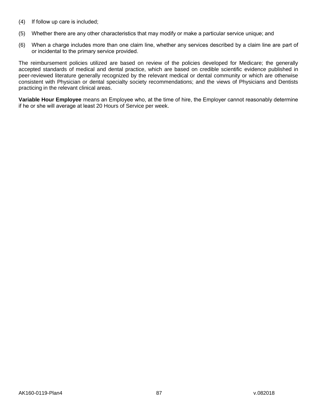- (4) If follow up care is included;
- (5) Whether there are any other characteristics that may modify or make a particular service unique; and
- (6) When a charge includes more than one claim line, whether any services described by a claim line are part of or incidental to the primary service provided.

The reimbursement policies utilized are based on review of the policies developed for Medicare; the generally accepted standards of medical and dental practice, which are based on credible scientific evidence published in peer-reviewed literature generally recognized by the relevant medical or dental community or which are otherwise consistent with Physician or dental specialty society recommendations; and the views of Physicians and Dentists practicing in the relevant clinical areas.

**Variable Hour Employee** means an Employee who, at the time of hire, the Employer cannot reasonably determine if he or she will average at least 20 Hours of Service per week.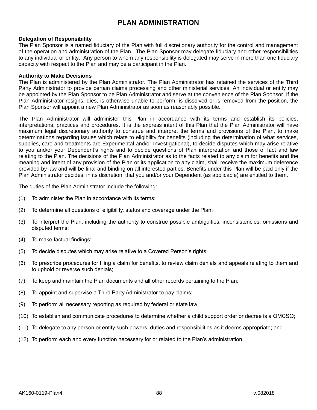# **PLAN ADMINISTRATION**

### **Delegation of Responsibility**

The Plan Sponsor is a named fiduciary of the Plan with full discretionary authority for the control and management of the operation and administration of the Plan. The Plan Sponsor may delegate fiduciary and other responsibilities to any individual or entity. Any person to whom any responsibility is delegated may serve in more than one fiduciary capacity with respect to the Plan and may be a participant in the Plan.

#### **Authority to Make Decisions**

The Plan is administered by the Plan Administrator. The Plan Administrator has retained the services of the Third Party Administrator to provide certain claims processing and other ministerial services. An individual or entity may be appointed by the Plan Sponsor to be Plan Administrator and serve at the convenience of the Plan Sponsor. If the Plan Administrator resigns, dies, is otherwise unable to perform, is dissolved or is removed from the position, the Plan Sponsor will appoint a new Plan Administrator as soon as reasonably possible.

The Plan Administrator will administer this Plan in accordance with its terms and establish its policies, interpretations, practices and procedures. It is the express intent of this Plan that the Plan Administrator will have maximum legal discretionary authority to construe and interpret the terms and provisions of the Plan, to make determinations regarding issues which relate to eligibility for benefits (including the determination of what services, supplies, care and treatments are Experimental and/or Investigational), to decide disputes which may arise relative to you and/or your Dependent's rights and to decide questions of Plan interpretation and those of fact and law relating to the Plan. The decisions of the Plan Administrator as to the facts related to any claim for benefits and the meaning and intent of any provision of the Plan or its application to any claim, shall receive the maximum deference provided by law and will be final and binding on all interested parties. Benefits under this Plan will be paid only if the Plan Administrator decides, in its discretion, that you and/or your Dependent (as applicable) are entitled to them.

The duties of the Plan Administrator include the following:

- (1) To administer the Plan in accordance with its terms;
- (2) To determine all questions of eligibility, status and coverage under the Plan;
- (3) To interpret the Plan, including the authority to construe possible ambiguities, inconsistencies, omissions and disputed terms;
- (4) To make factual findings;
- (5) To decide disputes which may arise relative to a Covered Person's rights;
- (6) To prescribe procedures for filing a claim for benefits, to review claim denials and appeals relating to them and to uphold or reverse such denials;
- (7) To keep and maintain the Plan documents and all other records pertaining to the Plan;
- (8) To appoint and supervise a Third Party Administrator to pay claims;
- (9) To perform all necessary reporting as required by federal or state law;
- (10) To establish and communicate procedures to determine whether a child support order or decree is a QMCSO;
- (11) To delegate to any person or entity such powers, duties and responsibilities as it deems appropriate; and
- (12) To perform each and every function necessary for or related to the Plan's administration.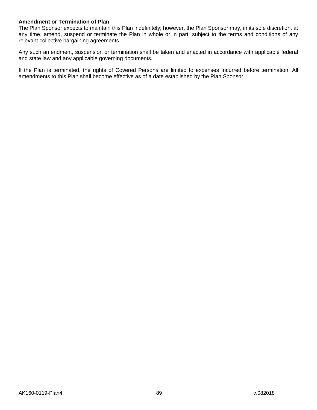## **Amendment or Termination of Plan**

The Plan Sponsor expects to maintain this Plan indefinitely; however, the Plan Sponsor may, in its sole discretion, at any time, amend, suspend or terminate the Plan in whole or in part, subject to the terms and conditions of any relevant collective bargaining agreements.

Any such amendment, suspension or termination shall be taken and enacted in accordance with applicable federal and state law and any applicable governing documents.

If the Plan is terminated, the rights of Covered Person*s* are limited to expenses Incurred before termination. All amendments to this Plan shall become effective as of a date established by the Plan Sponsor.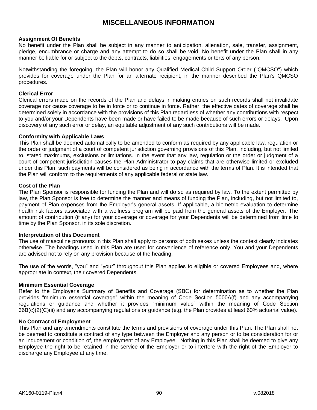## **MISCELLANEOUS INFORMATION**

### **Assignment Of Benefits**

No benefit under the Plan shall be subject in any manner to anticipation, alienation, sale, transfer, assignment, pledge, encumbrance or charge and any attempt to do so shall be void. No benefit under the Plan shall in any manner be liable for or subject to the debts, contracts, liabilities, engagements or torts of any person.

Notwithstanding the foregoing, the Plan will honor any Qualified Medical Child Support Order ("QMCSO") which provides for coverage under the Plan for an alternate recipient, in the manner described the Plan's QMCSO procedures.

## **Clerical Error**

Clerical errors made on the records of the Plan and delays in making entries on such records shall not invalidate coverage nor cause coverage to be in force or to continue in force. Rather, the effective dates of coverage shall be determined solely in accordance with the provisions of this Plan regardless of whether any contributions with respect to you and/or your Dependents have been made or have failed to be made because of such errors or delays. Upon discovery of any such error or delay, an equitable adjustment of any such contributions will be made.

#### **Conformity with Applicable Laws**

This Plan shall be deemed automatically to be amended to conform as required by any applicable law, regulation or the order or judgment of a court of competent jurisdiction governing provisions of this Plan, including, but not limited to, stated maximums, exclusions or limitations. In the event that any law, regulation or the order or judgment of a court of competent jurisdiction causes the Plan Administrator to pay claims that are otherwise limited or excluded under this Plan, such payments will be considered as being in accordance with the terms of Plan. It is intended that the Plan will conform to the requirements of any applicable federal or state law.

#### **Cost of the Plan**

The Plan Sponsor is responsible for funding the Plan and will do so as required by law. To the extent permitted by law, the Plan Sponsor is free to determine the manner and means of funding the Plan, including, but not limited to, payment of Plan expenses from the Employer's general assets. If applicable, a biometric evaluation to determine health risk factors associated with a wellness program will be paid from the general assets of the Employer. The amount of contribution (if any) for your coverage or coverage for your Dependents will be determined from time to time by the Plan Sponsor, in its sole discretion.

#### **Interpretation of this Document**

The use of masculine pronouns in this Plan shall apply to persons of both sexes unless the context clearly indicates otherwise. The headings used in this Plan are used for convenience of reference only. You and your Dependents are advised not to rely on any provision because of the heading.

The use of the words, "you" and "your" throughout this Plan applies to eligible or covered Employees and, where appropriate in context, their covered Dependents.

#### **Minimum Essential Coverage**

Refer to the Employer's Summary of Benefits and Coverage (SBC) for determination as to whether the Plan provides "minimum essential coverage" within the meaning of Code Section 5000A(f) and any accompanying regulations or guidance and whether it provides "minimum value" within the meaning of Code Section 36B(c)(2)(C)(ii) and any accompanying regulations or guidance (e.g. the Plan provides at least 60% actuarial value).

## **No Contract of Employment**

This Plan and any amendments constitute the terms and provisions of coverage under this Plan. The Plan shall not be deemed to constitute a contract of any type between the Employer and any person or to be consideration for or an inducement or condition of, the employment of any Employee. Nothing in this Plan shall be deemed to give any Employee the right to be retained in the service of the Employer or to interfere with the right of the Employer to discharge any Employee at any time.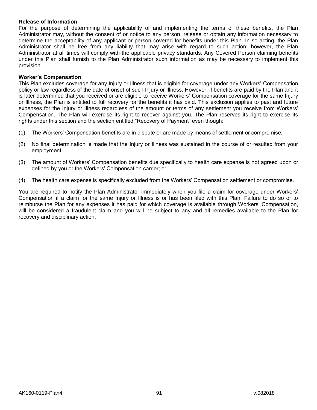#### **Release of Information**

For the purpose of determining the applicability of and implementing the terms of these benefits, the Plan Administrator may, without the consent of or notice to any person, release or obtain any information necessary to determine the acceptability of any applicant or person covered for benefits under this Plan. In so acting, the Plan Administrator shall be free from any liability that may arise with regard to such action; however, the Plan Administrator at all times will comply with the applicable privacy standards. Any Covered Person claiming benefits under this Plan shall furnish to the Plan Administrator such information as may be necessary to implement this provision.

### **Worker's Compensation**

This Plan excludes coverage for any Injury or Illness that is eligible for coverage under any Workers' Compensation policy or law regardless of the date of onset of such Injury or Illness. However, if benefits are paid by the Plan and it is later determined that you received or are eligible to receive Workers' Compensation coverage for the same Injury or Illness, the Plan is entitled to full recovery for the benefits it has paid. This exclusion applies to past and future expenses for the Injury or Illness regardless of the amount or terms of any settlement you receive from Workers' Compensation. The Plan will exercise its right to recover against you. The Plan reserves its right to exercise its rights under this section and the section entitled "Recovery of Payment" even though:

- (1) The Workers' Compensation benefits are in dispute or are made by means of settlement or compromise;
- (2) No final determination is made that the Injury or Illness was sustained in the course of or resulted from your employment;
- (3) The amount of Workers' Compensation benefits due specifically to health care expense is not agreed upon or defined by you or the Workers' Compensation carrier; or
- (4) The health care expense is specifically excluded from the Workers' Compensation settlement or compromise.

You are required to notify the Plan Administrator immediately when you file a claim for coverage under Workers' Compensation if a claim for the same Injury or Illness is or has been filed with this Plan. Failure to do so or to reimburse the Plan for any expenses it has paid for which coverage is available through Workers' Compensation, will be considered a fraudulent claim and you will be subject to any and all remedies available to the Plan for recovery and disciplinary action.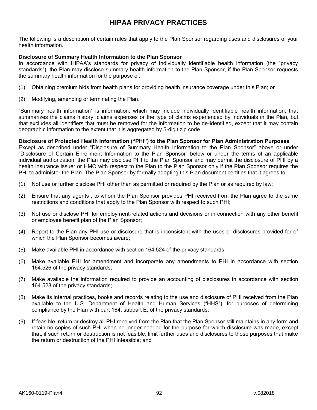# **HIPAA PRIVACY PRACTICES**

The following is a description of certain rules that apply to the Plan Sponsor regarding uses and disclosures of your health information.

## **Disclosure of Summary Health Information to the Plan Sponsor**

In accordance with HIPAA's standards for privacy of individually identifiable health information (the "privacy standards"), the Plan may disclose summary health information to the Plan Sponsor, if the Plan Sponsor requests the summary health information for the purpose of:

- (1) Obtaining premium bids from health plans for providing health insurance coverage under this Plan; or
- (2) Modifying, amending or terminating the Plan.

"Summary health information" is information, which may include individually identifiable health information, that summarizes the claims history, claims expenses or the type of claims experienced by individuals in the Plan, but that excludes all identifiers that must be removed for the information to be de-identified, except that it may contain geographic information to the extent that it is aggregated by 5-digit zip code.

**Disclosure of Protected Health Information ("PHI") to the Plan Sponsor for Plan Administration Purposes** Except as described under "Disclosure of Summary Health Information to the Plan Sponsor" above or under "Disclosure of Certain Enrollment Information to the Plan Sponsor" below or under the terms of an applicable individual authorization, the Plan may disclose PHI to the Plan Sponsor and may permit the disclosure of PHI by a health insurance issuer or HMO with respect to the Plan to the Plan Sponsor only if the Plan Sponsor requires the

PHI to administer the Plan. The Plan Sponsor by formally adopting this Plan document certifies that it agrees to:

- (1) Not use or further disclose PHI other than as permitted or required by the Plan or as required by law;
- (2) Ensure that any agents , to whom the Plan Sponsor provides PHI received from the Plan agree to the same restrictions and conditions that apply to the Plan Sponsor with respect to such PHI;
- (3) Not use or disclose PHI for employment-related actions and decisions or in connection with any other benefit or employee benefit plan of the Plan Sponsor;
- (4) Report to the Plan any PHI use or disclosure that is inconsistent with the uses or disclosures provided for of which the Plan Sponsor becomes aware;
- (5) Make available PHI in accordance with section 164.524 of the privacy standards;
- (6) Make available PHI for amendment and incorporate any amendments to PHI in accordance with section 164.526 of the privacy standards;
- (7) Make available the information required to provide an accounting of disclosures in accordance with section 164.528 of the privacy standards;
- (8) Make its internal practices, books and records relating to the use and disclosure of PHI received from the Plan available to the U.S. Department of Health and Human Services ("HHS"), for purposes of determining compliance by the Plan with part 164, subpart E, of the privacy standards;
- (9) If feasible, return or destroy all PHI received from the Plan that the Plan Sponsor still maintains in any form and retain no copies of such PHI when no longer needed for the purpose for which disclosure was made, except that, if such return or destruction is not feasible, limit further uses and disclosures to those purposes that make the return or destruction of the PHI infeasible; and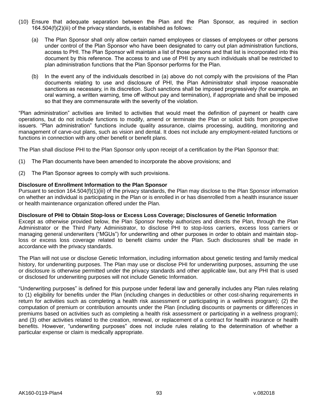- (10) Ensure that adequate separation between the Plan and the Plan Sponsor, as required in section 164.504(f)(2)(iii) of the privacy standards, is established as follows:
	- (a) The Plan Sponsor shall only allow certain named employees or classes of employees or other persons under control of the Plan Sponsor who have been designated to carry out plan administration functions, access to PHI. The Plan Sponsor will maintain a list of those persons and that list is incorporated into this document by this reference. The access to and use of PHI by any such individuals shall be restricted to plan administration functions that the Plan Sponsor performs for the Plan.
	- (b) In the event any of the individuals described in (a) above do not comply with the provisions of the Plan documents relating to use and disclosure of PHI, the Plan Administrator shall impose reasonable sanctions as necessary, in its discretion. Such sanctions shall be imposed progressively (for example, an oral warning, a written warning, time off without pay and termination), if appropriate and shall be imposed so that they are commensurate with the severity of the violation.

"Plan administration" activities are limited to activities that would meet the definition of payment or health care operations, but do not include functions to modify, amend or terminate the Plan or solicit bids from prospective issuers. "Plan administration" functions include quality assurance, claims processing, auditing, monitoring and management of carve-out plans, such as vision and dental. It does not include any employment-related functions or functions in connection with any other benefit or benefit plans.

The Plan shall disclose PHI to the Plan Sponsor only upon receipt of a certification by the Plan Sponsor that:

- (1) The Plan documents have been amended to incorporate the above provisions; and
- (2) The Plan Sponsor agrees to comply with such provisions.

## **Disclosure of Enrollment Information to the Plan Sponsor**

Pursuant to section 164.504(f)(1)(iii) of the privacy standards, the Plan may disclose to the Plan Sponsor information on whether an individual is participating in the Plan or is enrolled in or has disenrolled from a health insurance issuer or health maintenance organization offered under the Plan.

## **Disclosure of PHI to Obtain Stop-loss or Excess Loss Coverage; Disclosures of Genetic Information**

Except as otherwise provided below, the Plan Sponsor hereby authorizes and directs the Plan, through the Plan Administrator or the Third Party Administrator, to disclose PHI to stop-loss carriers, excess loss carriers or managing general underwriters ("MGUs") for underwriting and other purposes in order to obtain and maintain stoploss or excess loss coverage related to benefit claims under the Plan. Such disclosures shall be made in accordance with the privacy standards.

The Plan will not use or disclose Genetic Information, including information about genetic testing and family medical history, for underwriting purposes. The Plan may use or disclose PHI for underwriting purposes, assuming the use or disclosure is otherwise permitted under the privacy standards and other applicable law, but any PHI that is used or disclosed for underwriting purposes will not include Genetic Information.

"Underwriting purposes" is defined for this purpose under federal law and generally includes any Plan rules relating to (1) eligibility for benefits under the Plan (including changes in deductibles or other cost-sharing requirements in return for activities such as completing a health risk assessment or participating in a wellness program); (2) the computation of premium or contribution amounts under the Plan (including discounts or payments or differences in premiums based on activities such as completing a health risk assessment or participating in a wellness program); and (3) other activities related to the creation, renewal, or replacement of a contract for health insurance or health benefits. However, "underwriting purposes" does not include rules relating to the determination of whether a particular expense or claim is medically appropriate.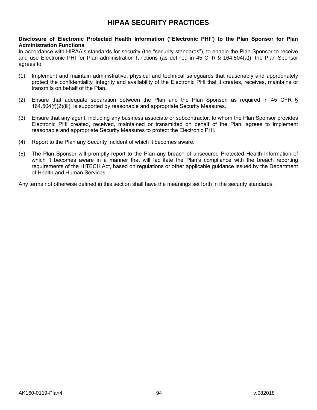# **HIPAA SECURITY PRACTICES**

## **Disclosure of Electronic Protected Health Information ("Electronic PHI") to the Plan Sponsor for Plan Administration Functions**

In accordance with HIPAA's standards for security (the "security standards"), to enable the Plan Sponsor to receive and use Electronic PHI for Plan administration functions (as defined in 45 CFR § 164.504(a)), the Plan Sponsor agrees to:

- (1) Implement and maintain administrative, physical and technical safeguards that reasonably and appropriately protect the confidentiality, integrity and availability of the Electronic PHI that it creates, receives, maintains or transmits on behalf of the Plan.
- (2) Ensure that adequate separation between the Plan and the Plan Sponsor, as required in 45 CFR § 164.504(f)(2)(iii), is supported by reasonable and appropriate Security Measures.
- (3) Ensure that any agent, including any business associate or subcontractor, to whom the Plan Sponsor provides Electronic PHI created, received, maintained or transmitted on behalf of the Plan, agrees to implement reasonable and appropriate Security Measures to protect the Electronic PHI.
- (4) Report to the Plan any Security Incident of which it becomes aware.
- (5) The Plan Sponsor will promptly report to the Plan any breach of unsecured Protected Health Information of which it becomes aware in a manner that will facilitate the Plan's compliance with the breach reporting requirements of the HITECH Act, based on regulations or other applicable guidance issued by the Department of Health and Human Services.

Any terms not otherwise defined in this section shall have the meanings set forth in the security standards.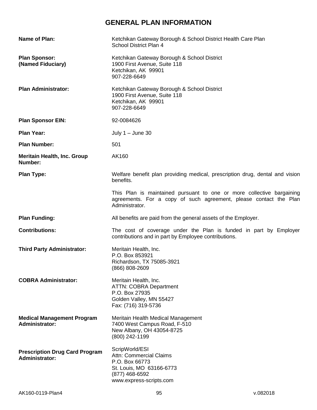# **GENERAL PLAN INFORMATION**

| Name of Plan:                                                  | Ketchikan Gateway Borough & School District Health Care Plan<br>School District Plan 4                                                                       |
|----------------------------------------------------------------|--------------------------------------------------------------------------------------------------------------------------------------------------------------|
| <b>Plan Sponsor:</b><br>(Named Fiduciary)                      | Ketchikan Gateway Borough & School District<br>1900 First Avenue, Suite 118<br>Ketchikan, AK 99901<br>907-228-6649                                           |
| <b>Plan Administrator:</b>                                     | Ketchikan Gateway Borough & School District<br>1900 First Avenue, Suite 118<br>Ketchikan, AK 99901<br>907-228-6649                                           |
| <b>Plan Sponsor EIN:</b>                                       | 92-0084626                                                                                                                                                   |
| <b>Plan Year:</b>                                              | July $1 -$ June 30                                                                                                                                           |
| <b>Plan Number:</b>                                            | 501                                                                                                                                                          |
| <b>Meritain Health, Inc. Group</b><br>Number:                  | AK160                                                                                                                                                        |
| <b>Plan Type:</b>                                              | Welfare benefit plan providing medical, prescription drug, dental and vision<br>benefits.                                                                    |
|                                                                | This Plan is maintained pursuant to one or more collective bargaining<br>agreements. For a copy of such agreement, please contact the Plan<br>Administrator. |
| <b>Plan Funding:</b>                                           | All benefits are paid from the general assets of the Employer.                                                                                               |
| <b>Contributions:</b>                                          | The cost of coverage under the Plan is funded in part by Employer<br>contributions and in part by Employee contributions.                                    |
| <b>Third Party Administrator:</b>                              | Meritain Health, Inc.<br>P.O. Box 853921<br>Richardson, TX 75085-3921<br>(866) 808-2609                                                                      |
| <b>COBRA Administrator:</b>                                    | Meritain Health, Inc.<br><b>ATTN: COBRA Department</b><br>P.O. Box 27935<br>Golden Valley, MN 55427<br>Fax: (716) 319-5736                                   |
| <b>Medical Management Program</b><br><b>Administrator:</b>     | Meritain Health Medical Management<br>7400 West Campus Road, F-510<br>New Albany, OH 43054-8725<br>(800) 242-1199                                            |
| <b>Prescription Drug Card Program</b><br><b>Administrator:</b> | ScripWorld/ESI<br>Attn: Commercial Claims<br>P.O. Box 66773<br>St. Louis, MO 63166-6773<br>(877) 468-6592<br>www.express-scripts.com                         |